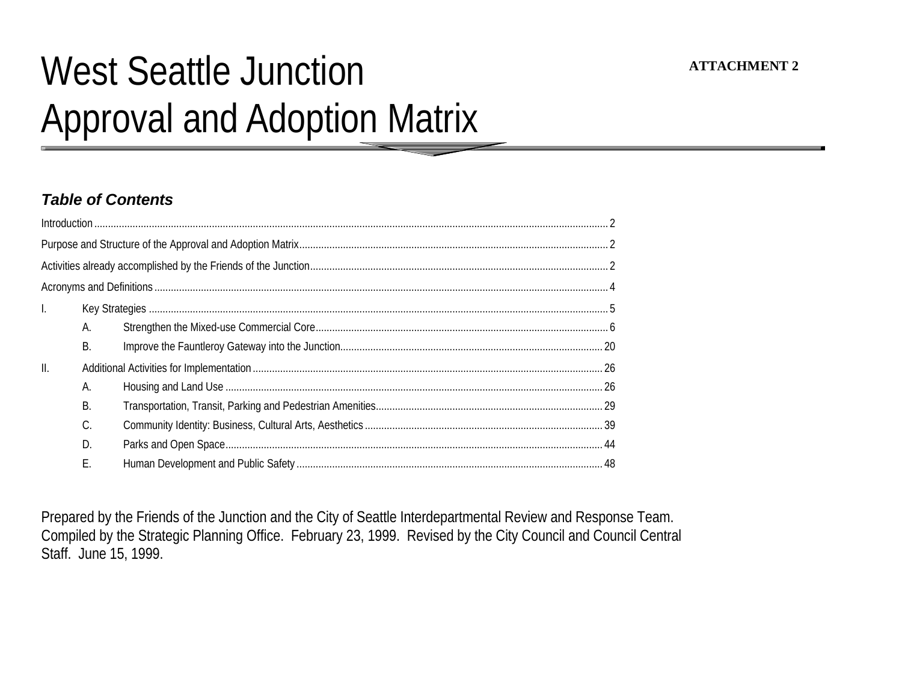# West Seattle Junction Approval and Adoption Matrix

## *Table of Contents*

| $\mathbf{L}$    |    |  |
|-----------------|----|--|
|                 | Α. |  |
|                 | В. |  |
| $\mathbf{II}$ . |    |  |
|                 | Α. |  |
|                 | B. |  |
|                 | C. |  |
|                 | D. |  |
|                 | F. |  |

Prepared by the Friends of the Junction and the City of Seattle Interdepartmental Review and Response Team. Compiled by the Strategic Planning Office. February 23, 1999. Revised by the City Council and Council Central Staff. June 15, 1999.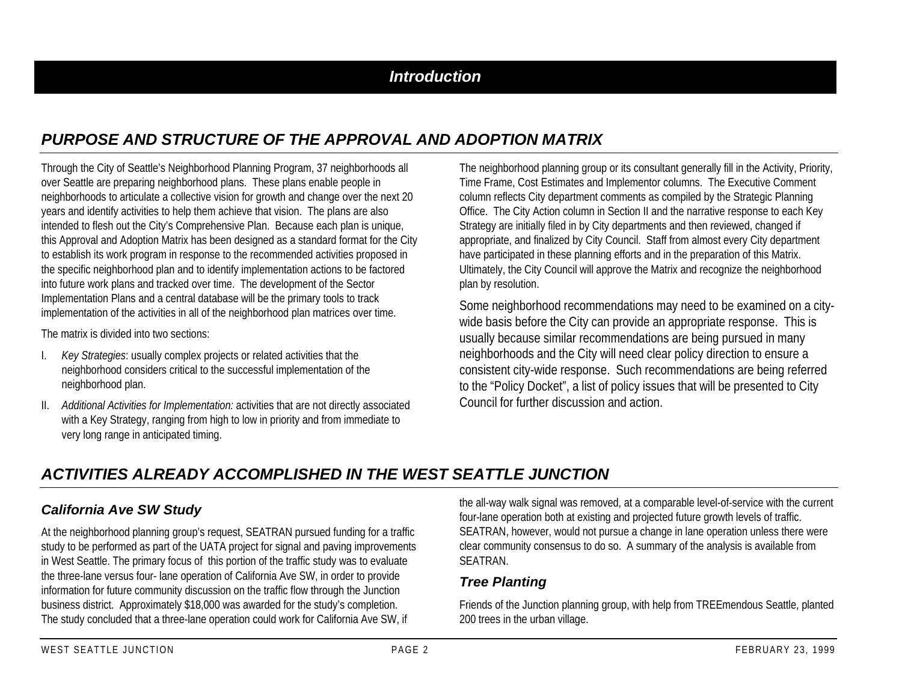## *Introduction*

# *PURPOSE AND STRUCTURE OF THE APPROVAL AND ADOPTION MATRIX*

Through the City of Seattle's Neighborhood Planning Program, 37 neighborhoods all over Seattle are preparing neighborhood plans. These plans enable people in neighborhoods to articulate a collective vision for growth and change over the next 20 years and identify activities to help them achieve that vision. The plans are also intended to flesh out the City's Comprehensive Plan. Because each plan is unique, this Approval and Adoption Matrix has been designed as a standard format for the City to establish its work program in response to the recommended activities proposed in the specific neighborhood plan and to identify implementation actions to be factored into future work plans and tracked over time. The development of the Sector Implementation Plans and a central database will be the primary tools to track implementation of the activities in all of the neighborhood plan matrices over time.

The matrix is divided into two sections:

- I. *Key Strategies*: usually complex projects or related activities that the neighborhood considers critical to the successful implementation of the neighborhood plan.
- II. *Additional Activities for Implementation:* activities that are not directly associated with a Key Strategy, ranging from high to low in priority and from immediate to very long range in anticipated timing.

The neighborhood planning group or its consultant generally fill in the Activity, Priority, Time Frame, Cost Estimates and Implementor columns. The Executive Comment column reflects City department comments as compiled by the Strategic Planning Office. The City Action column in Section II and the narrative response to each Key Strategy are initially filed in by City departments and then reviewed, changed if appropriate, and finalized by City Council. Staff from almost every City department have participated in these planning efforts and in the preparation of this Matrix. Ultimately, the City Council will approve the Matrix and recognize the neighborhood plan by resolution.

Some neighborhood recommendations may need to be examined on a citywide basis before the City can provide an appropriate response. This is usually because similar recommendations are being pursued in many neighborhoods and the City will need clear policy direction to ensure a consistent city-wide response. Such recommendations are being referred to the "Policy Docket", a list of policy issues that will be presented to City Council for further discussion and action.

## *ACTIVITIES ALREADY ACCOMPLISHED IN THE WEST SEATTLE JUNCTION*

## *California Ave SW Study*

At the neighborhood planning group's request, SEATRAN pursued funding for a traffic study to be performed as part of the UATA project for signal and paving improvements in West Seattle. The primary focus of this portion of the traffic study was to evaluate the three-lane versus four- lane operation of California Ave SW, in order to provide information for future community discussion on the traffic flow through the Junction business district. Approximately \$18,000 was awarded for the study's completion. The study concluded that a three-lane operation could work for California Ave SW, if

the all-way walk signal was removed, at a comparable level-of-service with the current four-lane operation both at existing and projected future growth levels of traffic. SEATRAN, however, would not pursue a change in lane operation unless there were clear community consensus to do so. A summary of the analysis is available from SEATRAN.

## *Tree Planting*

Friends of the Junction planning group, with help from TREEmendous Seattle, planted 200 trees in the urban village.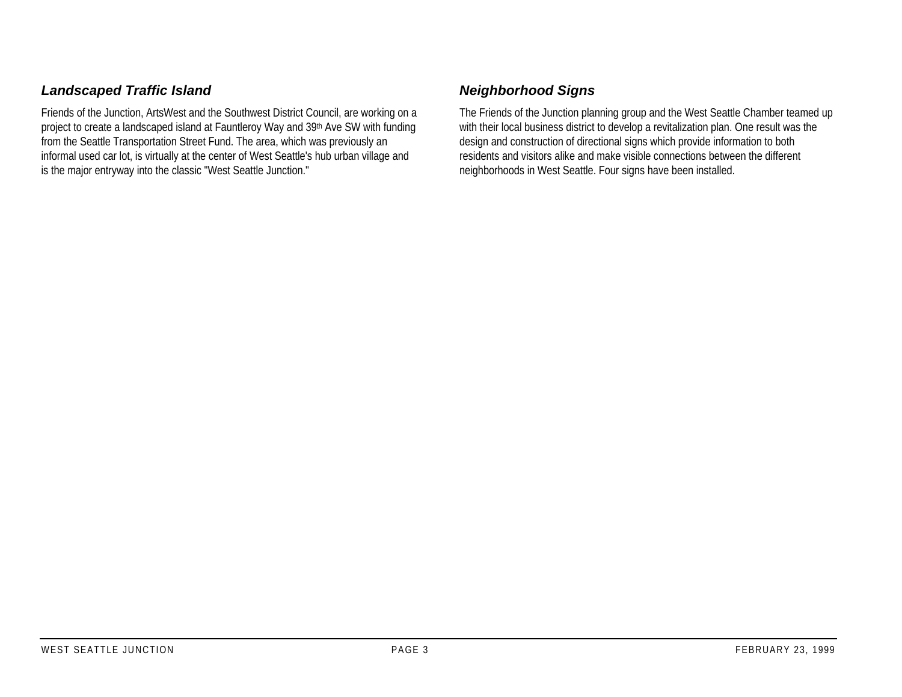## *Landscaped Traffic Island*

Friends of the Junction, ArtsWest and the Southwest District Council, are working on a project to create a landscaped island at Fauntleroy Way and 39th Ave SW with funding from the Seattle Transportation Street Fund. The area, which was previously an informal used car lot, is virtually at the center of West Seattle's hub urban village and is the major entryway into the classic "West Seattle Junction."

## *Neighborhood Signs*

The Friends of the Junction planning group and the West Seattle Chamber teamed up with their local business district to develop a revitalization plan. One result was the design and construction of directional signs which provide information to both residents and visitors alike and make visible connections between the different neighborhoods in West Seattle. Four signs have been installed.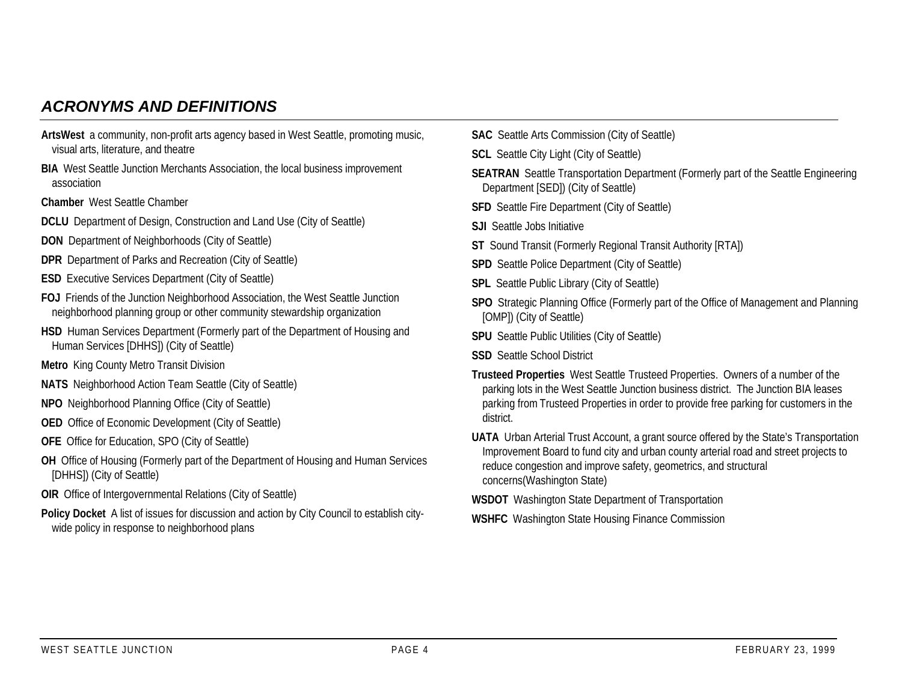## *ACRONYMS AND DEFINITIONS*

- **ArtsWest** a community, non-profit arts agency based in West Seattle, promoting music, visual arts, literature, and theatre
- **BIA** West Seattle Junction Merchants Association, the local business improvement association
- **Chamber** West Seattle Chamber
- **DCLU** Department of Design, Construction and Land Use (City of Seattle)
- **DON** Department of Neighborhoods (City of Seattle)
- **DPR** Department of Parks and Recreation (City of Seattle)
- **ESD** Executive Services Department (City of Seattle)
- **FOJ** Friends of the Junction Neighborhood Association, the West Seattle Junction neighborhood planning group or other community stewardship organization
- **HSD** Human Services Department (Formerly part of the Department of Housing and Human Services [DHHS]) (City of Seattle)
- **Metro** King County Metro Transit Division
- **NATS** Neighborhood Action Team Seattle (City of Seattle)
- **NPO** Neighborhood Planning Office (City of Seattle)
- **OED** Office of Economic Development (City of Seattle)
- **OFE** Office for Education, SPO (City of Seattle)
- **OH** Office of Housing (Formerly part of the Department of Housing and Human Services [DHHS]) (City of Seattle)
- **OIR** Office of Intergovernmental Relations (City of Seattle)
- **Policy Docket** A list of issues for discussion and action by City Council to establish citywide policy in response to neighborhood plans
- **SAC** Seattle Arts Commission (City of Seattle)
- **SCL** Seattle City Light (City of Seattle)
- **SEATRAN** Seattle Transportation Department (Formerly part of the Seattle Engineering Department [SED]) (City of Seattle)
- **SFD** Seattle Fire Department (City of Seattle)
- **SJI** Seattle Jobs Initiative
- **ST** Sound Transit (Formerly Regional Transit Authority [RTA])
- **SPD** Seattle Police Department (City of Seattle)
- **SPL** Seattle Public Library (City of Seattle)
- **SPO** Strategic Planning Office (Formerly part of the Office of Management and Planning [OMP]) (City of Seattle)
- **SPU** Seattle Public Utilities (City of Seattle)
- **SSD** Seattle School District
- **Trusteed Properties** West Seattle Trusteed Properties. Owners of a number of the parking lots in the West Seattle Junction business district. The Junction BIA leases parking from Trusteed Properties in order to provide free parking for customers in the district.
- **UATA** Urban Arterial Trust Account, a grant source offered by the State's Transportation Improvement Board to fund city and urban county arterial road and street projects to reduce congestion and improve safety, geometrics, and structural concerns(Washington State)
- **WSDOT** Washington State Department of Transportation
- **WSHFC** Washington State Housing Finance Commission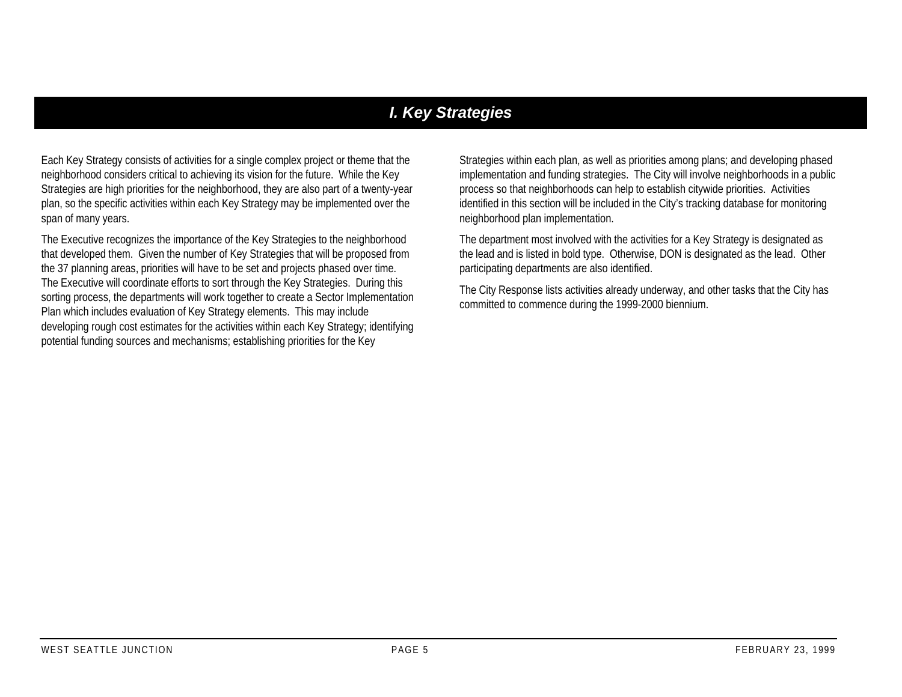## *I. Key Strategies*

Each Key Strategy consists of activities for a single complex project or theme that the neighborhood considers critical to achieving its vision for the future. While the Key Strategies are high priorities for the neighborhood, they are also part of a twenty-year plan, so the specific activities within each Key Strategy may be implemented over the span of many years.

The Executive recognizes the importance of the Key Strategies to the neighborhood that developed them. Given the number of Key Strategies that will be proposed from the 37 planning areas, priorities will have to be set and projects phased over time. The Executive will coordinate efforts to sort through the Key Strategies. During this sorting process, the departments will work together to create a Sector Implementation Plan which includes evaluation of Key Strategy elements. This may include developing rough cost estimates for the activities within each Key Strategy; identifying potential funding sources and mechanisms; establishing priorities for the Key

Strategies within each plan, as well as priorities among plans; and developing phased implementation and funding strategies. The City will involve neighborhoods in a public process so that neighborhoods can help to establish citywide priorities. Activities identified in this section will be included in the City's tracking database for monitoring neighborhood plan implementation.

The department most involved with the activities for a Key Strategy is designated as the lead and is listed in bold type. Otherwise, DON is designated as the lead. Other participating departments are also identified.

The City Response lists activities already underway, and other tasks that the City has committed to commence during the 1999-2000 biennium.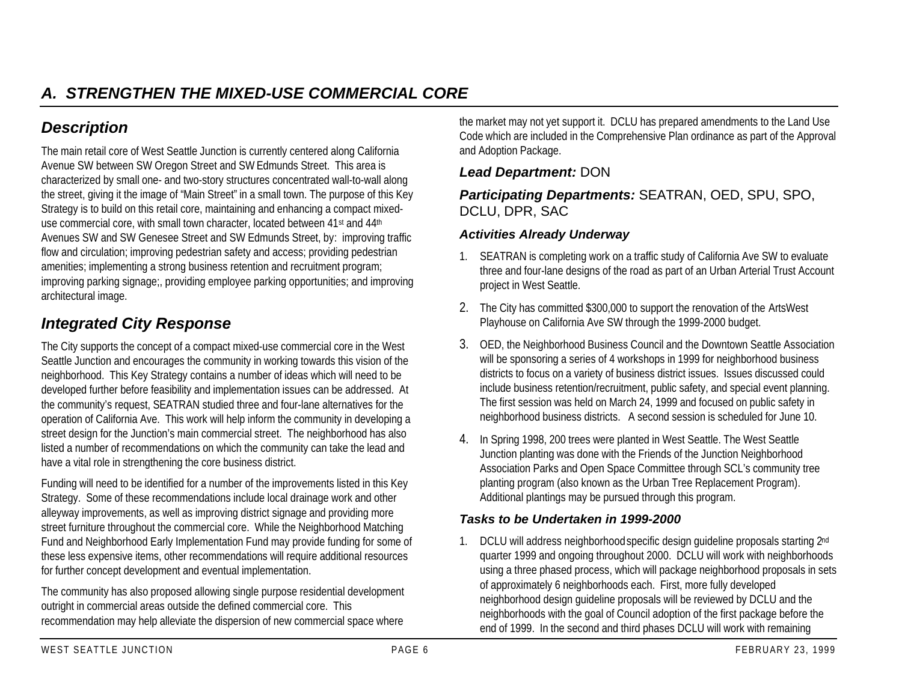# *Description*

The main retail core of West Seattle Junction is currently centered along California Avenue SW between SW Oregon Street and SW Edmunds Street. This area is characterized by small one- and two-story structures concentrated wall-to-wall along the street, giving it the image of "Main Street" in a small town. The purpose of this Key Strategy is to build on this retail core, maintaining and enhancing a compact mixeduse commercial core, with small town character, located between 41st and 44th Avenues SW and SW Genesee Street and SW Edmunds Street, by: improving traffic flow and circulation; improving pedestrian safety and access; providing pedestrian amenities; implementing a strong business retention and recruitment program; improving parking signage;, providing employee parking opportunities; and improving architectural image.

# *Integrated City Response*

The City supports the concept of a compact mixed-use commercial core in the West Seattle Junction and encourages the community in working towards this vision of the neighborhood. This Key Strategy contains a number of ideas which will need to be developed further before feasibility and implementation issues can be addressed. At the community's request, SEATRAN studied three and four-lane alternatives for the operation of California Ave. This work will help inform the community in developing a street design for the Junction's main commercial street. The neighborhood has also listed a number of recommendations on which the community can take the lead and have a vital role in strengthening the core business district.

Funding will need to be identified for a number of the improvements listed in this Key Strategy. Some of these recommendations include local drainage work and other alleyway improvements, as well as improving district signage and providing more street furniture throughout the commercial core. While the Neighborhood Matching Fund and Neighborhood Early Implementation Fund may provide funding for some of these less expensive items, other recommendations will require additional resources for further concept development and eventual implementation.

The community has also proposed allowing single purpose residential development outright in commercial areas outside the defined commercial core. This recommendation may help alleviate the dispersion of new commercial space where

the market may not yet support it. DCLU has prepared amendments to the Land Use Code which are included in the Comprehensive Plan ordinance as part of the Approval and Adoption Package.

## *Lead Department:* DON

## *Participating Departments:* SEATRAN, OED, SPU, SPO, DCLU, DPR, SAC

#### *Activities Already Underway*

- 1. SEATRAN is completing work on a traffic study of California Ave SW to evaluate three and four-lane designs of the road as part of an Urban Arterial Trust Account project in West Seattle.
- 2. The City has committed \$300,000 to support the renovation of the ArtsWest Playhouse on California Ave SW through the 1999-2000 budget.
- 3. OED, the Neighborhood Business Council and the Downtown Seattle Association will be sponsoring a series of 4 workshops in 1999 for neighborhood business districts to focus on a variety of business district issues. Issues discussed could include business retention/recruitment, public safety, and special event planning. The first session was held on March 24, 1999 and focused on public safety in neighborhood business districts. A second session is scheduled for June 10.
- 4. In Spring 1998, 200 trees were planted in West Seattle. The West Seattle Junction planting was done with the Friends of the Junction Neighborhood Association Parks and Open Space Committee through SCL's community tree planting program (also known as the Urban Tree Replacement Program). Additional plantings may be pursued through this program.

## *Tasks to be Undertaken in 1999-2000*

1. DCLU will address neighborhood specific design guideline proposals starting 2nd quarter 1999 and ongoing throughout 2000. DCLU will work with neighborhoods using a three phased process, which will package neighborhood proposals in sets of approximately 6 neighborhoods each. First, more fully developed neighborhood design guideline proposals will be reviewed by DCLU and the neighborhoods with the goal of Council adoption of the first package before the end of 1999. In the second and third phases DCLU will work with remaining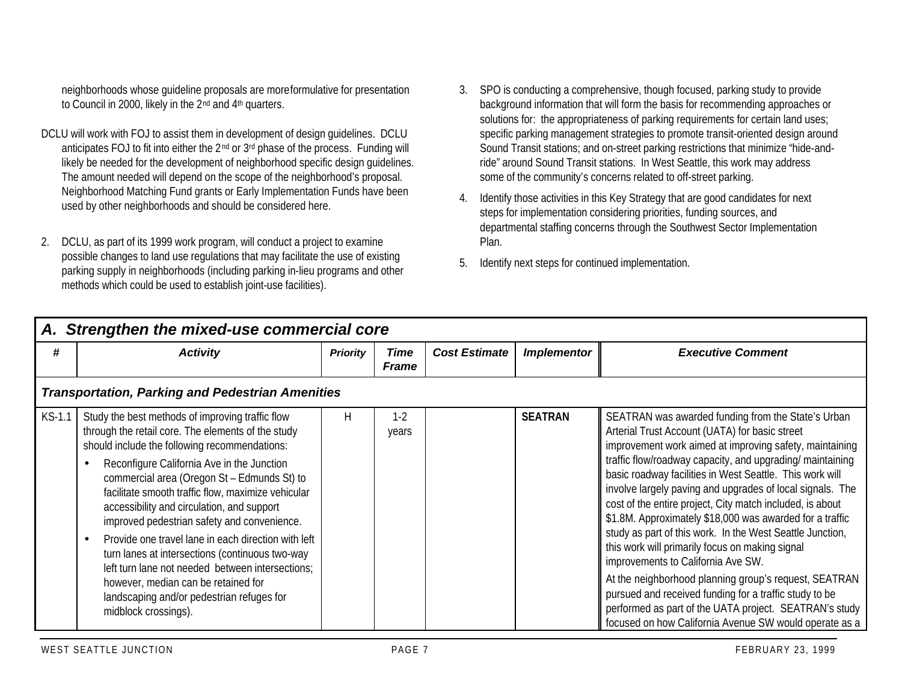neighborhoods whose guideline proposals are more formulative for presentation to Council in 2000, likely in the 2nd and 4th quarters.

- DCLU will work with FOJ to assist them in development of design guidelines. DCLU anticipates FOJ to fit into either the 2<sup>nd</sup> or 3<sup>rd</sup> phase of the process. Funding will likely be needed for the development of neighborhood specific design guidelines. The amount needed will depend on the scope of the neighborhood's proposal. Neighborhood Matching Fund grants or Early Implementation Funds have been used by other neighborhoods and should be considered here.
- 2. DCLU, as part of its 1999 work program, will conduct a project to examine possible changes to land use regulations that may facilitate the use of existing parking supply in neighborhoods (including parking in-lieu programs and other methods which could be used to establish joint-use facilities).
- 3. SPO is conducting a comprehensive, though focused, parking study to provide background information that will form the basis for recommending approaches or solutions for: the appropriateness of parking requirements for certain land uses; specific parking management strategies to promote transit-oriented design around Sound Transit stations; and on-street parking restrictions that minimize "hide-andride" around Sound Transit stations. In West Seattle, this work may address some of the community's concerns related to off-street parking.
- 4. Identify those activities in this Key Strategy that are good candidates for next steps for implementation considering priorities, funding sources, and departmental staffing concerns through the Southwest Sector Implementation Plan.
- 5. Identify next steps for continued implementation.

|          | A. Strengthen the mixed-use commercial core                                                                                                                                                                                                                                                                                                                                                                                                                                                                                                                                                                                                                                       |                 |                      |                      |                    |                                                                                                                                                                                                                                                                                                                                                                                                                                                                                                                                                                                                                                                                                                                                                                                                                                                                             |  |  |  |  |
|----------|-----------------------------------------------------------------------------------------------------------------------------------------------------------------------------------------------------------------------------------------------------------------------------------------------------------------------------------------------------------------------------------------------------------------------------------------------------------------------------------------------------------------------------------------------------------------------------------------------------------------------------------------------------------------------------------|-----------------|----------------------|----------------------|--------------------|-----------------------------------------------------------------------------------------------------------------------------------------------------------------------------------------------------------------------------------------------------------------------------------------------------------------------------------------------------------------------------------------------------------------------------------------------------------------------------------------------------------------------------------------------------------------------------------------------------------------------------------------------------------------------------------------------------------------------------------------------------------------------------------------------------------------------------------------------------------------------------|--|--|--|--|
| #        | <b>Activity</b>                                                                                                                                                                                                                                                                                                                                                                                                                                                                                                                                                                                                                                                                   | <b>Priority</b> | Time<br><b>Frame</b> | <b>Cost Estimate</b> | <b>Implementor</b> | <b>Executive Comment</b>                                                                                                                                                                                                                                                                                                                                                                                                                                                                                                                                                                                                                                                                                                                                                                                                                                                    |  |  |  |  |
|          | <b>Transportation, Parking and Pedestrian Amenities</b>                                                                                                                                                                                                                                                                                                                                                                                                                                                                                                                                                                                                                           |                 |                      |                      |                    |                                                                                                                                                                                                                                                                                                                                                                                                                                                                                                                                                                                                                                                                                                                                                                                                                                                                             |  |  |  |  |
| $KS-1.1$ | Study the best methods of improving traffic flow<br>through the retail core. The elements of the study<br>should include the following recommendations:<br>Reconfigure California Ave in the Junction<br>commercial area (Oregon St - Edmunds St) to<br>facilitate smooth traffic flow, maximize vehicular<br>accessibility and circulation, and support<br>improved pedestrian safety and convenience.<br>Provide one travel lane in each direction with left<br>turn lanes at intersections (continuous two-way<br>left turn lane not needed between intersections;<br>however, median can be retained for<br>landscaping and/or pedestrian refuges for<br>midblock crossings). | H               | $1-2$<br>years       |                      | <b>SEATRAN</b>     | SEATRAN was awarded funding from the State's Urban<br>Arterial Trust Account (UATA) for basic street<br>improvement work aimed at improving safety, maintaining<br>traffic flow/roadway capacity, and upgrading/ maintaining<br>basic roadway facilities in West Seattle. This work will<br>involve largely paving and upgrades of local signals. The<br>cost of the entire project, City match included, is about<br>\$1.8M. Approximately \$18,000 was awarded for a traffic<br>study as part of this work. In the West Seattle Junction,<br>this work will primarily focus on making signal<br>improvements to California Ave SW.<br>At the neighborhood planning group's request, SEATRAN<br>pursued and received funding for a traffic study to be<br>performed as part of the UATA project. SEATRAN's study<br>focused on how California Avenue SW would operate as a |  |  |  |  |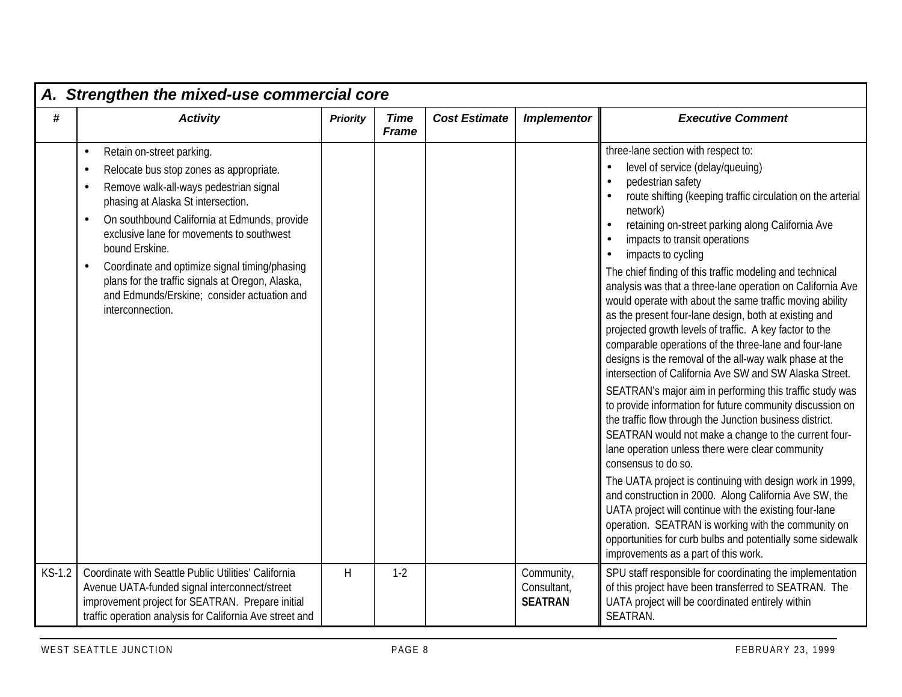|          | A. Strengthen the mixed-use commercial core                                                                                                                                                                                                                                                                                                                                                                                                                                                                  |                 |                             |                      |                                             |                                                                                                                                                                                                                                                                                                                                                                                                                                                                                                                                                                                                                                                                                                                                                                                                                                                                                                                                                                                                                                                                                                                                                                                                                                                                                                                                                                                                                                                  |  |  |  |  |
|----------|--------------------------------------------------------------------------------------------------------------------------------------------------------------------------------------------------------------------------------------------------------------------------------------------------------------------------------------------------------------------------------------------------------------------------------------------------------------------------------------------------------------|-----------------|-----------------------------|----------------------|---------------------------------------------|--------------------------------------------------------------------------------------------------------------------------------------------------------------------------------------------------------------------------------------------------------------------------------------------------------------------------------------------------------------------------------------------------------------------------------------------------------------------------------------------------------------------------------------------------------------------------------------------------------------------------------------------------------------------------------------------------------------------------------------------------------------------------------------------------------------------------------------------------------------------------------------------------------------------------------------------------------------------------------------------------------------------------------------------------------------------------------------------------------------------------------------------------------------------------------------------------------------------------------------------------------------------------------------------------------------------------------------------------------------------------------------------------------------------------------------------------|--|--|--|--|
| #        | <b>Activity</b>                                                                                                                                                                                                                                                                                                                                                                                                                                                                                              | <b>Priority</b> | <b>Time</b><br><b>Frame</b> | <b>Cost Estimate</b> | <b>Implementor</b>                          | <b>Executive Comment</b>                                                                                                                                                                                                                                                                                                                                                                                                                                                                                                                                                                                                                                                                                                                                                                                                                                                                                                                                                                                                                                                                                                                                                                                                                                                                                                                                                                                                                         |  |  |  |  |
|          | Retain on-street parking.<br>$\bullet$<br>Relocate bus stop zones as appropriate.<br>$\bullet$<br>Remove walk-all-ways pedestrian signal<br>$\bullet$<br>phasing at Alaska St intersection.<br>On southbound California at Edmunds, provide<br>$\bullet$<br>exclusive lane for movements to southwest<br>bound Erskine.<br>Coordinate and optimize signal timing/phasing<br>$\bullet$<br>plans for the traffic signals at Oregon, Alaska,<br>and Edmunds/Erskine; consider actuation and<br>interconnection. |                 |                             |                      |                                             | three-lane section with respect to:<br>level of service (delay/queuing)<br>pedestrian safety<br>route shifting (keeping traffic circulation on the arterial<br>network)<br>retaining on-street parking along California Ave<br>impacts to transit operations<br>impacts to cycling<br>The chief finding of this traffic modeling and technical<br>analysis was that a three-lane operation on California Ave<br>would operate with about the same traffic moving ability<br>as the present four-lane design, both at existing and<br>projected growth levels of traffic. A key factor to the<br>comparable operations of the three-lane and four-lane<br>designs is the removal of the all-way walk phase at the<br>intersection of California Ave SW and SW Alaska Street.<br>SEATRAN's major aim in performing this traffic study was<br>to provide information for future community discussion on<br>the traffic flow through the Junction business district.<br>SEATRAN would not make a change to the current four-<br>lane operation unless there were clear community<br>consensus to do so.<br>The UATA project is continuing with design work in 1999,<br>and construction in 2000. Along California Ave SW, the<br>UATA project will continue with the existing four-lane<br>operation. SEATRAN is working with the community on<br>opportunities for curb bulbs and potentially some sidewalk<br>improvements as a part of this work. |  |  |  |  |
| $KS-1.2$ | Coordinate with Seattle Public Utilities' California<br>Avenue UATA-funded signal interconnect/street<br>improvement project for SEATRAN. Prepare initial<br>traffic operation analysis for California Ave street and                                                                                                                                                                                                                                                                                        | H               | $1-2$                       |                      | Community,<br>Consultant,<br><b>SEATRAN</b> | SPU staff responsible for coordinating the implementation<br>of this project have been transferred to SEATRAN. The<br>UATA project will be coordinated entirely within<br>SEATRAN.                                                                                                                                                                                                                                                                                                                                                                                                                                                                                                                                                                                                                                                                                                                                                                                                                                                                                                                                                                                                                                                                                                                                                                                                                                                               |  |  |  |  |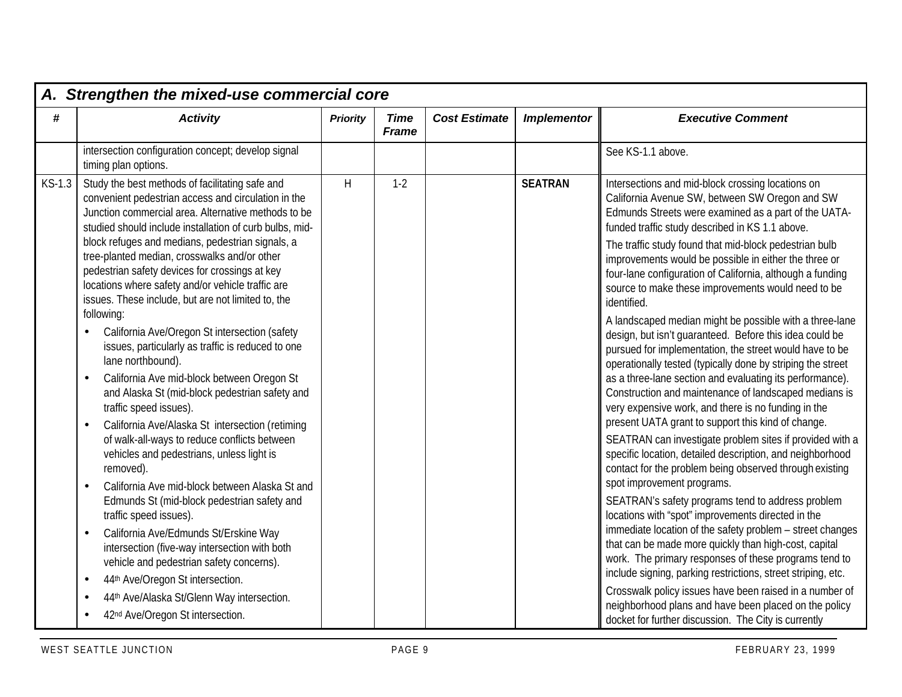|          | A. Strengthen the mixed-use commercial core                                                                                                                                                                                                                   |                 |                             |                      |                    |                                                                                                                                                                                                                                                   |  |  |  |  |
|----------|---------------------------------------------------------------------------------------------------------------------------------------------------------------------------------------------------------------------------------------------------------------|-----------------|-----------------------------|----------------------|--------------------|---------------------------------------------------------------------------------------------------------------------------------------------------------------------------------------------------------------------------------------------------|--|--|--|--|
| #        | <b>Activity</b>                                                                                                                                                                                                                                               | <b>Priority</b> | <b>Time</b><br><b>Frame</b> | <b>Cost Estimate</b> | <b>Implementor</b> | <b>Executive Comment</b>                                                                                                                                                                                                                          |  |  |  |  |
|          | intersection configuration concept; develop signal<br>timing plan options.                                                                                                                                                                                    |                 |                             |                      |                    | See KS-1.1 above.                                                                                                                                                                                                                                 |  |  |  |  |
| $KS-1.3$ | Study the best methods of facilitating safe and<br>convenient pedestrian access and circulation in the<br>Junction commercial area. Alternative methods to be<br>studied should include installation of curb bulbs, mid-                                      | H               | $1-2$                       |                      | <b>SEATRAN</b>     | Intersections and mid-block crossing locations on<br>California Avenue SW, between SW Oregon and SW<br>Edmunds Streets were examined as a part of the UATA-<br>funded traffic study described in KS 1.1 above.                                    |  |  |  |  |
|          | block refuges and medians, pedestrian signals, a<br>tree-planted median, crosswalks and/or other<br>pedestrian safety devices for crossings at key<br>locations where safety and/or vehicle traffic are<br>issues. These include, but are not limited to, the |                 |                             |                      |                    | The traffic study found that mid-block pedestrian bulb<br>improvements would be possible in either the three or<br>four-lane configuration of California, although a funding<br>source to make these improvements would need to be<br>identified. |  |  |  |  |
|          | following:<br>California Ave/Oregon St intersection (safety<br>issues, particularly as traffic is reduced to one<br>lane northbound).                                                                                                                         |                 |                             |                      |                    | A landscaped median might be possible with a three-lane<br>design, but isn't guaranteed. Before this idea could be<br>pursued for implementation, the street would have to be<br>operationally tested (typically done by striping the street      |  |  |  |  |
|          | California Ave mid-block between Oregon St<br>$\bullet$<br>and Alaska St (mid-block pedestrian safety and<br>traffic speed issues).                                                                                                                           |                 |                             |                      |                    | as a three-lane section and evaluating its performance).<br>Construction and maintenance of landscaped medians is<br>very expensive work, and there is no funding in the<br>present UATA grant to support this kind of change.                    |  |  |  |  |
|          | California Ave/Alaska St intersection (retiming<br>$\bullet$<br>of walk-all-ways to reduce conflicts between<br>vehicles and pedestrians, unless light is<br>removed).                                                                                        |                 |                             |                      |                    | SEATRAN can investigate problem sites if provided with a<br>specific location, detailed description, and neighborhood<br>contact for the problem being observed through existing                                                                  |  |  |  |  |
|          | California Ave mid-block between Alaska St and<br>$\bullet$<br>Edmunds St (mid-block pedestrian safety and<br>traffic speed issues).                                                                                                                          |                 |                             |                      |                    | spot improvement programs.<br>SEATRAN's safety programs tend to address problem<br>locations with "spot" improvements directed in the                                                                                                             |  |  |  |  |
|          | California Ave/Edmunds St/Erskine Way<br>$\bullet$<br>intersection (five-way intersection with both<br>vehicle and pedestrian safety concerns).                                                                                                               |                 |                             |                      |                    | immediate location of the safety problem - street changes<br>that can be made more quickly than high-cost, capital<br>work. The primary responses of these programs tend to                                                                       |  |  |  |  |
|          | 44th Ave/Oregon St intersection.<br>$\bullet$                                                                                                                                                                                                                 |                 |                             |                      |                    | include signing, parking restrictions, street striping, etc.<br>Crosswalk policy issues have been raised in a number of                                                                                                                           |  |  |  |  |
|          | 44th Ave/Alaska St/Glenn Way intersection.<br>$\bullet$<br>42 <sup>nd</sup> Ave/Oregon St intersection.<br>$\bullet$                                                                                                                                          |                 |                             |                      |                    | neighborhood plans and have been placed on the policy                                                                                                                                                                                             |  |  |  |  |
|          |                                                                                                                                                                                                                                                               |                 |                             |                      |                    | docket for further discussion. The City is currently                                                                                                                                                                                              |  |  |  |  |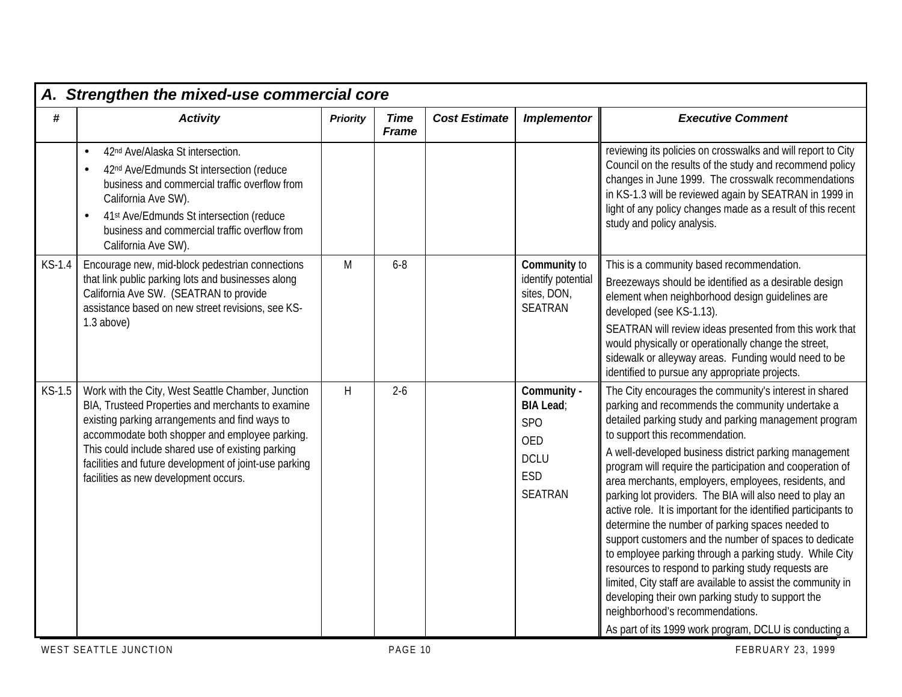|          | A. Strengthen the mixed-use commercial core                                                                                                                                                                                                                                                                                                                         |                 |                             |                      |                                                                                                     |                                                                                                                                                                                                                                                                                                                                                                                                                                                                                                                                                                                                                                                                                                                                                                                                                                                                                                                                                                      |  |  |  |  |
|----------|---------------------------------------------------------------------------------------------------------------------------------------------------------------------------------------------------------------------------------------------------------------------------------------------------------------------------------------------------------------------|-----------------|-----------------------------|----------------------|-----------------------------------------------------------------------------------------------------|----------------------------------------------------------------------------------------------------------------------------------------------------------------------------------------------------------------------------------------------------------------------------------------------------------------------------------------------------------------------------------------------------------------------------------------------------------------------------------------------------------------------------------------------------------------------------------------------------------------------------------------------------------------------------------------------------------------------------------------------------------------------------------------------------------------------------------------------------------------------------------------------------------------------------------------------------------------------|--|--|--|--|
| #        | <b>Activity</b>                                                                                                                                                                                                                                                                                                                                                     | <b>Priority</b> | <b>Time</b><br><b>Frame</b> | <b>Cost Estimate</b> | <b>Implementor</b>                                                                                  | <b>Executive Comment</b>                                                                                                                                                                                                                                                                                                                                                                                                                                                                                                                                                                                                                                                                                                                                                                                                                                                                                                                                             |  |  |  |  |
|          | 42 <sup>nd</sup> Ave/Alaska St intersection.<br>$\bullet$<br>42nd Ave/Edmunds St intersection (reduce<br>$\bullet$<br>business and commercial traffic overflow from<br>California Ave SW).<br>41st Ave/Edmunds St intersection (reduce<br>$\bullet$<br>business and commercial traffic overflow from<br>California Ave SW).                                         |                 |                             |                      |                                                                                                     | reviewing its policies on crosswalks and will report to City<br>Council on the results of the study and recommend policy<br>changes in June 1999. The crosswalk recommendations<br>in KS-1.3 will be reviewed again by SEATRAN in 1999 in<br>light of any policy changes made as a result of this recent<br>study and policy analysis.                                                                                                                                                                                                                                                                                                                                                                                                                                                                                                                                                                                                                               |  |  |  |  |
| KS-1.4   | Encourage new, mid-block pedestrian connections<br>that link public parking lots and businesses along<br>California Ave SW. (SEATRAN to provide<br>assistance based on new street revisions, see KS-<br>$1.3$ above)                                                                                                                                                | M               | $6 - 8$                     |                      | Community to<br>identify potential<br>sites, DON,<br><b>SEATRAN</b>                                 | This is a community based recommendation.<br>Breezeways should be identified as a desirable design<br>element when neighborhood design guidelines are<br>developed (see KS-1.13).<br>SEATRAN will review ideas presented from this work that<br>would physically or operationally change the street,<br>sidewalk or alleyway areas. Funding would need to be<br>identified to pursue any appropriate projects.                                                                                                                                                                                                                                                                                                                                                                                                                                                                                                                                                       |  |  |  |  |
| $KS-1.5$ | Work with the City, West Seattle Chamber, Junction<br>BIA, Trusteed Properties and merchants to examine<br>existing parking arrangements and find ways to<br>accommodate both shopper and employee parking.<br>This could include shared use of existing parking<br>facilities and future development of joint-use parking<br>facilities as new development occurs. | H               | $2 - 6$                     |                      | Community -<br><b>BIA Lead:</b><br><b>SPO</b><br><b>OED</b><br><b>DCLU</b><br>ESD<br><b>SEATRAN</b> | The City encourages the community's interest in shared<br>parking and recommends the community undertake a<br>detailed parking study and parking management program<br>to support this recommendation.<br>A well-developed business district parking management<br>program will require the participation and cooperation of<br>area merchants, employers, employees, residents, and<br>parking lot providers. The BIA will also need to play an<br>active role. It is important for the identified participants to<br>determine the number of parking spaces needed to<br>support customers and the number of spaces to dedicate<br>to employee parking through a parking study. While City<br>resources to respond to parking study requests are<br>limited, City staff are available to assist the community in<br>developing their own parking study to support the<br>neighborhood's recommendations.<br>As part of its 1999 work program, DCLU is conducting a |  |  |  |  |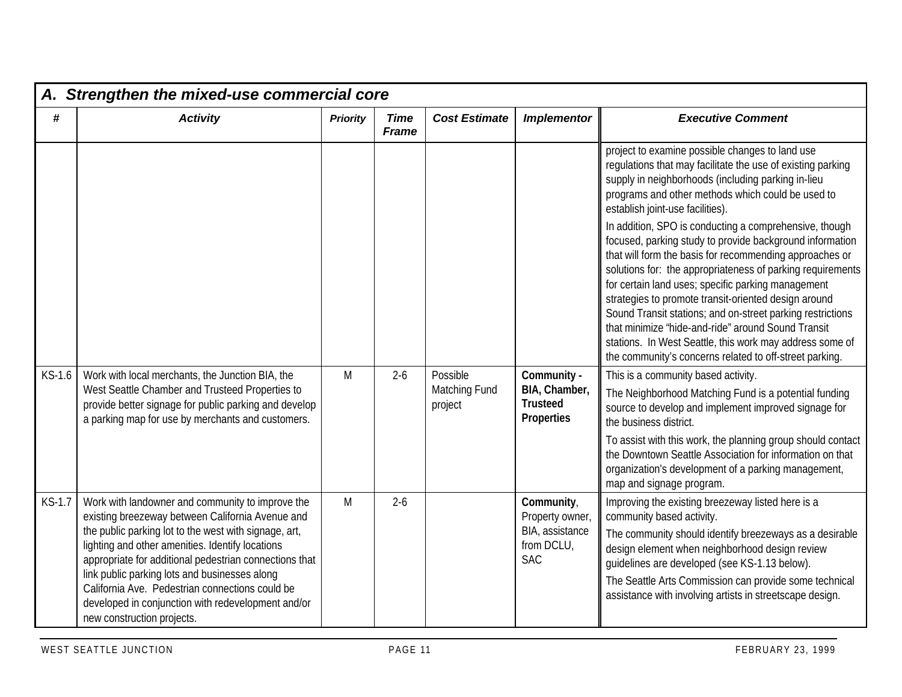|          | A. Strengthen the mixed-use commercial core                                                                                                                                                                                                                                                                                                                                                                                                                         |                 |                             |                                      |                                                                              |                                                                                                                                                                                                                                                                                                                                                                                                                                                                                                                                                                                                                                                                                                                                                                                                                                                                       |  |  |  |  |
|----------|---------------------------------------------------------------------------------------------------------------------------------------------------------------------------------------------------------------------------------------------------------------------------------------------------------------------------------------------------------------------------------------------------------------------------------------------------------------------|-----------------|-----------------------------|--------------------------------------|------------------------------------------------------------------------------|-----------------------------------------------------------------------------------------------------------------------------------------------------------------------------------------------------------------------------------------------------------------------------------------------------------------------------------------------------------------------------------------------------------------------------------------------------------------------------------------------------------------------------------------------------------------------------------------------------------------------------------------------------------------------------------------------------------------------------------------------------------------------------------------------------------------------------------------------------------------------|--|--|--|--|
| $\#$     | <b>Activity</b>                                                                                                                                                                                                                                                                                                                                                                                                                                                     | <b>Priority</b> | <b>Time</b><br><b>Frame</b> | <b>Cost Estimate</b>                 | <b>Implementor</b>                                                           | <b>Executive Comment</b>                                                                                                                                                                                                                                                                                                                                                                                                                                                                                                                                                                                                                                                                                                                                                                                                                                              |  |  |  |  |
|          |                                                                                                                                                                                                                                                                                                                                                                                                                                                                     |                 |                             |                                      |                                                                              | project to examine possible changes to land use<br>regulations that may facilitate the use of existing parking<br>supply in neighborhoods (including parking in-lieu<br>programs and other methods which could be used to<br>establish joint-use facilities).<br>In addition, SPO is conducting a comprehensive, though<br>focused, parking study to provide background information<br>that will form the basis for recommending approaches or<br>solutions for: the appropriateness of parking requirements<br>for certain land uses; specific parking management<br>strategies to promote transit-oriented design around<br>Sound Transit stations; and on-street parking restrictions<br>that minimize 'hide-and-ride" around Sound Transit<br>stations. In West Seattle, this work may address some of<br>the community's concerns related to off-street parking. |  |  |  |  |
| $KS-1.6$ | Work with local merchants, the Junction BIA, the<br>West Seattle Chamber and Trusteed Properties to<br>provide better signage for public parking and develop<br>a parking map for use by merchants and customers.                                                                                                                                                                                                                                                   | M               | $2 - 6$                     | Possible<br>Matching Fund<br>project | Community -<br>BIA, Chamber,<br><b>Trusteed</b><br><b>Properties</b>         | This is a community based activity.<br>The Neighborhood Matching Fund is a potential funding<br>source to develop and implement improved signage for<br>the business district.<br>To assist with this work, the planning group should contact<br>the Downtown Seattle Association for information on that<br>organization's development of a parking management,<br>map and signage program.                                                                                                                                                                                                                                                                                                                                                                                                                                                                          |  |  |  |  |
| $KS-1.7$ | Work with landowner and community to improve the<br>existing breezeway between California Avenue and<br>the public parking lot to the west with signage, art,<br>lighting and other amenities. Identify locations<br>appropriate for additional pedestrian connections that<br>link public parking lots and businesses along<br>California Ave. Pedestrian connections could be<br>developed in conjunction with redevelopment and/or<br>new construction projects. | M               | $2 - 6$                     |                                      | Community,<br>Property owner,<br>BIA, assistance<br>from DCLU,<br><b>SAC</b> | Improving the existing breezeway listed here is a<br>community based activity.<br>The community should identify breezeways as a desirable<br>design element when neighborhood design review<br>guidelines are developed (see KS-1.13 below).<br>The Seattle Arts Commission can provide some technical<br>assistance with involving artists in streetscape design.                                                                                                                                                                                                                                                                                                                                                                                                                                                                                                    |  |  |  |  |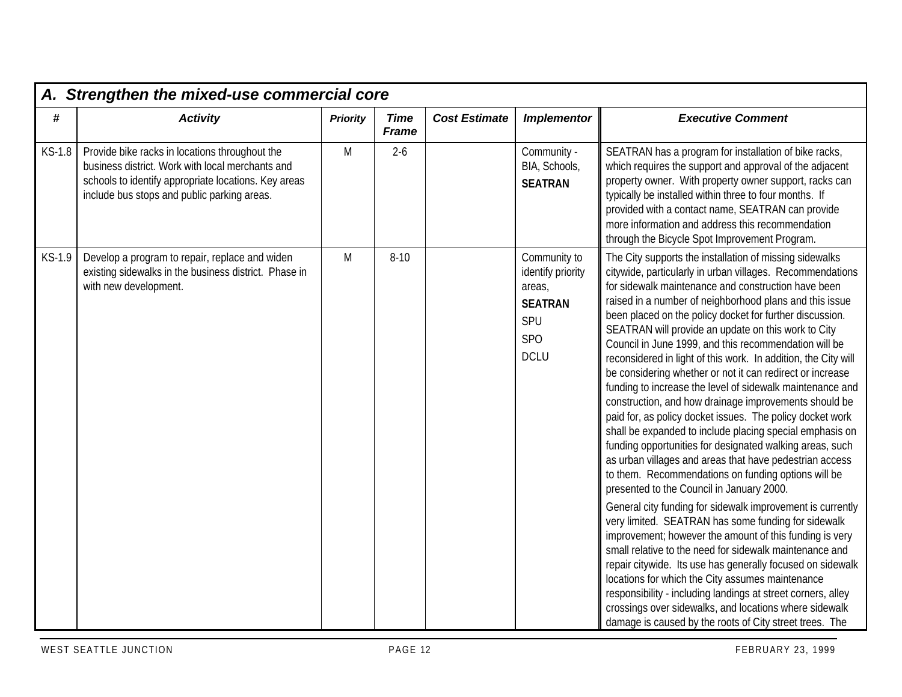|        | A. Strengthen the mixed-use commercial core                                                                                                                                                               |                 |                             |                      |                                                                                            |                                                                                                                                                                                                                                                                                                                                                                                                                                                                                                                                                                                                                                                                                                                                                                                                                                                                                                                                                                                                                                                                                                                                                                                                                                                                                                                                                                                                                                                                                                                                                                               |
|--------|-----------------------------------------------------------------------------------------------------------------------------------------------------------------------------------------------------------|-----------------|-----------------------------|----------------------|--------------------------------------------------------------------------------------------|-------------------------------------------------------------------------------------------------------------------------------------------------------------------------------------------------------------------------------------------------------------------------------------------------------------------------------------------------------------------------------------------------------------------------------------------------------------------------------------------------------------------------------------------------------------------------------------------------------------------------------------------------------------------------------------------------------------------------------------------------------------------------------------------------------------------------------------------------------------------------------------------------------------------------------------------------------------------------------------------------------------------------------------------------------------------------------------------------------------------------------------------------------------------------------------------------------------------------------------------------------------------------------------------------------------------------------------------------------------------------------------------------------------------------------------------------------------------------------------------------------------------------------------------------------------------------------|
| #      | <b>Activity</b>                                                                                                                                                                                           | <b>Priority</b> | <b>Time</b><br><b>Frame</b> | <b>Cost Estimate</b> | <b>Implementor</b>                                                                         | <b>Executive Comment</b>                                                                                                                                                                                                                                                                                                                                                                                                                                                                                                                                                                                                                                                                                                                                                                                                                                                                                                                                                                                                                                                                                                                                                                                                                                                                                                                                                                                                                                                                                                                                                      |
| KS-1.8 | Provide bike racks in locations throughout the<br>business district. Work with local merchants and<br>schools to identify appropriate locations. Key areas<br>include bus stops and public parking areas. | M               | $2 - 6$                     |                      | Community -<br>BIA, Schools,<br><b>SEATRAN</b>                                             | SEATRAN has a program for installation of bike racks,<br>which requires the support and approval of the adjacent<br>property owner. With property owner support, racks can<br>typically be installed within three to four months. If<br>provided with a contact name, SEATRAN can provide<br>more information and address this recommendation<br>through the Bicycle Spot Improvement Program.                                                                                                                                                                                                                                                                                                                                                                                                                                                                                                                                                                                                                                                                                                                                                                                                                                                                                                                                                                                                                                                                                                                                                                                |
| KS-1.9 | Develop a program to repair, replace and widen<br>existing sidewalks in the business district. Phase in<br>with new development.                                                                          | M               | $8 - 10$                    |                      | Community to<br>identify priority<br>areas,<br><b>SEATRAN</b><br>SPU<br>SPO<br><b>DCLU</b> | The City supports the installation of missing sidewalks<br>citywide, particularly in urban villages. Recommendations<br>for sidewalk maintenance and construction have been<br>raised in a number of neighborhood plans and this issue<br>been placed on the policy docket for further discussion.<br>SEATRAN will provide an update on this work to City<br>Council in June 1999, and this recommendation will be<br>reconsidered in light of this work. In addition, the City will<br>be considering whether or not it can redirect or increase<br>funding to increase the level of sidewalk maintenance and<br>construction, and how drainage improvements should be<br>paid for, as policy docket issues. The policy docket work<br>shall be expanded to include placing special emphasis on<br>funding opportunities for designated walking areas, such<br>as urban villages and areas that have pedestrian access<br>to them. Recommendations on funding options will be<br>presented to the Council in January 2000.<br>General city funding for sidewalk improvement is currently<br>very limited. SEATRAN has some funding for sidewalk<br>improvement; however the amount of this funding is very<br>small relative to the need for sidewalk maintenance and<br>repair citywide. Its use has generally focused on sidewalk<br>locations for which the City assumes maintenance<br>responsibility - including landings at street corners, alley<br>crossings over sidewalks, and locations where sidewalk<br>damage is caused by the roots of City street trees. The |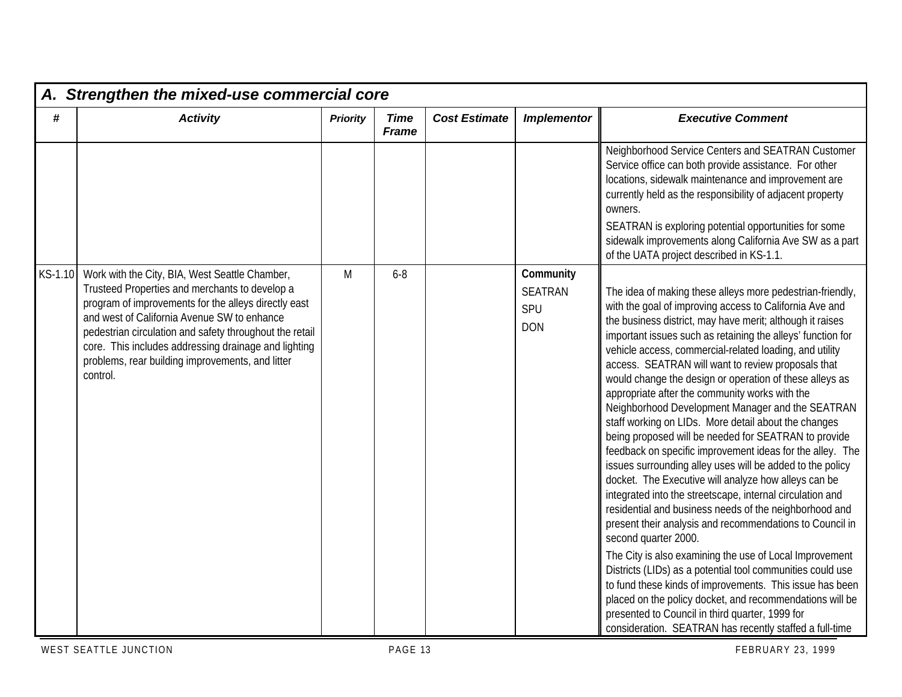|         | A. Strengthen the mixed-use commercial core                                                                                                                                                                                                                                                                                                                                                |                 |                             |                      |                                                  |                                                                                                                                                                                                                                                                                                                                                                                                                                                                                                                                                                                                                                                                                                                                                                                                                                                                                                                                                                                                                                                                                                                                                                                                                                                                                                                                                                                                                |  |  |  |  |
|---------|--------------------------------------------------------------------------------------------------------------------------------------------------------------------------------------------------------------------------------------------------------------------------------------------------------------------------------------------------------------------------------------------|-----------------|-----------------------------|----------------------|--------------------------------------------------|----------------------------------------------------------------------------------------------------------------------------------------------------------------------------------------------------------------------------------------------------------------------------------------------------------------------------------------------------------------------------------------------------------------------------------------------------------------------------------------------------------------------------------------------------------------------------------------------------------------------------------------------------------------------------------------------------------------------------------------------------------------------------------------------------------------------------------------------------------------------------------------------------------------------------------------------------------------------------------------------------------------------------------------------------------------------------------------------------------------------------------------------------------------------------------------------------------------------------------------------------------------------------------------------------------------------------------------------------------------------------------------------------------------|--|--|--|--|
| #       | <b>Activity</b>                                                                                                                                                                                                                                                                                                                                                                            | <b>Priority</b> | <b>Time</b><br><b>Frame</b> | <b>Cost Estimate</b> | <b>Implementor</b>                               | <b>Executive Comment</b>                                                                                                                                                                                                                                                                                                                                                                                                                                                                                                                                                                                                                                                                                                                                                                                                                                                                                                                                                                                                                                                                                                                                                                                                                                                                                                                                                                                       |  |  |  |  |
|         |                                                                                                                                                                                                                                                                                                                                                                                            |                 |                             |                      |                                                  | Neighborhood Service Centers and SEATRAN Customer<br>Service office can both provide assistance. For other<br>locations, sidewalk maintenance and improvement are<br>currently held as the responsibility of adjacent property<br>owners.<br>SEATRAN is exploring potential opportunities for some<br>sidewalk improvements along California Ave SW as a part<br>of the UATA project described in KS-1.1.                                                                                                                                                                                                                                                                                                                                                                                                                                                                                                                                                                                                                                                                                                                                                                                                                                                                                                                                                                                                      |  |  |  |  |
| KS-1.10 | Work with the City, BIA, West Seattle Chamber,<br>Trusteed Properties and merchants to develop a<br>program of improvements for the alleys directly east<br>and west of California Avenue SW to enhance<br>pedestrian circulation and safety throughout the retail<br>core. This includes addressing drainage and lighting<br>problems, rear building improvements, and litter<br>control. | M               | $6 - 8$                     |                      | Community<br><b>SEATRAN</b><br>SPU<br><b>DON</b> | The idea of making these alleys more pedestrian-friendly,<br>with the goal of improving access to California Ave and<br>the business district, may have merit; although it raises<br>important issues such as retaining the alleys' function for<br>vehicle access, commercial-related loading, and utility<br>access. SEATRAN will want to review proposals that<br>would change the design or operation of these alleys as<br>appropriate after the community works with the<br>Neighborhood Development Manager and the SEATRAN<br>staff working on LIDs. More detail about the changes<br>being proposed will be needed for SEATRAN to provide<br>feedback on specific improvement ideas for the alley. The<br>issues surrounding alley uses will be added to the policy<br>docket. The Executive will analyze how alleys can be<br>integrated into the streetscape, internal circulation and<br>residential and business needs of the neighborhood and<br>present their analysis and recommendations to Council in<br>second quarter 2000.<br>The City is also examining the use of Local Improvement<br>Districts (LIDs) as a potential tool communities could use<br>to fund these kinds of improvements. This issue has been<br>placed on the policy docket, and recommendations will be<br>presented to Council in third quarter, 1999 for<br>consideration. SEATRAN has recently staffed a full-time |  |  |  |  |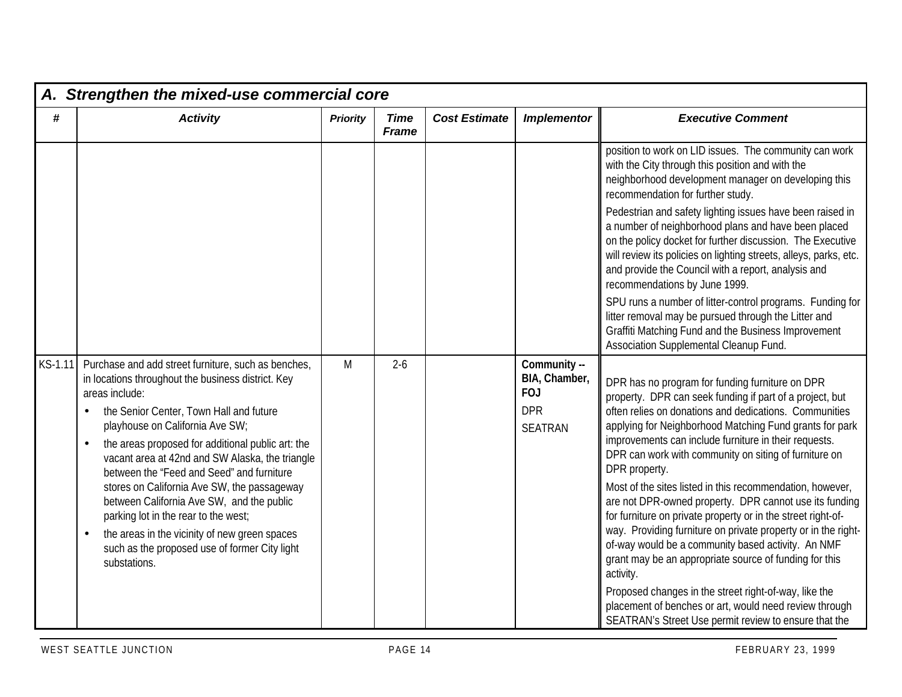|         | A. Strengthen the mixed-use commercial core                                                                                                                                                                                                                                                                                                                                                                                                                                                                                                                                                                                                    |                 |                             |                      |                                                                             |                                                                                                                                                                                                                                                                                                                                                                                                                                                                                                                                                                                                                                                                                                                                                                                                                   |  |  |  |  |
|---------|------------------------------------------------------------------------------------------------------------------------------------------------------------------------------------------------------------------------------------------------------------------------------------------------------------------------------------------------------------------------------------------------------------------------------------------------------------------------------------------------------------------------------------------------------------------------------------------------------------------------------------------------|-----------------|-----------------------------|----------------------|-----------------------------------------------------------------------------|-------------------------------------------------------------------------------------------------------------------------------------------------------------------------------------------------------------------------------------------------------------------------------------------------------------------------------------------------------------------------------------------------------------------------------------------------------------------------------------------------------------------------------------------------------------------------------------------------------------------------------------------------------------------------------------------------------------------------------------------------------------------------------------------------------------------|--|--|--|--|
| #       | <b>Activity</b>                                                                                                                                                                                                                                                                                                                                                                                                                                                                                                                                                                                                                                | <b>Priority</b> | <b>Time</b><br><b>Frame</b> | <b>Cost Estimate</b> | <b>Implementor</b>                                                          | <b>Executive Comment</b>                                                                                                                                                                                                                                                                                                                                                                                                                                                                                                                                                                                                                                                                                                                                                                                          |  |  |  |  |
|         |                                                                                                                                                                                                                                                                                                                                                                                                                                                                                                                                                                                                                                                |                 |                             |                      |                                                                             | position to work on LID issues. The community can work<br>with the City through this position and with the<br>neighborhood development manager on developing this<br>recommendation for further study.                                                                                                                                                                                                                                                                                                                                                                                                                                                                                                                                                                                                            |  |  |  |  |
|         |                                                                                                                                                                                                                                                                                                                                                                                                                                                                                                                                                                                                                                                |                 |                             |                      |                                                                             | Pedestrian and safety lighting issues have been raised in<br>a number of neighborhood plans and have been placed<br>on the policy docket for further discussion. The Executive<br>will review its policies on lighting streets, alleys, parks, etc.<br>and provide the Council with a report, analysis and<br>recommendations by June 1999.                                                                                                                                                                                                                                                                                                                                                                                                                                                                       |  |  |  |  |
|         |                                                                                                                                                                                                                                                                                                                                                                                                                                                                                                                                                                                                                                                |                 |                             |                      |                                                                             | SPU runs a number of litter-control programs. Funding for<br>litter removal may be pursued through the Litter and<br>Graffiti Matching Fund and the Business Improvement<br>Association Supplemental Cleanup Fund.                                                                                                                                                                                                                                                                                                                                                                                                                                                                                                                                                                                                |  |  |  |  |
| KS-1.11 | Purchase and add street furniture, such as benches,<br>in locations throughout the business district. Key<br>areas include:<br>the Senior Center, Town Hall and future<br>playhouse on California Ave SW;<br>the areas proposed for additional public art: the<br>$\bullet$<br>vacant area at 42nd and SW Alaska, the triangle<br>between the "Feed and Seed" and furniture<br>stores on California Ave SW, the passageway<br>between California Ave SW, and the public<br>parking lot in the rear to the west;<br>the areas in the vicinity of new green spaces<br>$\bullet$<br>such as the proposed use of former City light<br>substations. | M               | $2-6$                       |                      | Community --<br>BIA, Chamber,<br><b>FOJ</b><br><b>DPR</b><br><b>SEATRAN</b> | DPR has no program for funding furniture on DPR<br>property. DPR can seek funding if part of a project, but<br>often relies on donations and dedications. Communities<br>applying for Neighborhood Matching Fund grants for park<br>improvements can include furniture in their requests.<br>DPR can work with community on siting of furniture on<br>DPR property.<br>Most of the sites listed in this recommendation, however,<br>are not DPR-owned property. DPR cannot use its funding<br>for furniture on private property or in the street right-of-<br>way. Providing furniture on private property or in the right-<br>of-way would be a community based activity. An NMF<br>grant may be an appropriate source of funding for this<br>activity.<br>Proposed changes in the street right-of-way, like the |  |  |  |  |
|         |                                                                                                                                                                                                                                                                                                                                                                                                                                                                                                                                                                                                                                                |                 |                             |                      |                                                                             | placement of benches or art, would need review through<br>SEATRAN's Street Use permit review to ensure that the                                                                                                                                                                                                                                                                                                                                                                                                                                                                                                                                                                                                                                                                                                   |  |  |  |  |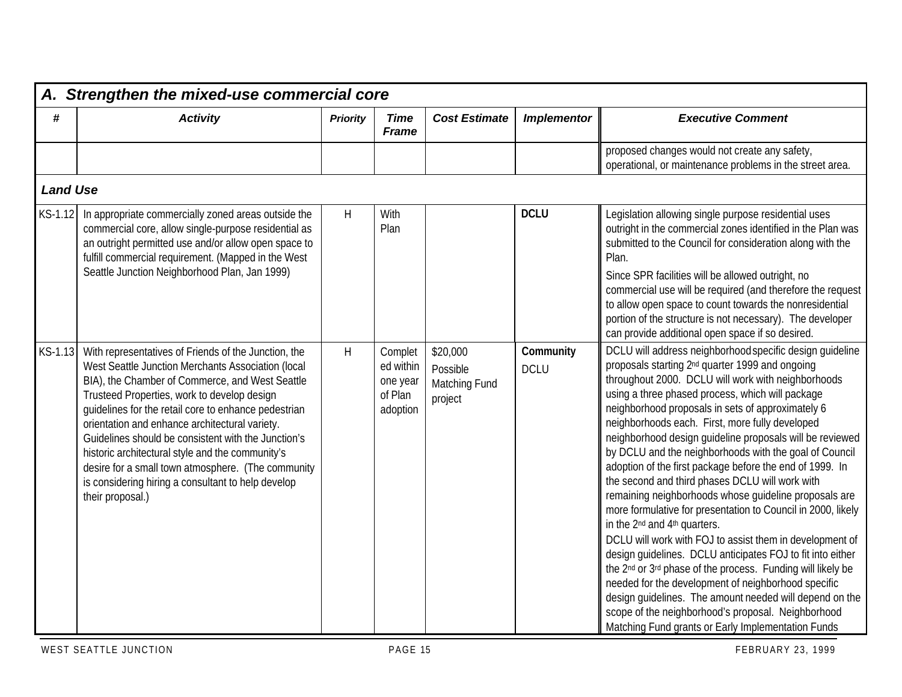|                 | A. Strengthen the mixed-use commercial core                                                                                                                                                                                                                                                                                                                                                                                                                                                                                                                       |                 |                                                         |                                                  |                          |                                                                                                                                                                                                                                                                                                                                                                                                                                                                                                                                                                                                                                                                                                                                                                                                                                                                                                                                                                                                                                                                                                                                                                                                                |  |  |  |  |
|-----------------|-------------------------------------------------------------------------------------------------------------------------------------------------------------------------------------------------------------------------------------------------------------------------------------------------------------------------------------------------------------------------------------------------------------------------------------------------------------------------------------------------------------------------------------------------------------------|-----------------|---------------------------------------------------------|--------------------------------------------------|--------------------------|----------------------------------------------------------------------------------------------------------------------------------------------------------------------------------------------------------------------------------------------------------------------------------------------------------------------------------------------------------------------------------------------------------------------------------------------------------------------------------------------------------------------------------------------------------------------------------------------------------------------------------------------------------------------------------------------------------------------------------------------------------------------------------------------------------------------------------------------------------------------------------------------------------------------------------------------------------------------------------------------------------------------------------------------------------------------------------------------------------------------------------------------------------------------------------------------------------------|--|--|--|--|
| #               | <b>Activity</b>                                                                                                                                                                                                                                                                                                                                                                                                                                                                                                                                                   | <b>Priority</b> | <b>Time</b><br><b>Frame</b>                             | <b>Cost Estimate</b>                             | <b>Implementor</b>       | <b>Executive Comment</b>                                                                                                                                                                                                                                                                                                                                                                                                                                                                                                                                                                                                                                                                                                                                                                                                                                                                                                                                                                                                                                                                                                                                                                                       |  |  |  |  |
|                 |                                                                                                                                                                                                                                                                                                                                                                                                                                                                                                                                                                   |                 |                                                         |                                                  |                          | proposed changes would not create any safety,<br>operational, or maintenance problems in the street area.                                                                                                                                                                                                                                                                                                                                                                                                                                                                                                                                                                                                                                                                                                                                                                                                                                                                                                                                                                                                                                                                                                      |  |  |  |  |
| <b>Land Use</b> |                                                                                                                                                                                                                                                                                                                                                                                                                                                                                                                                                                   |                 |                                                         |                                                  |                          |                                                                                                                                                                                                                                                                                                                                                                                                                                                                                                                                                                                                                                                                                                                                                                                                                                                                                                                                                                                                                                                                                                                                                                                                                |  |  |  |  |
| KS-1.12         | In appropriate commercially zoned areas outside the<br>commercial core, allow single-purpose residential as<br>an outright permitted use and/or allow open space to<br>fulfill commercial requirement. (Mapped in the West<br>Seattle Junction Neighborhood Plan, Jan 1999)                                                                                                                                                                                                                                                                                       | H               | With<br>Plan                                            |                                                  | <b>DCLU</b>              | Legislation allowing single purpose residential uses<br>outright in the commercial zones identified in the Plan was<br>submitted to the Council for consideration along with the<br>Plan.<br>Since SPR facilities will be allowed outright, no<br>commercial use will be required (and therefore the request<br>to allow open space to count towards the nonresidential<br>portion of the structure is not necessary). The developer<br>can provide additional open space if so desired.                                                                                                                                                                                                                                                                                                                                                                                                                                                                                                                                                                                                                                                                                                                       |  |  |  |  |
| KS-1.13         | With representatives of Friends of the Junction, the<br>West Seattle Junction Merchants Association (local<br>BIA), the Chamber of Commerce, and West Seattle<br>Trusteed Properties, work to develop design<br>guidelines for the retail core to enhance pedestrian<br>orientation and enhance architectural variety.<br>Guidelines should be consistent with the Junction's<br>historic architectural style and the community's<br>desire for a small town atmosphere. (The community<br>is considering hiring a consultant to help develop<br>their proposal.) | H               | Complet<br>ed within<br>one year<br>of Plan<br>adoption | \$20,000<br>Possible<br>Matching Fund<br>project | Community<br><b>DCLU</b> | DCLU will address neighborhood specific design quideline<br>proposals starting 2 <sup>nd</sup> quarter 1999 and ongoing<br>throughout 2000. DCLU will work with neighborhoods<br>using a three phased process, which will package<br>neighborhood proposals in sets of approximately 6<br>neighborhoods each. First, more fully developed<br>neighborhood design guideline proposals will be reviewed<br>by DCLU and the neighborhoods with the goal of Council<br>adoption of the first package before the end of 1999. In<br>the second and third phases DCLU will work with<br>remaining neighborhoods whose quideline proposals are<br>more formulative for presentation to Council in 2000, likely<br>in the 2 <sup>nd</sup> and 4 <sup>th</sup> quarters.<br>DCLU will work with FOJ to assist them in development of<br>design quidelines. DCLU anticipates FOJ to fit into either<br>the 2 <sup>nd</sup> or 3 <sup>rd</sup> phase of the process. Funding will likely be<br>needed for the development of neighborhood specific<br>design quidelines. The amount needed will depend on the<br>scope of the neighborhood's proposal. Neighborhood<br>Matching Fund grants or Early Implementation Funds |  |  |  |  |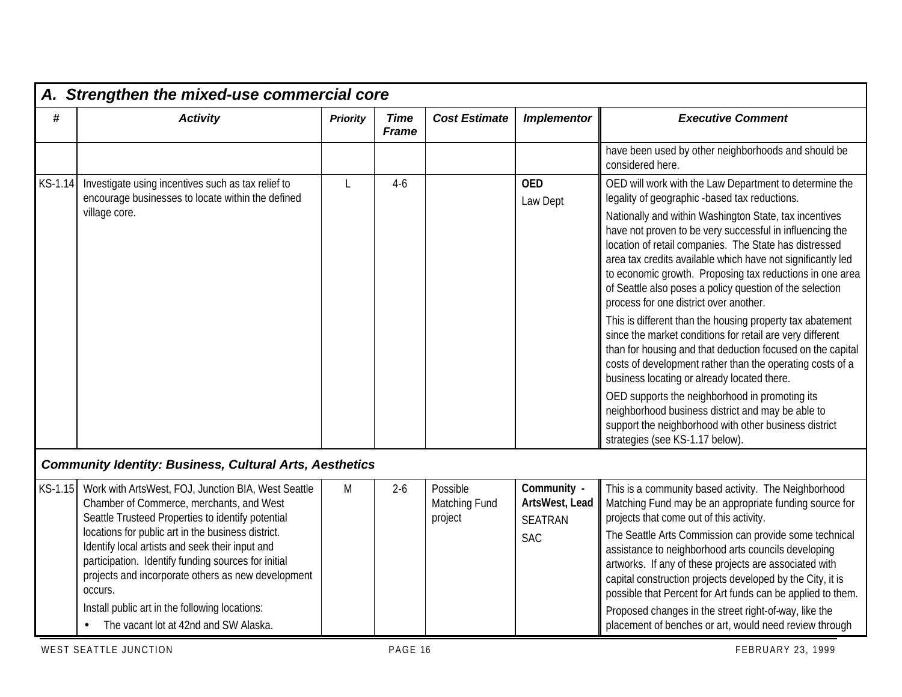|         | A. Strengthen the mixed-use commercial core                                                                                                                                                                                                                                                                                                                                                                                                                                      |                 |                             |                                      |                                                               |                                                                                                                                                                                                                                                                                                                                                                                                                                                                                                                                                                                                                                                                                                                                                                                                                                                                                                                                                                                                                                 |  |  |  |  |
|---------|----------------------------------------------------------------------------------------------------------------------------------------------------------------------------------------------------------------------------------------------------------------------------------------------------------------------------------------------------------------------------------------------------------------------------------------------------------------------------------|-----------------|-----------------------------|--------------------------------------|---------------------------------------------------------------|---------------------------------------------------------------------------------------------------------------------------------------------------------------------------------------------------------------------------------------------------------------------------------------------------------------------------------------------------------------------------------------------------------------------------------------------------------------------------------------------------------------------------------------------------------------------------------------------------------------------------------------------------------------------------------------------------------------------------------------------------------------------------------------------------------------------------------------------------------------------------------------------------------------------------------------------------------------------------------------------------------------------------------|--|--|--|--|
| #       | <b>Activity</b>                                                                                                                                                                                                                                                                                                                                                                                                                                                                  | <b>Priority</b> | <b>Time</b><br><b>Frame</b> | <b>Cost Estimate</b>                 | <b>Implementor</b>                                            | <b>Executive Comment</b>                                                                                                                                                                                                                                                                                                                                                                                                                                                                                                                                                                                                                                                                                                                                                                                                                                                                                                                                                                                                        |  |  |  |  |
|         |                                                                                                                                                                                                                                                                                                                                                                                                                                                                                  |                 |                             |                                      |                                                               | have been used by other neighborhoods and should be<br>considered here.                                                                                                                                                                                                                                                                                                                                                                                                                                                                                                                                                                                                                                                                                                                                                                                                                                                                                                                                                         |  |  |  |  |
| KS-1.14 | Investigate using incentives such as tax relief to<br>encourage businesses to locate within the defined<br>village core.                                                                                                                                                                                                                                                                                                                                                         | L               | $4-6$                       |                                      | <b>OED</b><br>Law Dept                                        | OED will work with the Law Department to determine the<br>legality of geographic -based tax reductions.<br>Nationally and within Washington State, tax incentives<br>have not proven to be very successful in influencing the<br>location of retail companies. The State has distressed<br>area tax credits available which have not significantly led<br>to economic growth. Proposing tax reductions in one area<br>of Seattle also poses a policy question of the selection<br>process for one district over another.<br>This is different than the housing property tax abatement<br>since the market conditions for retail are very different<br>than for housing and that deduction focused on the capital<br>costs of development rather than the operating costs of a<br>business locating or already located there.<br>OED supports the neighborhood in promoting its<br>neighborhood business district and may be able to<br>support the neighborhood with other business district<br>strategies (see KS-1.17 below). |  |  |  |  |
|         | <b>Community Identity: Business, Cultural Arts, Aesthetics</b>                                                                                                                                                                                                                                                                                                                                                                                                                   |                 |                             |                                      |                                                               |                                                                                                                                                                                                                                                                                                                                                                                                                                                                                                                                                                                                                                                                                                                                                                                                                                                                                                                                                                                                                                 |  |  |  |  |
| KS-1.15 | Work with ArtsWest, FOJ, Junction BIA, West Seattle<br>Chamber of Commerce, merchants, and West<br>Seattle Trusteed Properties to identify potential<br>locations for public art in the business district.<br>Identify local artists and seek their input and<br>participation. Identify funding sources for initial<br>projects and incorporate others as new development<br>occurs.<br>Install public art in the following locations:<br>The vacant lot at 42nd and SW Alaska. | M               | $2-6$                       | Possible<br>Matching Fund<br>project | Community -<br>ArtsWest, Lead<br><b>SEATRAN</b><br><b>SAC</b> | This is a community based activity. The Neighborhood<br>Matching Fund may be an appropriate funding source for<br>projects that come out of this activity.<br>The Seattle Arts Commission can provide some technical<br>assistance to neighborhood arts councils developing<br>artworks. If any of these projects are associated with<br>capital construction projects developed by the City, it is<br>possible that Percent for Art funds can be applied to them.<br>Proposed changes in the street right-of-way, like the<br>placement of benches or art, would need review through                                                                                                                                                                                                                                                                                                                                                                                                                                           |  |  |  |  |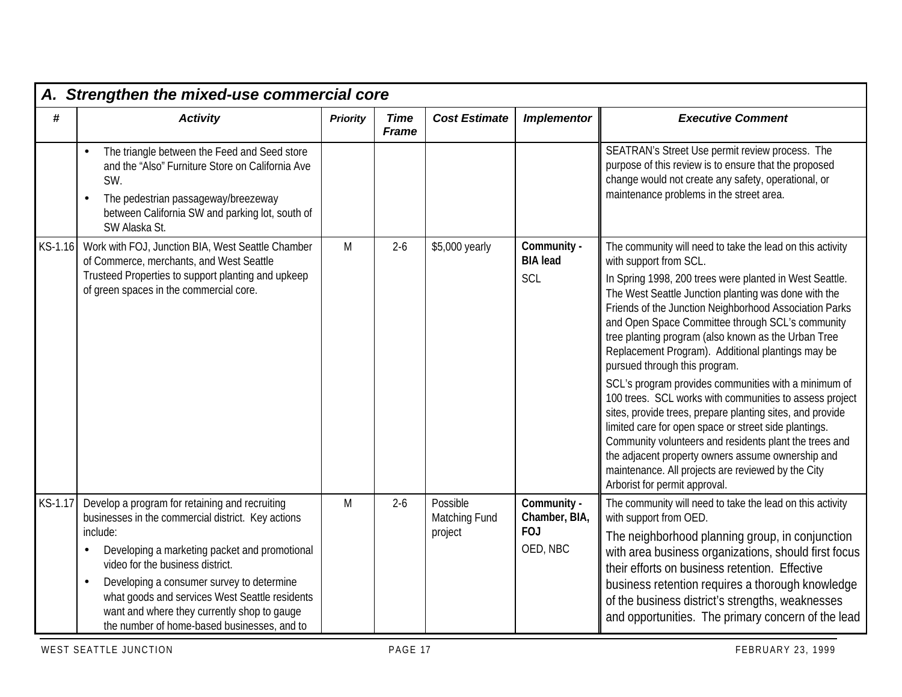|         | A. Strengthen the mixed-use commercial core                                                                                                                                                                                                                                                                                                                                                                                  |                 |                             |                                      |                                                        |                                                                                                                                                                                                                                                                                                                                                                                                                                                                                                                                                                                                                                                                                                                                                                                                                                                                                                                  |  |  |  |  |
|---------|------------------------------------------------------------------------------------------------------------------------------------------------------------------------------------------------------------------------------------------------------------------------------------------------------------------------------------------------------------------------------------------------------------------------------|-----------------|-----------------------------|--------------------------------------|--------------------------------------------------------|------------------------------------------------------------------------------------------------------------------------------------------------------------------------------------------------------------------------------------------------------------------------------------------------------------------------------------------------------------------------------------------------------------------------------------------------------------------------------------------------------------------------------------------------------------------------------------------------------------------------------------------------------------------------------------------------------------------------------------------------------------------------------------------------------------------------------------------------------------------------------------------------------------------|--|--|--|--|
| #       | <b>Activity</b>                                                                                                                                                                                                                                                                                                                                                                                                              | <b>Priority</b> | <b>Time</b><br><b>Frame</b> | <b>Cost Estimate</b>                 | <b>Implementor</b>                                     | <b>Executive Comment</b>                                                                                                                                                                                                                                                                                                                                                                                                                                                                                                                                                                                                                                                                                                                                                                                                                                                                                         |  |  |  |  |
|         | The triangle between the Feed and Seed store<br>$\bullet$<br>and the "Also" Furniture Store on California Ave<br>SW.<br>The pedestrian passageway/breezeway<br>$\bullet$<br>between California SW and parking lot, south of<br>SW Alaska St.                                                                                                                                                                                 |                 |                             |                                      |                                                        | SEATRAN's Street Use permit review process. The<br>purpose of this review is to ensure that the proposed<br>change would not create any safety, operational, or<br>maintenance problems in the street area.                                                                                                                                                                                                                                                                                                                                                                                                                                                                                                                                                                                                                                                                                                      |  |  |  |  |
| KS-1.16 | Work with FOJ, Junction BIA, West Seattle Chamber<br>of Commerce, merchants, and West Seattle<br>Trusteed Properties to support planting and upkeep<br>of green spaces in the commercial core.                                                                                                                                                                                                                               | M               | $2-6$                       | \$5,000 yearly                       | Community -<br><b>BIA</b> lead<br>SCL                  | The community will need to take the lead on this activity<br>with support from SCL.<br>In Spring 1998, 200 trees were planted in West Seattle.<br>The West Seattle Junction planting was done with the<br>Friends of the Junction Neighborhood Association Parks<br>and Open Space Committee through SCL's community<br>tree planting program (also known as the Urban Tree<br>Replacement Program). Additional plantings may be<br>pursued through this program.<br>SCL's program provides communities with a minimum of<br>100 trees. SCL works with communities to assess project<br>sites, provide trees, prepare planting sites, and provide<br>limited care for open space or street side plantings.<br>Community volunteers and residents plant the trees and<br>the adjacent property owners assume ownership and<br>maintenance. All projects are reviewed by the City<br>Arborist for permit approval. |  |  |  |  |
| KS-1.17 | Develop a program for retaining and recruiting<br>businesses in the commercial district. Key actions<br>include:<br>Developing a marketing packet and promotional<br>$\bullet$<br>video for the business district.<br>Developing a consumer survey to determine<br>$\bullet$<br>what goods and services West Seattle residents<br>want and where they currently shop to gauge<br>the number of home-based businesses, and to | M               | $2-6$                       | Possible<br>Matching Fund<br>project | Community -<br>Chamber, BIA,<br><b>FOJ</b><br>OED, NBC | The community will need to take the lead on this activity<br>with support from OED.<br>The neighborhood planning group, in conjunction<br>with area business organizations, should first focus<br>their efforts on business retention. Effective<br>business retention requires a thorough knowledge<br>of the business district's strengths, weaknesses<br>and opportunities. The primary concern of the lead                                                                                                                                                                                                                                                                                                                                                                                                                                                                                                   |  |  |  |  |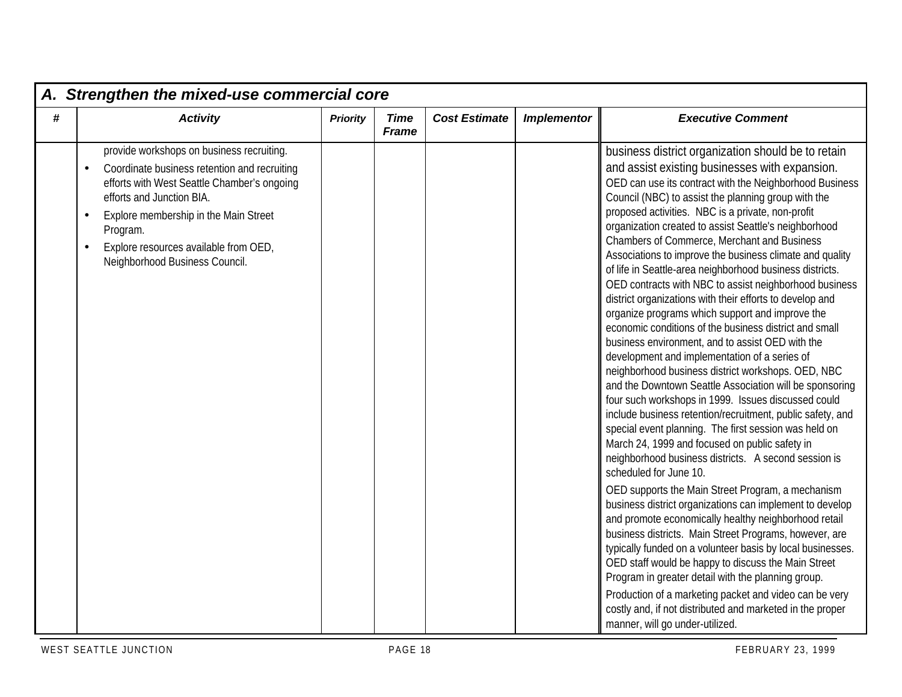|      | A. Strengthen the mixed-use commercial core                                                                                                                                                                                                                                                                                                  |                 |                             |                      |                    |                                                                                                                                                                                                                                                                                                                                                                                                                                                                                                                                                                                                                                                                                                                                                                                                                                                                                                                                                                                                                                                                                                                                                                                                                                                                                                                                                                                                                                                                                                                                                                                                                                                                                                                                                                                                                                                                |  |  |  |  |  |  |
|------|----------------------------------------------------------------------------------------------------------------------------------------------------------------------------------------------------------------------------------------------------------------------------------------------------------------------------------------------|-----------------|-----------------------------|----------------------|--------------------|----------------------------------------------------------------------------------------------------------------------------------------------------------------------------------------------------------------------------------------------------------------------------------------------------------------------------------------------------------------------------------------------------------------------------------------------------------------------------------------------------------------------------------------------------------------------------------------------------------------------------------------------------------------------------------------------------------------------------------------------------------------------------------------------------------------------------------------------------------------------------------------------------------------------------------------------------------------------------------------------------------------------------------------------------------------------------------------------------------------------------------------------------------------------------------------------------------------------------------------------------------------------------------------------------------------------------------------------------------------------------------------------------------------------------------------------------------------------------------------------------------------------------------------------------------------------------------------------------------------------------------------------------------------------------------------------------------------------------------------------------------------------------------------------------------------------------------------------------------------|--|--|--|--|--|--|
| $\#$ | <b>Activity</b>                                                                                                                                                                                                                                                                                                                              | <b>Priority</b> | <b>Time</b><br><b>Frame</b> | <b>Cost Estimate</b> | <b>Implementor</b> | <b>Executive Comment</b>                                                                                                                                                                                                                                                                                                                                                                                                                                                                                                                                                                                                                                                                                                                                                                                                                                                                                                                                                                                                                                                                                                                                                                                                                                                                                                                                                                                                                                                                                                                                                                                                                                                                                                                                                                                                                                       |  |  |  |  |  |  |
|      | provide workshops on business recruiting.<br>Coordinate business retention and recruiting<br>$\bullet$<br>efforts with West Seattle Chamber's ongoing<br>efforts and Junction BIA.<br>Explore membership in the Main Street<br>$\bullet$<br>Program.<br>Explore resources available from OED,<br>$\bullet$<br>Neighborhood Business Council. |                 |                             |                      |                    | business district organization should be to retain<br>and assist existing businesses with expansion.<br>OED can use its contract with the Neighborhood Business<br>Council (NBC) to assist the planning group with the<br>proposed activities. NBC is a private, non-profit<br>organization created to assist Seattle's neighborhood<br>Chambers of Commerce, Merchant and Business<br>Associations to improve the business climate and quality<br>of life in Seattle-area neighborhood business districts.<br>OED contracts with NBC to assist neighborhood business<br>district organizations with their efforts to develop and<br>organize programs which support and improve the<br>economic conditions of the business district and small<br>business environment, and to assist OED with the<br>development and implementation of a series of<br>neighborhood business district workshops. OED, NBC<br>and the Downtown Seattle Association will be sponsoring<br>four such workshops in 1999. Issues discussed could<br>include business retention/recruitment, public safety, and<br>special event planning. The first session was held on<br>March 24, 1999 and focused on public safety in<br>neighborhood business districts. A second session is<br>scheduled for June 10.<br>OED supports the Main Street Program, a mechanism<br>business district organizations can implement to develop<br>and promote economically healthy neighborhood retail<br>business districts. Main Street Programs, however, are<br>typically funded on a volunteer basis by local businesses.<br>OED staff would be happy to discuss the Main Street<br>Program in greater detail with the planning group.<br>Production of a marketing packet and video can be very<br>costly and, if not distributed and marketed in the proper<br>manner, will go under-utilized. |  |  |  |  |  |  |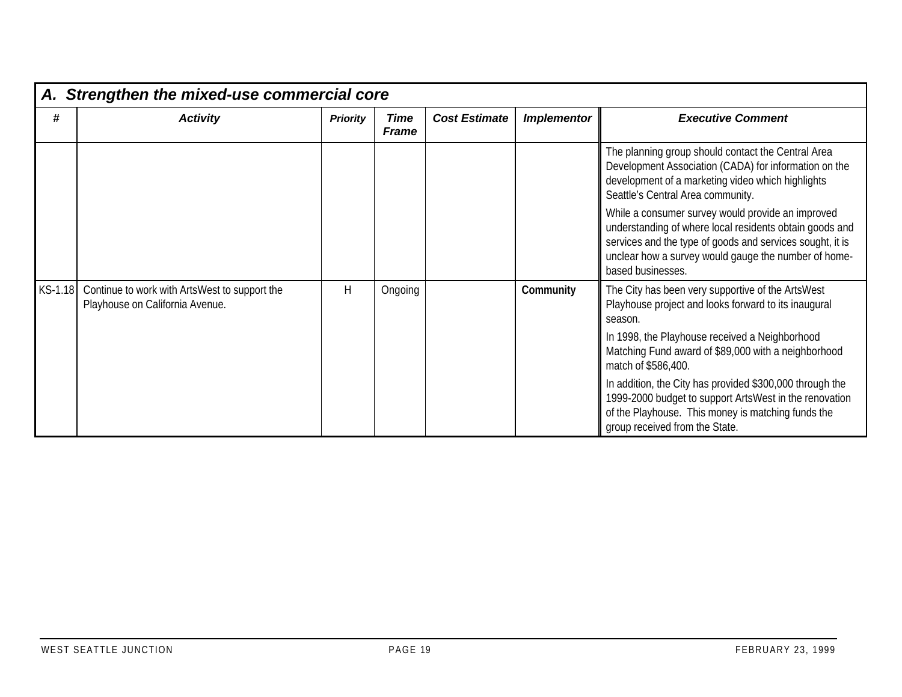|         | A. Strengthen the mixed-use commercial core                                      |                 |                             |                      |                    |                                                                                                                                                                                                                                                        |
|---------|----------------------------------------------------------------------------------|-----------------|-----------------------------|----------------------|--------------------|--------------------------------------------------------------------------------------------------------------------------------------------------------------------------------------------------------------------------------------------------------|
| #       | <b>Activity</b>                                                                  | <b>Priority</b> | <b>Time</b><br><b>Frame</b> | <b>Cost Estimate</b> | <b>Implementor</b> | <b>Executive Comment</b>                                                                                                                                                                                                                               |
|         |                                                                                  |                 |                             |                      |                    | The planning group should contact the Central Area<br>Development Association (CADA) for information on the<br>development of a marketing video which highlights<br>Seattle's Central Area community.                                                  |
|         |                                                                                  |                 |                             |                      |                    | While a consumer survey would provide an improved<br>understanding of where local residents obtain goods and<br>services and the type of goods and services sought, it is<br>unclear how a survey would gauge the number of home-<br>based businesses. |
| KS-1.18 | Continue to work with ArtsWest to support the<br>Playhouse on California Avenue. | H               | Ongoing                     |                      | Community          | The City has been very supportive of the ArtsWest<br>Playhouse project and looks forward to its inaugural<br>season.                                                                                                                                   |
|         |                                                                                  |                 |                             |                      |                    | In 1998, the Playhouse received a Neighborhood<br>Matching Fund award of \$89,000 with a neighborhood<br>match of \$586,400.                                                                                                                           |
|         |                                                                                  |                 |                             |                      |                    | In addition, the City has provided \$300,000 through the<br>1999-2000 budget to support ArtsWest in the renovation<br>of the Playhouse. This money is matching funds the<br>group received from the State.                                             |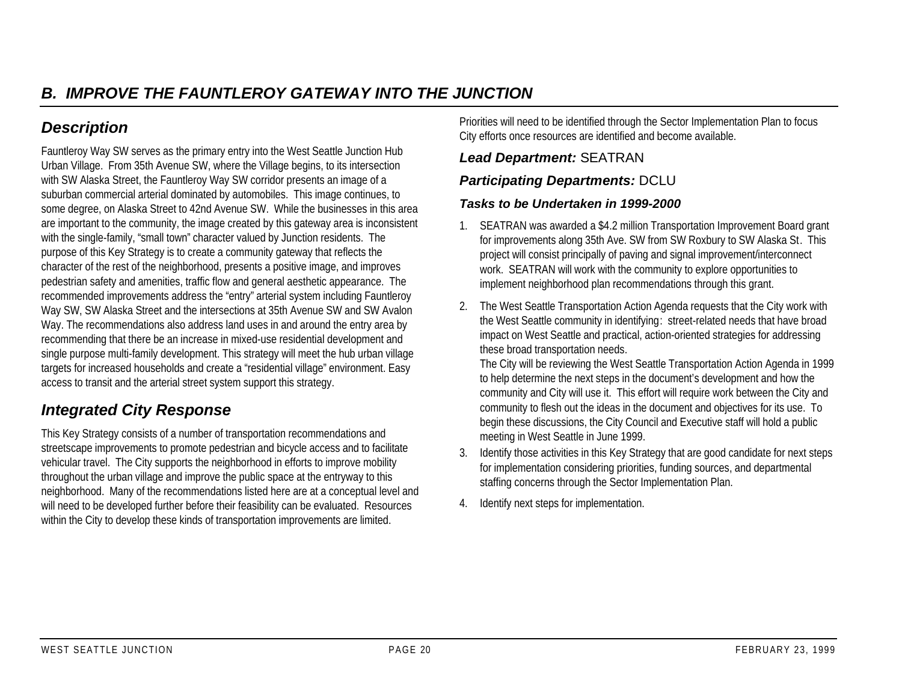# *Description*

Fauntleroy Way SW serves as the primary entry into the West Seattle Junction Hub Urban Village. From 35th Avenue SW, where the Village begins, to its intersection with SW Alaska Street, the Fauntleroy Way SW corridor presents an image of a suburban commercial arterial dominated by automobiles. This image continues, to some degree, on Alaska Street to 42nd Avenue SW. While the businesses in this area are important to the community, the image created by this gateway area is inconsistent with the single-family, "small town" character valued by Junction residents. The purpose of this Key Strategy is to create a community gateway that reflects the character of the rest of the neighborhood, presents a positive image, and improves pedestrian safety and amenities, traffic flow and general aesthetic appearance. The recommended improvements address the "entry" arterial system including Fauntleroy Way SW, SW Alaska Street and the intersections at 35th Avenue SW and SW Avalon Way. The recommendations also address land uses in and around the entry area by recommending that there be an increase in mixed-use residential development and single purpose multi-family development. This strategy will meet the hub urban village targets for increased households and create a "residential village" environment. Easy access to transit and the arterial street system support this strategy.

## *Integrated City Response*

This Key Strategy consists of a number of transportation recommendations and streetscape improvements to promote pedestrian and bicycle access and to facilitate vehicular travel. The City supports the neighborhood in efforts to improve mobility throughout the urban village and improve the public space at the entryway to this neighborhood. Many of the recommendations listed here are at a conceptual level and will need to be developed further before their feasibility can be evaluated. Resources within the City to develop these kinds of transportation improvements are limited.

Priorities will need to be identified through the Sector Implementation Plan to focus City efforts once resources are identified and become available.

## *Lead Department:* SEATRAN

## *Participating Departments:* DCLU

#### *Tasks to be Undertaken in 1999-2000*

- 1. SEATRAN was awarded a \$4.2 million Transportation Improvement Board grant for improvements along 35th Ave. SW from SW Roxbury to SW Alaska St. This project will consist principally of paving and signal improvement/interconnect work. SEATRAN will work with the community to explore opportunities to implement neighborhood plan recommendations through this grant.
- 2. The West Seattle Transportation Action Agenda requests that the City work with the West Seattle community in identifying: street-related needs that have broad impact on West Seattle and practical, action-oriented strategies for addressing these broad transportation needs.

The City will be reviewing the West Seattle Transportation Action Agenda in 1999 to help determine the next steps in the document's development and how the community and City will use it. This effort will require work between the City and community to flesh out the ideas in the document and objectives for its use. To begin these discussions, the City Council and Executive staff will hold a public meeting in West Seattle in June 1999.

- 3. Identify those activities in this Key Strategy that are good candidate for next steps for implementation considering priorities, funding sources, and departmental staffing concerns through the Sector Implementation Plan.
- 4. Identify next steps for implementation.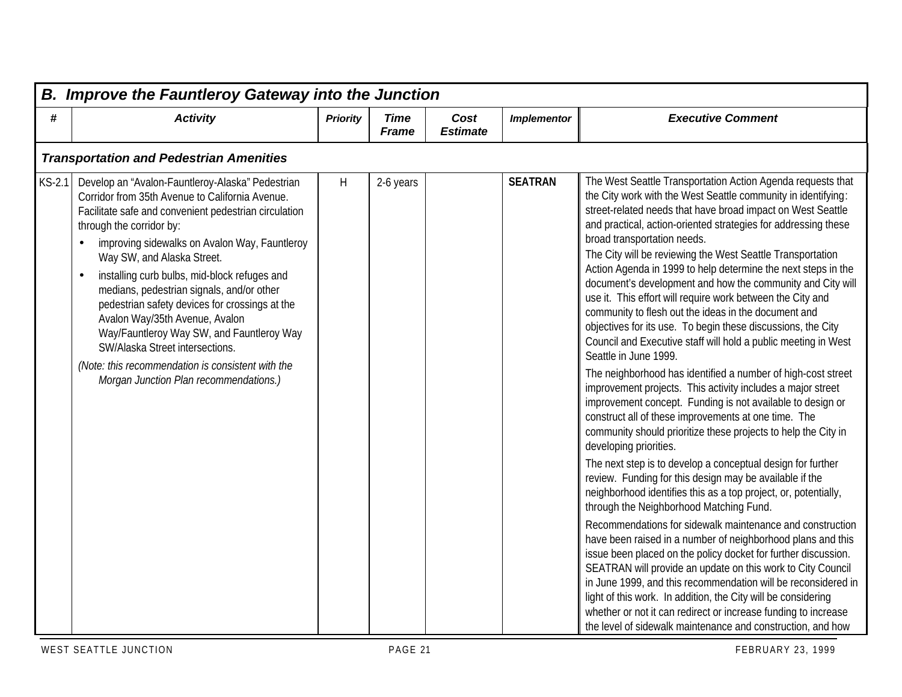| <b>B. Improve the Fauntleroy Gateway into the Junction</b> |                                                                                                                                                                                                                                                                                                                                                                                                                                                                                                                                                                                                                                         |                 |                             |                         |                    |                                                                                                                                                                                                                                                                                                                                                                                                                                                                                                                                                                                                                                                                                                                                                                                                                                                                                                                                                                                                                                                                                                                                                                                                                                                                                                                                                                                                                                                                                                                                                                                                                                                                                                                                                                                                                                                                                                     |  |  |  |  |
|------------------------------------------------------------|-----------------------------------------------------------------------------------------------------------------------------------------------------------------------------------------------------------------------------------------------------------------------------------------------------------------------------------------------------------------------------------------------------------------------------------------------------------------------------------------------------------------------------------------------------------------------------------------------------------------------------------------|-----------------|-----------------------------|-------------------------|--------------------|-----------------------------------------------------------------------------------------------------------------------------------------------------------------------------------------------------------------------------------------------------------------------------------------------------------------------------------------------------------------------------------------------------------------------------------------------------------------------------------------------------------------------------------------------------------------------------------------------------------------------------------------------------------------------------------------------------------------------------------------------------------------------------------------------------------------------------------------------------------------------------------------------------------------------------------------------------------------------------------------------------------------------------------------------------------------------------------------------------------------------------------------------------------------------------------------------------------------------------------------------------------------------------------------------------------------------------------------------------------------------------------------------------------------------------------------------------------------------------------------------------------------------------------------------------------------------------------------------------------------------------------------------------------------------------------------------------------------------------------------------------------------------------------------------------------------------------------------------------------------------------------------------------|--|--|--|--|
| #                                                          | <b>Activity</b>                                                                                                                                                                                                                                                                                                                                                                                                                                                                                                                                                                                                                         | <b>Priority</b> | <b>Time</b><br><b>Frame</b> | Cost<br><b>Estimate</b> | <b>Implementor</b> | <b>Executive Comment</b>                                                                                                                                                                                                                                                                                                                                                                                                                                                                                                                                                                                                                                                                                                                                                                                                                                                                                                                                                                                                                                                                                                                                                                                                                                                                                                                                                                                                                                                                                                                                                                                                                                                                                                                                                                                                                                                                            |  |  |  |  |
|                                                            | <b>Transportation and Pedestrian Amenities</b>                                                                                                                                                                                                                                                                                                                                                                                                                                                                                                                                                                                          |                 |                             |                         |                    |                                                                                                                                                                                                                                                                                                                                                                                                                                                                                                                                                                                                                                                                                                                                                                                                                                                                                                                                                                                                                                                                                                                                                                                                                                                                                                                                                                                                                                                                                                                                                                                                                                                                                                                                                                                                                                                                                                     |  |  |  |  |
| $KS-2.1$                                                   | Develop an "Avalon-Fauntleroy-Alaska" Pedestrian<br>Corridor from 35th Avenue to California Avenue.<br>Facilitate safe and convenient pedestrian circulation<br>through the corridor by:<br>improving sidewalks on Avalon Way, Fauntleroy<br>Way SW, and Alaska Street.<br>installing curb bulbs, mid-block refuges and<br>medians, pedestrian signals, and/or other<br>pedestrian safety devices for crossings at the<br>Avalon Way/35th Avenue, Avalon<br>Way/Fauntleroy Way SW, and Fauntleroy Way<br>SW/Alaska Street intersections.<br>(Note: this recommendation is consistent with the<br>Morgan Junction Plan recommendations.) | H               | 2-6 years                   |                         | <b>SEATRAN</b>     | The West Seattle Transportation Action Agenda requests that<br>the City work with the West Seattle community in identifying:<br>street-related needs that have broad impact on West Seattle<br>and practical, action-oriented strategies for addressing these<br>broad transportation needs.<br>The City will be reviewing the West Seattle Transportation<br>Action Agenda in 1999 to help determine the next steps in the<br>document's development and how the community and City will<br>use it. This effort will require work between the City and<br>community to flesh out the ideas in the document and<br>objectives for its use. To begin these discussions, the City<br>Council and Executive staff will hold a public meeting in West<br>Seattle in June 1999.<br>The neighborhood has identified a number of high-cost street<br>improvement projects. This activity includes a major street<br>improvement concept. Funding is not available to design or<br>construct all of these improvements at one time. The<br>community should prioritize these projects to help the City in<br>developing priorities.<br>The next step is to develop a conceptual design for further<br>review. Funding for this design may be available if the<br>neighborhood identifies this as a top project, or, potentially,<br>through the Neighborhood Matching Fund.<br>Recommendations for sidewalk maintenance and construction<br>have been raised in a number of neighborhood plans and this<br>issue been placed on the policy docket for further discussion.<br>SEATRAN will provide an update on this work to City Council<br>in June 1999, and this recommendation will be reconsidered in<br>light of this work. In addition, the City will be considering<br>whether or not it can redirect or increase funding to increase<br>the level of sidewalk maintenance and construction, and how |  |  |  |  |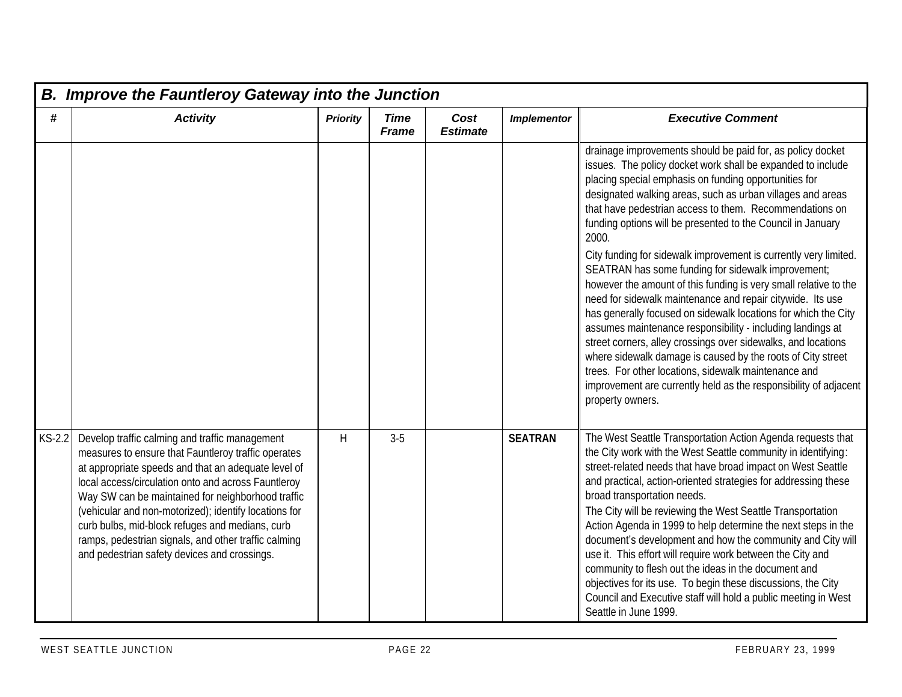|               | <b>B. Improve the Fauntleroy Gateway into the Junction</b>                                                                                                                                                                                                                                                                                                                                                                                                                                   |                 |                             |                         |                    |                                                                                                                                                                                                                                                                                                                                                                                                                                                                                                                                                                                                                                                                                                                                                                                                                                                                                                                                                                                                                                                                 |  |  |  |  |  |  |
|---------------|----------------------------------------------------------------------------------------------------------------------------------------------------------------------------------------------------------------------------------------------------------------------------------------------------------------------------------------------------------------------------------------------------------------------------------------------------------------------------------------------|-----------------|-----------------------------|-------------------------|--------------------|-----------------------------------------------------------------------------------------------------------------------------------------------------------------------------------------------------------------------------------------------------------------------------------------------------------------------------------------------------------------------------------------------------------------------------------------------------------------------------------------------------------------------------------------------------------------------------------------------------------------------------------------------------------------------------------------------------------------------------------------------------------------------------------------------------------------------------------------------------------------------------------------------------------------------------------------------------------------------------------------------------------------------------------------------------------------|--|--|--|--|--|--|
| #             | <b>Activity</b>                                                                                                                                                                                                                                                                                                                                                                                                                                                                              | <b>Priority</b> | <b>Time</b><br><b>Frame</b> | Cost<br><b>Estimate</b> | <b>Implementor</b> | <b>Executive Comment</b>                                                                                                                                                                                                                                                                                                                                                                                                                                                                                                                                                                                                                                                                                                                                                                                                                                                                                                                                                                                                                                        |  |  |  |  |  |  |
|               |                                                                                                                                                                                                                                                                                                                                                                                                                                                                                              |                 |                             |                         |                    | drainage improvements should be paid for, as policy docket<br>issues. The policy docket work shall be expanded to include<br>placing special emphasis on funding opportunities for<br>designated walking areas, such as urban villages and areas<br>that have pedestrian access to them. Recommendations on<br>funding options will be presented to the Council in January<br>2000.<br>City funding for sidewalk improvement is currently very limited.<br>SEATRAN has some funding for sidewalk improvement;<br>however the amount of this funding is very small relative to the<br>need for sidewalk maintenance and repair citywide. Its use<br>has generally focused on sidewalk locations for which the City<br>assumes maintenance responsibility - including landings at<br>street corners, alley crossings over sidewalks, and locations<br>where sidewalk damage is caused by the roots of City street<br>trees. For other locations, sidewalk maintenance and<br>improvement are currently held as the responsibility of adjacent<br>property owners. |  |  |  |  |  |  |
| <b>KS-2.2</b> | Develop traffic calming and traffic management<br>measures to ensure that Fauntleroy traffic operates<br>at appropriate speeds and that an adequate level of<br>local access/circulation onto and across Fauntleroy<br>Way SW can be maintained for neighborhood traffic<br>(vehicular and non-motorized); identify locations for<br>curb bulbs, mid-block refuges and medians, curb<br>ramps, pedestrian signals, and other traffic calming<br>and pedestrian safety devices and crossings. | H               | $3-5$                       |                         | <b>SEATRAN</b>     | The West Seattle Transportation Action Agenda requests that<br>the City work with the West Seattle community in identifying:<br>street-related needs that have broad impact on West Seattle<br>and practical, action-oriented strategies for addressing these<br>broad transportation needs.<br>The City will be reviewing the West Seattle Transportation<br>Action Agenda in 1999 to help determine the next steps in the<br>document's development and how the community and City will<br>use it. This effort will require work between the City and<br>community to flesh out the ideas in the document and<br>objectives for its use. To begin these discussions, the City<br>Council and Executive staff will hold a public meeting in West<br>Seattle in June 1999.                                                                                                                                                                                                                                                                                      |  |  |  |  |  |  |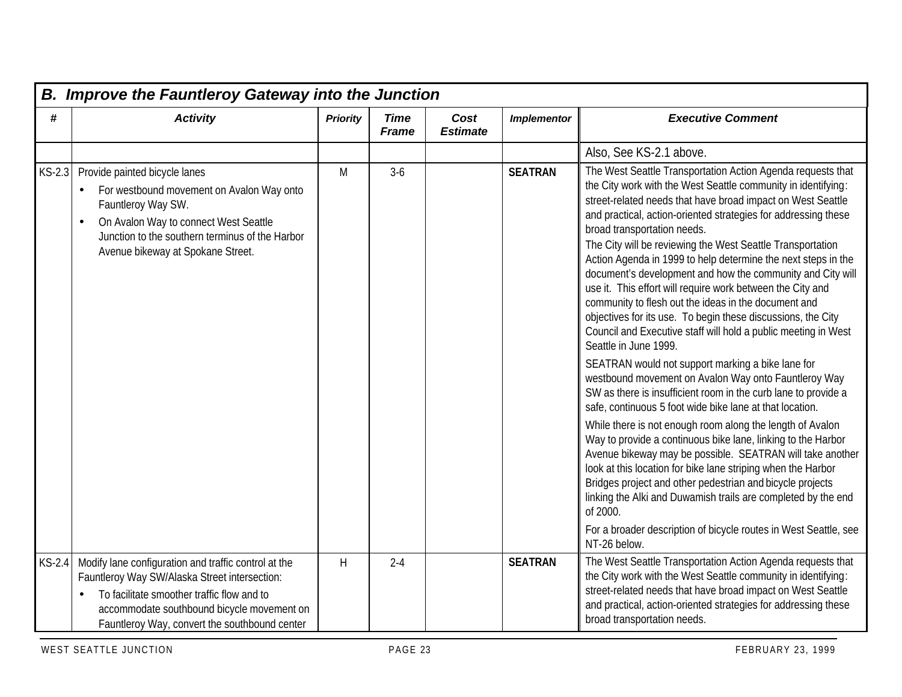|          | <b>B. Improve the Fauntleroy Gateway into the Junction</b>                                                                                                                                                                                         |                 |                             |                         |                    |                                                                                                                                                                                                                                                                                                                                                                                                                                                                                                                                                                                                                                                                                                                                                                                                                                                                                                                                                                                                                                                                                                                                                                                                                                                                                                                                                                                                                                                                                                               |  |  |  |  |  |  |
|----------|----------------------------------------------------------------------------------------------------------------------------------------------------------------------------------------------------------------------------------------------------|-----------------|-----------------------------|-------------------------|--------------------|---------------------------------------------------------------------------------------------------------------------------------------------------------------------------------------------------------------------------------------------------------------------------------------------------------------------------------------------------------------------------------------------------------------------------------------------------------------------------------------------------------------------------------------------------------------------------------------------------------------------------------------------------------------------------------------------------------------------------------------------------------------------------------------------------------------------------------------------------------------------------------------------------------------------------------------------------------------------------------------------------------------------------------------------------------------------------------------------------------------------------------------------------------------------------------------------------------------------------------------------------------------------------------------------------------------------------------------------------------------------------------------------------------------------------------------------------------------------------------------------------------------|--|--|--|--|--|--|
| #        | <b>Activity</b>                                                                                                                                                                                                                                    | <b>Priority</b> | <b>Time</b><br><b>Frame</b> | Cost<br><b>Estimate</b> | <b>Implementor</b> | <b>Executive Comment</b>                                                                                                                                                                                                                                                                                                                                                                                                                                                                                                                                                                                                                                                                                                                                                                                                                                                                                                                                                                                                                                                                                                                                                                                                                                                                                                                                                                                                                                                                                      |  |  |  |  |  |  |
|          |                                                                                                                                                                                                                                                    |                 |                             |                         |                    | Also, See KS-2.1 above.                                                                                                                                                                                                                                                                                                                                                                                                                                                                                                                                                                                                                                                                                                                                                                                                                                                                                                                                                                                                                                                                                                                                                                                                                                                                                                                                                                                                                                                                                       |  |  |  |  |  |  |
| $KS-2.3$ | Provide painted bicycle lanes<br>For westbound movement on Avalon Way onto<br>Fauntleroy Way SW.<br>On Avalon Way to connect West Seattle<br>Junction to the southern terminus of the Harbor<br>Avenue bikeway at Spokane Street.                  | M               | $3-6$                       |                         | <b>SEATRAN</b>     | The West Seattle Transportation Action Agenda requests that<br>the City work with the West Seattle community in identifying:<br>street-related needs that have broad impact on West Seattle<br>and practical, action-oriented strategies for addressing these<br>broad transportation needs.<br>The City will be reviewing the West Seattle Transportation<br>Action Agenda in 1999 to help determine the next steps in the<br>document's development and how the community and City will<br>use it. This effort will require work between the City and<br>community to flesh out the ideas in the document and<br>objectives for its use. To begin these discussions, the City<br>Council and Executive staff will hold a public meeting in West<br>Seattle in June 1999.<br>SEATRAN would not support marking a bike lane for<br>westbound movement on Avalon Way onto Fauntleroy Way<br>SW as there is insufficient room in the curb lane to provide a<br>safe, continuous 5 foot wide bike lane at that location.<br>While there is not enough room along the length of Avalon<br>Way to provide a continuous bike lane, linking to the Harbor<br>Avenue bikeway may be possible. SEATRAN will take another<br>look at this location for bike lane striping when the Harbor<br>Bridges project and other pedestrian and bicycle projects<br>linking the Alki and Duwamish trails are completed by the end<br>of 2000.<br>For a broader description of bicycle routes in West Seattle, see<br>NT-26 below. |  |  |  |  |  |  |
| $KS-2.4$ | Modify lane configuration and traffic control at the<br>Fauntleroy Way SW/Alaska Street intersection:<br>To facilitate smoother traffic flow and to<br>accommodate southbound bicycle movement on<br>Fauntleroy Way, convert the southbound center | H               | $2 - 4$                     |                         | <b>SEATRAN</b>     | The West Seattle Transportation Action Agenda requests that<br>the City work with the West Seattle community in identifying:<br>street-related needs that have broad impact on West Seattle<br>and practical, action-oriented strategies for addressing these<br>broad transportation needs.                                                                                                                                                                                                                                                                                                                                                                                                                                                                                                                                                                                                                                                                                                                                                                                                                                                                                                                                                                                                                                                                                                                                                                                                                  |  |  |  |  |  |  |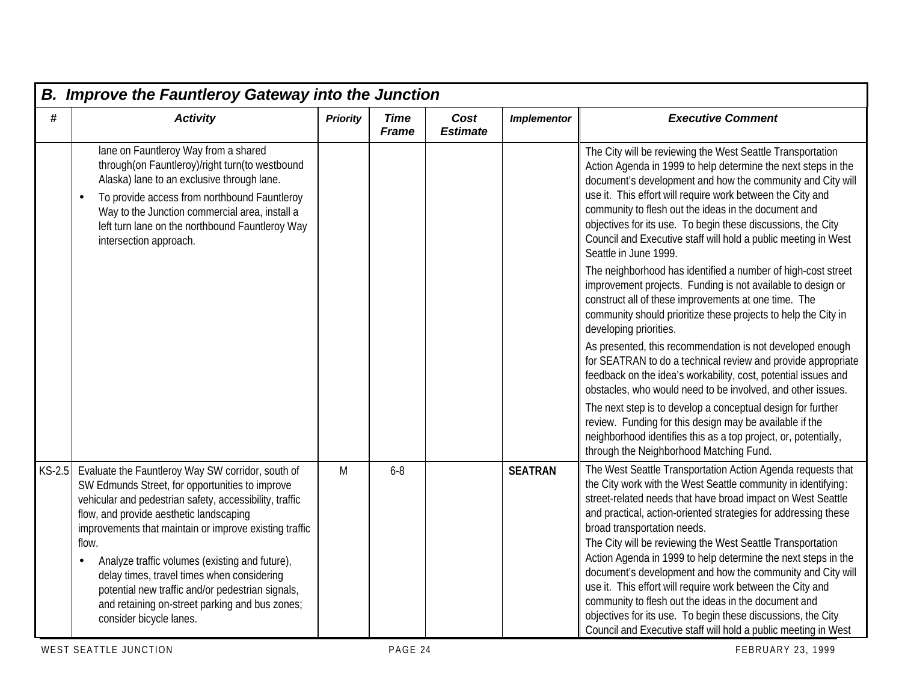|        | <b>B. Improve the Fauntleroy Gateway into the Junction</b>                                                                                                                                                                                                                                                                                                                                                                                                                                                     |                 |                             |                         |                    |                                                                                                                                                                                                                                                                                                                                                                                                                                                                                                                                                                                                                                                                                                                                                               |  |  |  |  |  |  |
|--------|----------------------------------------------------------------------------------------------------------------------------------------------------------------------------------------------------------------------------------------------------------------------------------------------------------------------------------------------------------------------------------------------------------------------------------------------------------------------------------------------------------------|-----------------|-----------------------------|-------------------------|--------------------|---------------------------------------------------------------------------------------------------------------------------------------------------------------------------------------------------------------------------------------------------------------------------------------------------------------------------------------------------------------------------------------------------------------------------------------------------------------------------------------------------------------------------------------------------------------------------------------------------------------------------------------------------------------------------------------------------------------------------------------------------------------|--|--|--|--|--|--|
| #      | <b>Activity</b>                                                                                                                                                                                                                                                                                                                                                                                                                                                                                                | <b>Priority</b> | <b>Time</b><br><b>Frame</b> | Cost<br><b>Estimate</b> | <b>Implementor</b> | <b>Executive Comment</b>                                                                                                                                                                                                                                                                                                                                                                                                                                                                                                                                                                                                                                                                                                                                      |  |  |  |  |  |  |
|        | lane on Fauntleroy Way from a shared<br>through(on Fauntleroy)/right turn(to westbound<br>Alaska) lane to an exclusive through lane.<br>To provide access from northbound Fauntleroy<br>Way to the Junction commercial area, install a<br>left turn lane on the northbound Fauntleroy Way<br>intersection approach.                                                                                                                                                                                            |                 |                             |                         |                    | The City will be reviewing the West Seattle Transportation<br>Action Agenda in 1999 to help determine the next steps in the<br>document's development and how the community and City will<br>use it. This effort will require work between the City and<br>community to flesh out the ideas in the document and<br>objectives for its use. To begin these discussions, the City<br>Council and Executive staff will hold a public meeting in West<br>Seattle in June 1999.<br>The neighborhood has identified a number of high-cost street<br>improvement projects. Funding is not available to design or<br>construct all of these improvements at one time. The<br>community should prioritize these projects to help the City in<br>developing priorities. |  |  |  |  |  |  |
|        |                                                                                                                                                                                                                                                                                                                                                                                                                                                                                                                |                 |                             |                         |                    | As presented, this recommendation is not developed enough<br>for SEATRAN to do a technical review and provide appropriate<br>feedback on the idea's workability, cost, potential issues and<br>obstacles, who would need to be involved, and other issues.                                                                                                                                                                                                                                                                                                                                                                                                                                                                                                    |  |  |  |  |  |  |
|        |                                                                                                                                                                                                                                                                                                                                                                                                                                                                                                                |                 |                             |                         |                    | The next step is to develop a conceptual design for further<br>review. Funding for this design may be available if the<br>neighborhood identifies this as a top project, or, potentially,<br>through the Neighborhood Matching Fund.                                                                                                                                                                                                                                                                                                                                                                                                                                                                                                                          |  |  |  |  |  |  |
| KS-2.5 | Evaluate the Fauntleroy Way SW corridor, south of<br>SW Edmunds Street, for opportunities to improve<br>vehicular and pedestrian safety, accessibility, traffic<br>flow, and provide aesthetic landscaping<br>improvements that maintain or improve existing traffic<br>flow.<br>Analyze traffic volumes (existing and future),<br>delay times, travel times when considering<br>potential new traffic and/or pedestrian signals,<br>and retaining on-street parking and bus zones;<br>consider bicycle lanes. | M               | $6 - 8$                     |                         | <b>SEATRAN</b>     | The West Seattle Transportation Action Agenda requests that<br>the City work with the West Seattle community in identifying:<br>street-related needs that have broad impact on West Seattle<br>and practical, action-oriented strategies for addressing these<br>broad transportation needs.<br>The City will be reviewing the West Seattle Transportation<br>Action Agenda in 1999 to help determine the next steps in the<br>document's development and how the community and City will<br>use it. This effort will require work between the City and<br>community to flesh out the ideas in the document and<br>objectives for its use. To begin these discussions, the City<br>Council and Executive staff will hold a public meeting in West             |  |  |  |  |  |  |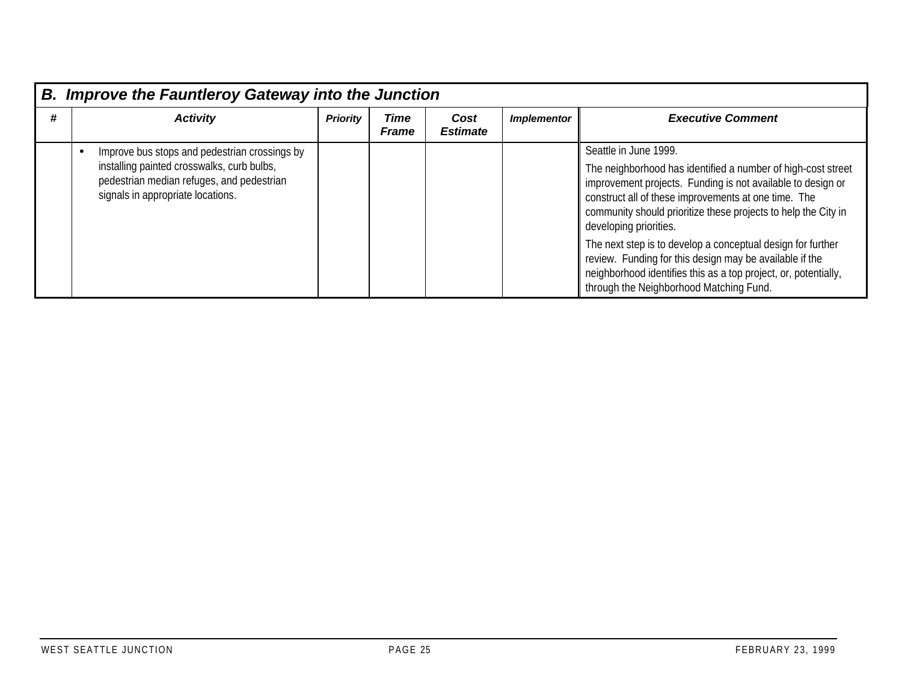|   | <b>B. Improve the Fauntleroy Gateway into the Junction</b> |                                                                                                                                                                               |                 |                      |                         |                    |                                                                                                                                                                                                                                                                                                                                                                                                                                                                                                                                                  |  |  |  |  |  |
|---|------------------------------------------------------------|-------------------------------------------------------------------------------------------------------------------------------------------------------------------------------|-----------------|----------------------|-------------------------|--------------------|--------------------------------------------------------------------------------------------------------------------------------------------------------------------------------------------------------------------------------------------------------------------------------------------------------------------------------------------------------------------------------------------------------------------------------------------------------------------------------------------------------------------------------------------------|--|--|--|--|--|
| # |                                                            | <b>Activity</b>                                                                                                                                                               | <b>Priority</b> | Time<br><b>Frame</b> | Cost<br><b>Estimate</b> | <b>Implementor</b> | <b>Executive Comment</b>                                                                                                                                                                                                                                                                                                                                                                                                                                                                                                                         |  |  |  |  |  |
|   |                                                            | Improve bus stops and pedestrian crossings by<br>installing painted crosswalks, curb bulbs,<br>pedestrian median refuges, and pedestrian<br>signals in appropriate locations. |                 |                      |                         |                    | Seattle in June 1999.<br>The neighborhood has identified a number of high-cost street<br>improvement projects. Funding is not available to design or<br>construct all of these improvements at one time. The<br>community should prioritize these projects to help the City in<br>developing priorities.<br>The next step is to develop a conceptual design for further<br>review. Funding for this design may be available if the<br>neighborhood identifies this as a top project, or, potentially,<br>through the Neighborhood Matching Fund. |  |  |  |  |  |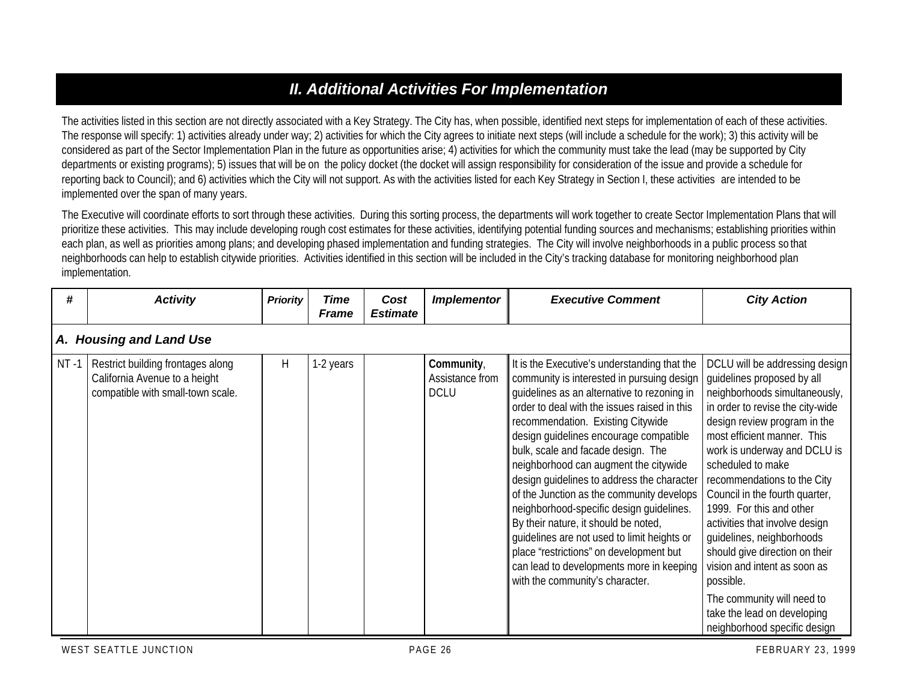# *II. Additional Activities For Implementation*

The activities listed in this section are not directly associated with a Key Strategy. The City has, when possible, identified next steps for implementation of each of these activities. The response will specify: 1) activities already under way; 2) activities for which the City agrees to initiate next steps (will include a schedule for the work); 3) this activity will be considered as part of the Sector Implementation Plan in the future as opportunities arise; 4) activities for which the community must take the lead (may be supported by City departments or existing programs); 5) issues that will be on the policy docket (the docket will assign responsibility for consideration of the issue and provide a schedule for reporting back to Council); and 6) activities which the City will not support. As with the activities listed for each Key Strategy in Section I, these activities are intended to be implemented over the span of many years.

The Executive will coordinate efforts to sort through these activities. During this sorting process, the departments will work together to create Sector Implementation Plans that will prioritize these activities. This may include developing rough cost estimates for these activities, identifying potential funding sources and mechanisms; establishing priorities within each plan, as well as priorities among plans; and developing phased implementation and funding strategies. The City will involve neighborhoods in a public process so that neighborhoods can help to establish citywide priorities. Activities identified in this section will be included in the City's tracking database for monitoring neighborhood plan implementation.

| #       | <b>Activity</b>                                                                                         | <b>Priority</b> | <b>Time</b><br><b>Frame</b> | Cost<br><b>Estimate</b> | <b>Implementor</b>                           | <b>Executive Comment</b>                                                                                                                                                                                                                                                                                                                                                                                                                                                                                                                                                                                                                                                                                        | <b>City Action</b>                                                                                                                                                                                                                                                                                                                                                                                                                                                                                                                                                                            |
|---------|---------------------------------------------------------------------------------------------------------|-----------------|-----------------------------|-------------------------|----------------------------------------------|-----------------------------------------------------------------------------------------------------------------------------------------------------------------------------------------------------------------------------------------------------------------------------------------------------------------------------------------------------------------------------------------------------------------------------------------------------------------------------------------------------------------------------------------------------------------------------------------------------------------------------------------------------------------------------------------------------------------|-----------------------------------------------------------------------------------------------------------------------------------------------------------------------------------------------------------------------------------------------------------------------------------------------------------------------------------------------------------------------------------------------------------------------------------------------------------------------------------------------------------------------------------------------------------------------------------------------|
|         | A. Housing and Land Use                                                                                 |                 |                             |                         |                                              |                                                                                                                                                                                                                                                                                                                                                                                                                                                                                                                                                                                                                                                                                                                 |                                                                                                                                                                                                                                                                                                                                                                                                                                                                                                                                                                                               |
| $NT -1$ | Restrict building frontages along<br>California Avenue to a height<br>compatible with small-town scale. | H               | 1-2 years                   |                         | Community,<br>Assistance from<br><b>DCLU</b> | It is the Executive's understanding that the<br>community is interested in pursuing design<br>quidelines as an alternative to rezoning in<br>order to deal with the issues raised in this<br>recommendation. Existing Citywide<br>design guidelines encourage compatible<br>bulk, scale and facade design. The<br>neighborhood can augment the citywide<br>design guidelines to address the character<br>of the Junction as the community develops<br>neighborhood-specific design guidelines.<br>By their nature, it should be noted,<br>quidelines are not used to limit heights or<br>place 'restrictions" on development but<br>can lead to developments more in keeping<br>with the community's character. | DCLU will be addressing design<br>guidelines proposed by all<br>neighborhoods simultaneously,<br>in order to revise the city-wide<br>design review program in the<br>most efficient manner. This<br>work is underway and DCLU is<br>scheduled to make<br>recommendations to the City<br>Council in the fourth quarter,<br>1999. For this and other<br>activities that involve design<br>quidelines, neighborhoods<br>should give direction on their<br>vision and intent as soon as<br>possible.<br>The community will need to<br>take the lead on developing<br>neighborhood specific design |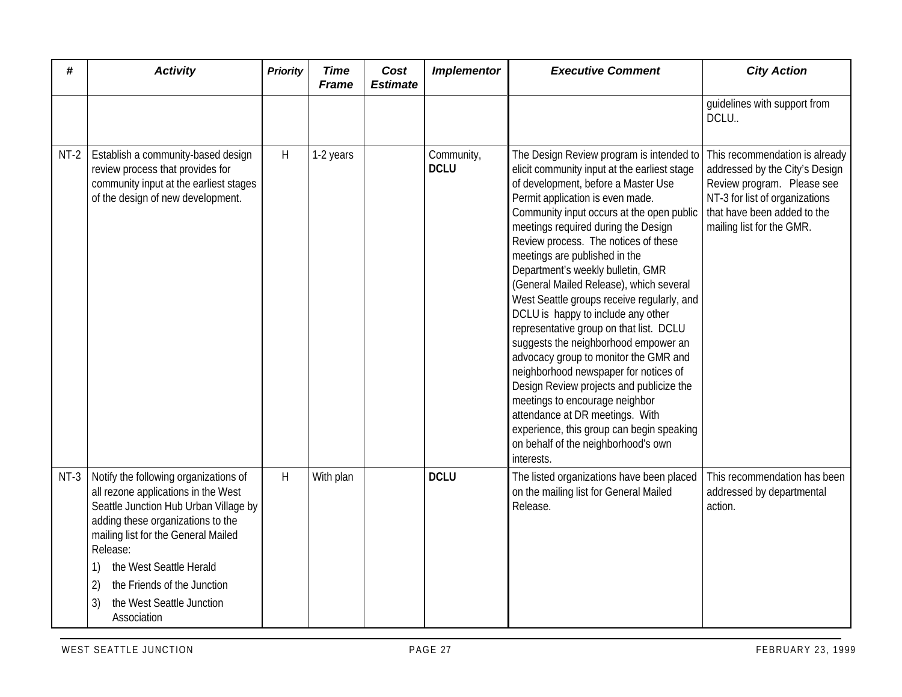| #      | <b>Activity</b>                                                                                                                                                                                                                                                                                                                              | <b>Priority</b> | <b>Time</b><br><b>Frame</b> | Cost<br><b>Estimate</b> | <b>Implementor</b>        | <b>Executive Comment</b>                                                                                                                                                                                                                                                                                                                                                                                                                                                                                                                                                                                                                                                                                                                                                                                                                                                                     | <b>City Action</b>                                                                                                                                                                           |
|--------|----------------------------------------------------------------------------------------------------------------------------------------------------------------------------------------------------------------------------------------------------------------------------------------------------------------------------------------------|-----------------|-----------------------------|-------------------------|---------------------------|----------------------------------------------------------------------------------------------------------------------------------------------------------------------------------------------------------------------------------------------------------------------------------------------------------------------------------------------------------------------------------------------------------------------------------------------------------------------------------------------------------------------------------------------------------------------------------------------------------------------------------------------------------------------------------------------------------------------------------------------------------------------------------------------------------------------------------------------------------------------------------------------|----------------------------------------------------------------------------------------------------------------------------------------------------------------------------------------------|
|        |                                                                                                                                                                                                                                                                                                                                              |                 |                             |                         |                           |                                                                                                                                                                                                                                                                                                                                                                                                                                                                                                                                                                                                                                                                                                                                                                                                                                                                                              | guidelines with support from<br>DCLU.                                                                                                                                                        |
| $NT-2$ | Establish a community-based design<br>review process that provides for<br>community input at the earliest stages<br>of the design of new development.                                                                                                                                                                                        | H               | 1-2 years                   |                         | Community,<br><b>DCLU</b> | The Design Review program is intended to<br>elicit community input at the earliest stage<br>of development, before a Master Use<br>Permit application is even made.<br>Community input occurs at the open public<br>meetings required during the Design<br>Review process. The notices of these<br>meetings are published in the<br>Department's weekly bulletin, GMR<br>(General Mailed Release), which several<br>West Seattle groups receive regularly, and<br>DCLU is happy to include any other<br>representative group on that list. DCLU<br>suggests the neighborhood empower an<br>advocacy group to monitor the GMR and<br>neighborhood newspaper for notices of<br>Design Review projects and publicize the<br>meetings to encourage neighbor<br>attendance at DR meetings. With<br>experience, this group can begin speaking<br>on behalf of the neighborhood's own<br>interests. | This recommendation is already<br>addressed by the City's Design<br>Review program. Please see<br>NT-3 for list of organizations<br>that have been added to the<br>mailing list for the GMR. |
|        | NT-3   Notify the following organizations of<br>all rezone applications in the West<br>Seattle Junction Hub Urban Village by<br>adding these organizations to the<br>mailing list for the General Mailed<br>Release:<br>the West Seattle Herald<br>1)<br>the Friends of the Junction<br>2)<br>the West Seattle Junction<br>3)<br>Association | H               | With plan                   |                         | <b>DCLU</b>               | The listed organizations have been placed<br>on the mailing list for General Mailed<br>Release.                                                                                                                                                                                                                                                                                                                                                                                                                                                                                                                                                                                                                                                                                                                                                                                              | This recommendation has been<br>addressed by departmental<br>action.                                                                                                                         |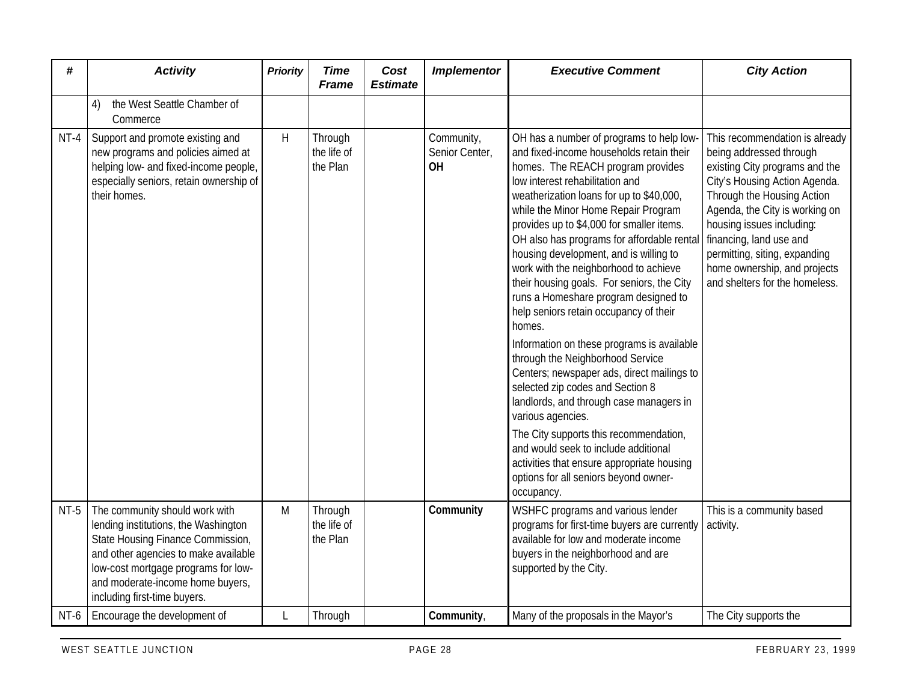| #      | <b>Activity</b>                                                                                                                                                                                                                                                | <b>Priority</b> | <b>Time</b><br><b>Frame</b>        | Cost<br><b>Estimate</b> | <b>Implementor</b>                 | <b>Executive Comment</b>                                                                                                                                                                                                                                                                                                                                                                                                                                                                                                                                                                                                                                                                                                                                                                                                                                                                                                                                                                           | <b>City Action</b>                                                                                                                                                                                                                                                                                                                                      |
|--------|----------------------------------------------------------------------------------------------------------------------------------------------------------------------------------------------------------------------------------------------------------------|-----------------|------------------------------------|-------------------------|------------------------------------|----------------------------------------------------------------------------------------------------------------------------------------------------------------------------------------------------------------------------------------------------------------------------------------------------------------------------------------------------------------------------------------------------------------------------------------------------------------------------------------------------------------------------------------------------------------------------------------------------------------------------------------------------------------------------------------------------------------------------------------------------------------------------------------------------------------------------------------------------------------------------------------------------------------------------------------------------------------------------------------------------|---------------------------------------------------------------------------------------------------------------------------------------------------------------------------------------------------------------------------------------------------------------------------------------------------------------------------------------------------------|
|        | the West Seattle Chamber of<br>4)<br>Commerce                                                                                                                                                                                                                  |                 |                                    |                         |                                    |                                                                                                                                                                                                                                                                                                                                                                                                                                                                                                                                                                                                                                                                                                                                                                                                                                                                                                                                                                                                    |                                                                                                                                                                                                                                                                                                                                                         |
| NT-4   | Support and promote existing and<br>new programs and policies aimed at<br>helping low- and fixed-income people,<br>especially seniors, retain ownership of<br>their homes.                                                                                     | H               | Through<br>the life of<br>the Plan |                         | Community,<br>Senior Center,<br>OH | OH has a number of programs to help low-<br>and fixed-income households retain their<br>homes. The REACH program provides<br>low interest rehabilitation and<br>weatherization loans for up to \$40,000,<br>while the Minor Home Repair Program<br>provides up to \$4,000 for smaller items.<br>OH also has programs for affordable rental<br>housing development, and is willing to<br>work with the neighborhood to achieve<br>their housing goals. For seniors, the City<br>runs a Homeshare program designed to<br>help seniors retain occupancy of their<br>homes.<br>Information on these programs is available<br>through the Neighborhood Service<br>Centers; newspaper ads, direct mailings to<br>selected zip codes and Section 8<br>landlords, and through case managers in<br>various agencies.<br>The City supports this recommendation,<br>and would seek to include additional<br>activities that ensure appropriate housing<br>options for all seniors beyond owner-<br>occupancy. | This recommendation is already<br>being addressed through<br>existing City programs and the<br>City's Housing Action Agenda.<br>Through the Housing Action<br>Agenda, the City is working on<br>housing issues including:<br>financing, land use and<br>permitting, siting, expanding<br>home ownership, and projects<br>and shelters for the homeless. |
| $NT-5$ | The community should work with<br>lending institutions, the Washington<br>State Housing Finance Commission,<br>and other agencies to make available<br>low-cost mortgage programs for low-<br>and moderate-income home buyers,<br>including first-time buyers. | M               | Through<br>the life of<br>the Plan |                         | Community                          | WSHFC programs and various lender<br>programs for first-time buyers are currently<br>available for low and moderate income<br>buyers in the neighborhood and are<br>supported by the City.                                                                                                                                                                                                                                                                                                                                                                                                                                                                                                                                                                                                                                                                                                                                                                                                         | This is a community based<br>activity.                                                                                                                                                                                                                                                                                                                  |
| NT-6   | Encourage the development of                                                                                                                                                                                                                                   |                 | Through                            |                         | Community,                         | Many of the proposals in the Mayor's                                                                                                                                                                                                                                                                                                                                                                                                                                                                                                                                                                                                                                                                                                                                                                                                                                                                                                                                                               | The City supports the                                                                                                                                                                                                                                                                                                                                   |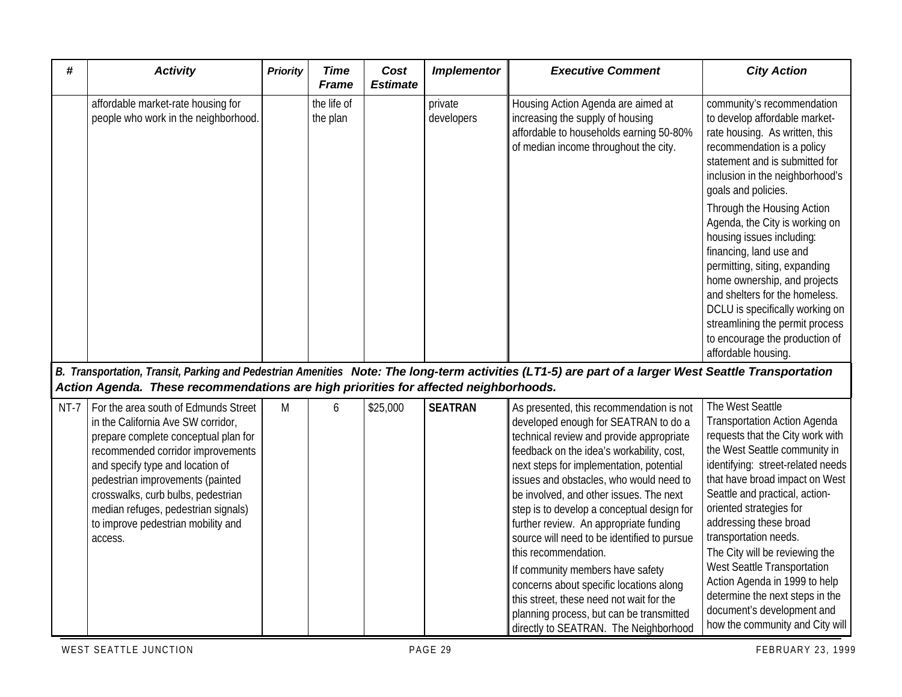| #    | <b>Activity</b>                                                                                                                                                                                                                                                                                                                                               | <b>Priority</b> | <b>Time</b><br><b>Frame</b> | Cost<br><b>Estimate</b> | <b>Implementor</b>    | <b>Executive Comment</b>                                                                                                                                                                                                                                                                                                                                                                                                                                                                                                                                                                                                                                                                   | <b>City Action</b>                                                                                                                                                                                                                                                                                                                                                                                                                                                                                                                                         |
|------|---------------------------------------------------------------------------------------------------------------------------------------------------------------------------------------------------------------------------------------------------------------------------------------------------------------------------------------------------------------|-----------------|-----------------------------|-------------------------|-----------------------|--------------------------------------------------------------------------------------------------------------------------------------------------------------------------------------------------------------------------------------------------------------------------------------------------------------------------------------------------------------------------------------------------------------------------------------------------------------------------------------------------------------------------------------------------------------------------------------------------------------------------------------------------------------------------------------------|------------------------------------------------------------------------------------------------------------------------------------------------------------------------------------------------------------------------------------------------------------------------------------------------------------------------------------------------------------------------------------------------------------------------------------------------------------------------------------------------------------------------------------------------------------|
|      | affordable market-rate housing for<br>people who work in the neighborhood.                                                                                                                                                                                                                                                                                    |                 | the life of<br>the plan     |                         | private<br>developers | Housing Action Agenda are aimed at<br>increasing the supply of housing<br>affordable to households earning 50-80%<br>of median income throughout the city.                                                                                                                                                                                                                                                                                                                                                                                                                                                                                                                                 | community's recommendation<br>to develop affordable market-<br>rate housing. As written, this<br>recommendation is a policy<br>statement and is submitted for<br>inclusion in the neighborhood's<br>goals and policies.<br>Through the Housing Action<br>Agenda, the City is working on<br>housing issues including:<br>financing, land use and<br>permitting, siting, expanding<br>home ownership, and projects<br>and shelters for the homeless.<br>DCLU is specifically working on<br>streamlining the permit process<br>to encourage the production of |
|      | Action Agenda. These recommendations are high priorities for affected neighborhoods.                                                                                                                                                                                                                                                                          |                 |                             |                         |                       | B. Transportation, Transit, Parking and Pedestrian Amenities Note: The long-term activities (LT1-5) are part of a larger West Seattle Transportation                                                                                                                                                                                                                                                                                                                                                                                                                                                                                                                                       | affordable housing                                                                                                                                                                                                                                                                                                                                                                                                                                                                                                                                         |
| NT-7 | For the area south of Edmunds Street<br>in the California Ave SW corridor,<br>prepare complete conceptual plan for<br>recommended corridor improvements<br>and specify type and location of<br>pedestrian improvements (painted<br>crosswalks, curb bulbs, pedestrian<br>median refuges, pedestrian signals)<br>to improve pedestrian mobility and<br>access. | M               | 6                           | \$25,000                | <b>SEATRAN</b>        | As presented, this recommendation is not<br>developed enough for SEATRAN to do a<br>technical review and provide appropriate<br>feedback on the idea's workability, cost,<br>next steps for implementation, potential<br>issues and obstacles, who would need to<br>be involved, and other issues. The next<br>step is to develop a conceptual design for<br>further review. An appropriate funding<br>source will need to be identified to pursue<br>this recommendation.<br>If community members have safety<br>concerns about specific locations along<br>this street, these need not wait for the<br>planning process, but can be transmitted<br>directly to SEATRAN. The Neighborhood | The West Seattle<br><b>Transportation Action Agenda</b><br>requests that the City work with<br>the West Seattle community in<br>identifying: street-related needs<br>that have broad impact on West<br>Seattle and practical, action-<br>oriented strategies for<br>addressing these broad<br>transportation needs.<br>The City will be reviewing the<br>West Seattle Transportation<br>Action Agenda in 1999 to help<br>determine the next steps in the<br>document's development and<br>how the community and City will                                  |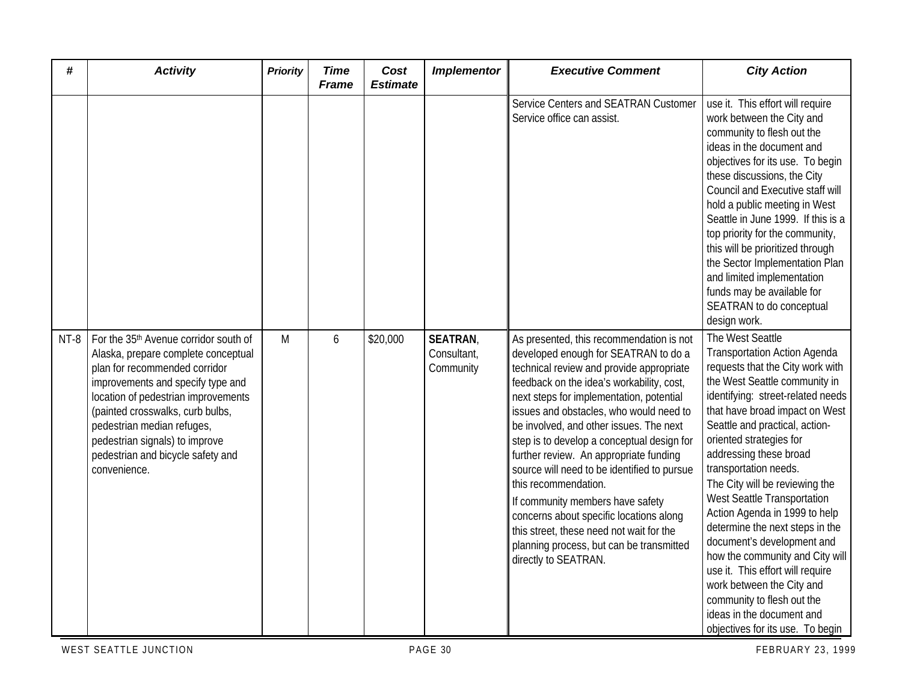| #      | <b>Activity</b>                                                                                                                                                                                                                                                                                                                                                | <b>Priority</b> | <b>Time</b><br><b>Frame</b> | Cost<br><b>Estimate</b> | <b>Implementor</b>                         | <b>Executive Comment</b>                                                                                                                                                                                                                                                                                                                                                                                                                                                                                                                                                                                                                                                  | <b>City Action</b>                                                                                                                                                                                                                                                                                                                                                                                                                                                                                                                                                                                                                                                                        |
|--------|----------------------------------------------------------------------------------------------------------------------------------------------------------------------------------------------------------------------------------------------------------------------------------------------------------------------------------------------------------------|-----------------|-----------------------------|-------------------------|--------------------------------------------|---------------------------------------------------------------------------------------------------------------------------------------------------------------------------------------------------------------------------------------------------------------------------------------------------------------------------------------------------------------------------------------------------------------------------------------------------------------------------------------------------------------------------------------------------------------------------------------------------------------------------------------------------------------------------|-------------------------------------------------------------------------------------------------------------------------------------------------------------------------------------------------------------------------------------------------------------------------------------------------------------------------------------------------------------------------------------------------------------------------------------------------------------------------------------------------------------------------------------------------------------------------------------------------------------------------------------------------------------------------------------------|
|        |                                                                                                                                                                                                                                                                                                                                                                |                 |                             |                         |                                            | Service Centers and SEATRAN Customer<br>Service office can assist.                                                                                                                                                                                                                                                                                                                                                                                                                                                                                                                                                                                                        | use it. This effort will require<br>work between the City and<br>community to flesh out the<br>ideas in the document and<br>objectives for its use. To begin<br>these discussions, the City<br>Council and Executive staff will<br>hold a public meeting in West<br>Seattle in June 1999. If this is a<br>top priority for the community,<br>this will be prioritized through<br>the Sector Implementation Plan<br>and limited implementation<br>funds may be available for<br>SEATRAN to do conceptual<br>design work.                                                                                                                                                                   |
| $NT-8$ | For the 35 <sup>th</sup> Avenue corridor south of<br>Alaska, prepare complete conceptual<br>plan for recommended corridor<br>improvements and specify type and<br>location of pedestrian improvements<br>(painted crosswalks, curb bulbs,<br>pedestrian median refuges,<br>pedestrian signals) to improve<br>pedestrian and bicycle safety and<br>convenience. | M               | 6                           | \$20,000                | <b>SEATRAN</b><br>Consultant,<br>Community | As presented, this recommendation is not<br>developed enough for SEATRAN to do a<br>technical review and provide appropriate<br>feedback on the idea's workability, cost,<br>next steps for implementation, potential<br>issues and obstacles, who would need to<br>be involved, and other issues. The next<br>step is to develop a conceptual design for<br>further review. An appropriate funding<br>source will need to be identified to pursue<br>this recommendation.<br>If community members have safety<br>concerns about specific locations along<br>this street, these need not wait for the<br>planning process, but can be transmitted<br>directly to SEATRAN. | The West Seattle<br><b>Transportation Action Agenda</b><br>requests that the City work with<br>the West Seattle community in<br>identifying: street-related needs<br>that have broad impact on West<br>Seattle and practical, action-<br>oriented strategies for<br>addressing these broad<br>transportation needs.<br>The City will be reviewing the<br>West Seattle Transportation<br>Action Agenda in 1999 to help<br>determine the next steps in the<br>document's development and<br>how the community and City will<br>use it. This effort will require<br>work between the City and<br>community to flesh out the<br>ideas in the document and<br>objectives for its use. To begin |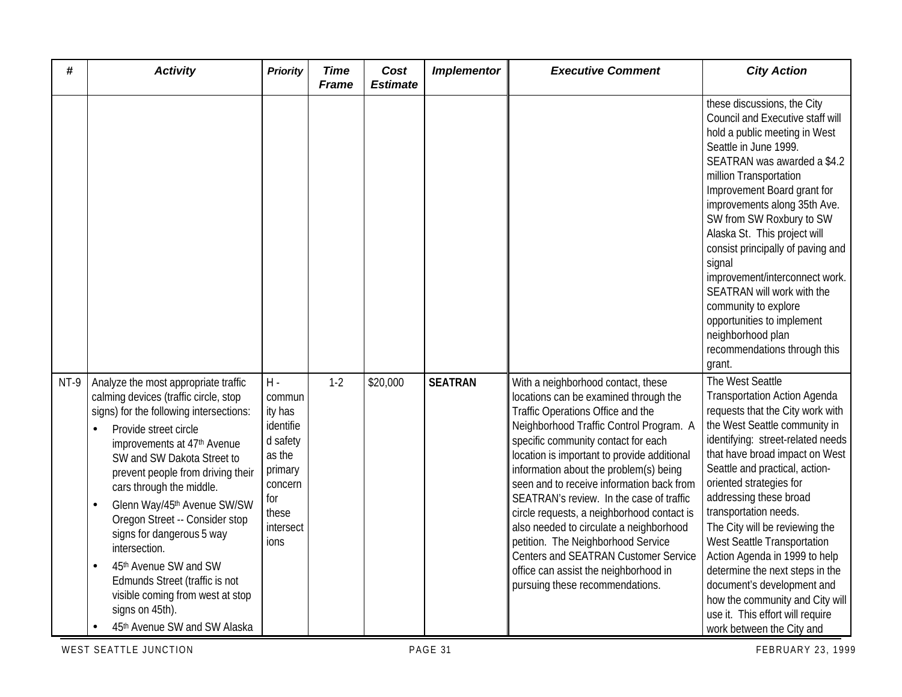| #    | <b>Activity</b>                                                                                                                                                                                                                                                                                                                                                                                                                                                                                                                                                                        | <b>Priority</b>                                                                                                          | <b>Time</b><br><b>Frame</b> | Cost<br><b>Estimate</b> | <b>Implementor</b> | <b>Executive Comment</b>                                                                                                                                                                                                                                                                                                                                                                                                                                                                                                                                                                                                                | <b>City Action</b>                                                                                                                                                                                                                                                                                                                                                                                                                                                                                                                                                                         |
|------|----------------------------------------------------------------------------------------------------------------------------------------------------------------------------------------------------------------------------------------------------------------------------------------------------------------------------------------------------------------------------------------------------------------------------------------------------------------------------------------------------------------------------------------------------------------------------------------|--------------------------------------------------------------------------------------------------------------------------|-----------------------------|-------------------------|--------------------|-----------------------------------------------------------------------------------------------------------------------------------------------------------------------------------------------------------------------------------------------------------------------------------------------------------------------------------------------------------------------------------------------------------------------------------------------------------------------------------------------------------------------------------------------------------------------------------------------------------------------------------------|--------------------------------------------------------------------------------------------------------------------------------------------------------------------------------------------------------------------------------------------------------------------------------------------------------------------------------------------------------------------------------------------------------------------------------------------------------------------------------------------------------------------------------------------------------------------------------------------|
|      |                                                                                                                                                                                                                                                                                                                                                                                                                                                                                                                                                                                        |                                                                                                                          |                             |                         |                    |                                                                                                                                                                                                                                                                                                                                                                                                                                                                                                                                                                                                                                         | these discussions, the City<br>Council and Executive staff will<br>hold a public meeting in West<br>Seattle in June 1999.<br>SEATRAN was awarded a \$4.2<br>million Transportation<br>Improvement Board grant for<br>improvements along 35th Ave.<br>SW from SW Roxbury to SW<br>Alaska St. This project will<br>consist principally of paving and<br>signal<br>improvement/interconnect work.<br>SEATRAN will work with the<br>community to explore<br>opportunities to implement<br>neighborhood plan<br>recommendations through this<br>grant.                                          |
| NT-9 | Analyze the most appropriate traffic<br>calming devices (traffic circle, stop<br>signs) for the following intersections:<br>Provide street circle<br>improvements at 47 <sup>th</sup> Avenue<br>SW and SW Dakota Street to<br>prevent people from driving their<br>cars through the middle.<br>Glenn Way/45th Avenue SW/SW<br>$\bullet$<br>Oregon Street -- Consider stop<br>signs for dangerous 5 way<br>intersection.<br>45th Avenue SW and SW<br>$\bullet$<br>Edmunds Street (traffic is not<br>visible coming from west at stop<br>signs on 45th).<br>45th Avenue SW and SW Alaska | $H -$<br>commun<br>ity has<br>identifie<br>d safety<br>as the<br>primary<br>concern<br>for<br>these<br>intersect<br>ions | $1 - 2$                     | \$20,000                | <b>SEATRAN</b>     | With a neighborhood contact, these<br>locations can be examined through the<br>Traffic Operations Office and the<br>Neighborhood Traffic Control Program. A<br>specific community contact for each<br>location is important to provide additional<br>information about the problem(s) being<br>seen and to receive information back from<br>SEATRAN's review. In the case of traffic<br>circle requests, a neighborhood contact is<br>also needed to circulate a neighborhood<br>petition. The Neighborhood Service<br>Centers and SEATRAN Customer Service<br>office can assist the neighborhood in<br>pursuing these recommendations. | The West Seattle<br><b>Transportation Action Agenda</b><br>requests that the City work with<br>the West Seattle community in<br>identifying: street-related needs<br>that have broad impact on West<br>Seattle and practical, action-<br>oriented strategies for<br>addressing these broad<br>transportation needs.<br>The City will be reviewing the<br>West Seattle Transportation<br>Action Agenda in 1999 to help<br>determine the next steps in the<br>document's development and<br>how the community and City will<br>use it. This effort will require<br>work between the City and |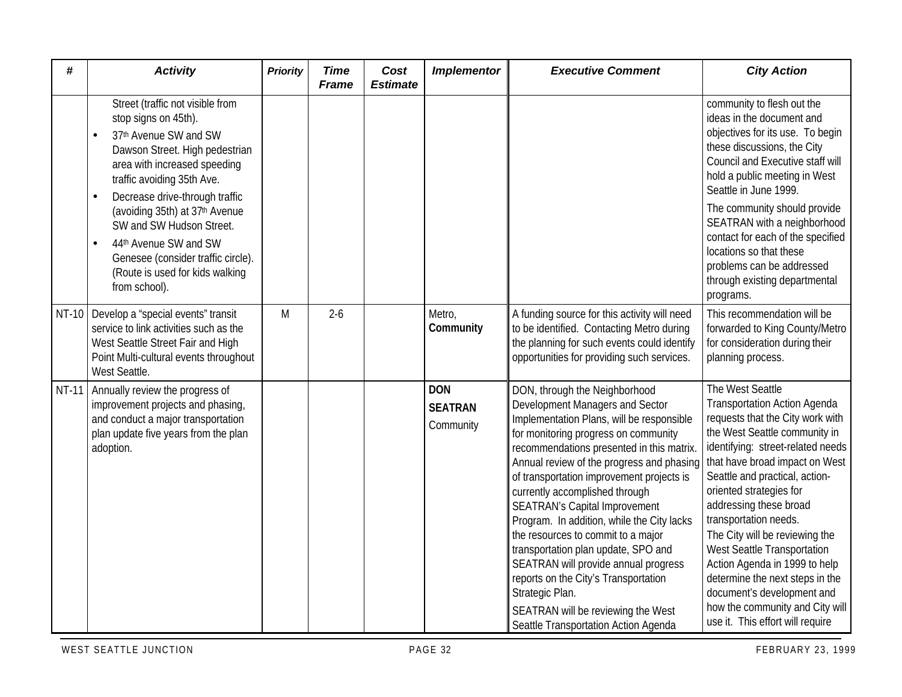| #            | <b>Activity</b>                                                                                                                                                                                                     | <b>Priority</b> | <b>Time</b><br><b>Frame</b> | Cost<br><b>Estimate</b> | <b>Implementor</b>                        | <b>Executive Comment</b>                                                                                                                                                                                                                                                                                                                                                                                                                                                                                                                                                                                                                                                           | <b>City Action</b>                                                                                                                                                                                                                                                                                                                                                                                                                                                                                                                                            |
|--------------|---------------------------------------------------------------------------------------------------------------------------------------------------------------------------------------------------------------------|-----------------|-----------------------------|-------------------------|-------------------------------------------|------------------------------------------------------------------------------------------------------------------------------------------------------------------------------------------------------------------------------------------------------------------------------------------------------------------------------------------------------------------------------------------------------------------------------------------------------------------------------------------------------------------------------------------------------------------------------------------------------------------------------------------------------------------------------------|---------------------------------------------------------------------------------------------------------------------------------------------------------------------------------------------------------------------------------------------------------------------------------------------------------------------------------------------------------------------------------------------------------------------------------------------------------------------------------------------------------------------------------------------------------------|
|              | Street (traffic not visible from<br>stop signs on 45th).<br>37th Avenue SW and SW<br>Dawson Street. High pedestrian<br>area with increased speeding<br>traffic avoiding 35th Ave.<br>Decrease drive-through traffic |                 |                             |                         |                                           |                                                                                                                                                                                                                                                                                                                                                                                                                                                                                                                                                                                                                                                                                    | community to flesh out the<br>ideas in the document and<br>objectives for its use. To begin<br>these discussions, the City<br>Council and Executive staff will<br>hold a public meeting in West<br>Seattle in June 1999.                                                                                                                                                                                                                                                                                                                                      |
|              | (avoiding 35th) at 37th Avenue<br>SW and SW Hudson Street.<br>44th Avenue SW and SW<br>Genesee (consider traffic circle).<br>(Route is used for kids walking<br>from school).                                       |                 |                             |                         |                                           |                                                                                                                                                                                                                                                                                                                                                                                                                                                                                                                                                                                                                                                                                    | The community should provide<br>SEATRAN with a neighborhood<br>contact for each of the specified<br>locations so that these<br>problems can be addressed<br>through existing departmental<br>programs.                                                                                                                                                                                                                                                                                                                                                        |
| <b>NT-10</b> | Develop a "special events" transit<br>service to link activities such as the<br>West Seattle Street Fair and High<br>Point Multi-cultural events throughout<br>West Seattle.                                        | M               | $2 - 6$                     |                         | Metro,<br>Community                       | A funding source for this activity will need<br>to be identified. Contacting Metro during<br>the planning for such events could identify<br>opportunities for providing such services.                                                                                                                                                                                                                                                                                                                                                                                                                                                                                             | This recommendation will be<br>forwarded to King County/Metro<br>for consideration during their<br>planning process.                                                                                                                                                                                                                                                                                                                                                                                                                                          |
| <b>NT-11</b> | Annually review the progress of<br>improvement projects and phasing,<br>and conduct a major transportation<br>plan update five years from the plan<br>adoption.                                                     |                 |                             |                         | <b>DON</b><br><b>SEATRAN</b><br>Community | DON, through the Neighborhood<br>Development Managers and Sector<br>Implementation Plans, will be responsible<br>for monitoring progress on community<br>recommendations presented in this matrix.<br>Annual review of the progress and phasing<br>of transportation improvement projects is<br>currently accomplished through<br><b>SEATRAN's Capital Improvement</b><br>Program. In addition, while the City lacks<br>the resources to commit to a major<br>transportation plan update, SPO and<br>SEATRAN will provide annual progress<br>reports on the City's Transportation<br>Strategic Plan.<br>SEATRAN will be reviewing the West<br>Seattle Transportation Action Agenda | The West Seattle<br><b>Transportation Action Agenda</b><br>requests that the City work with<br>the West Seattle community in<br>identifying: street-related needs<br>that have broad impact on West<br>Seattle and practical, action-<br>oriented strategies for<br>addressing these broad<br>transportation needs.<br>The City will be reviewing the<br>West Seattle Transportation<br>Action Agenda in 1999 to help<br>determine the next steps in the<br>document's development and<br>how the community and City will<br>use it. This effort will require |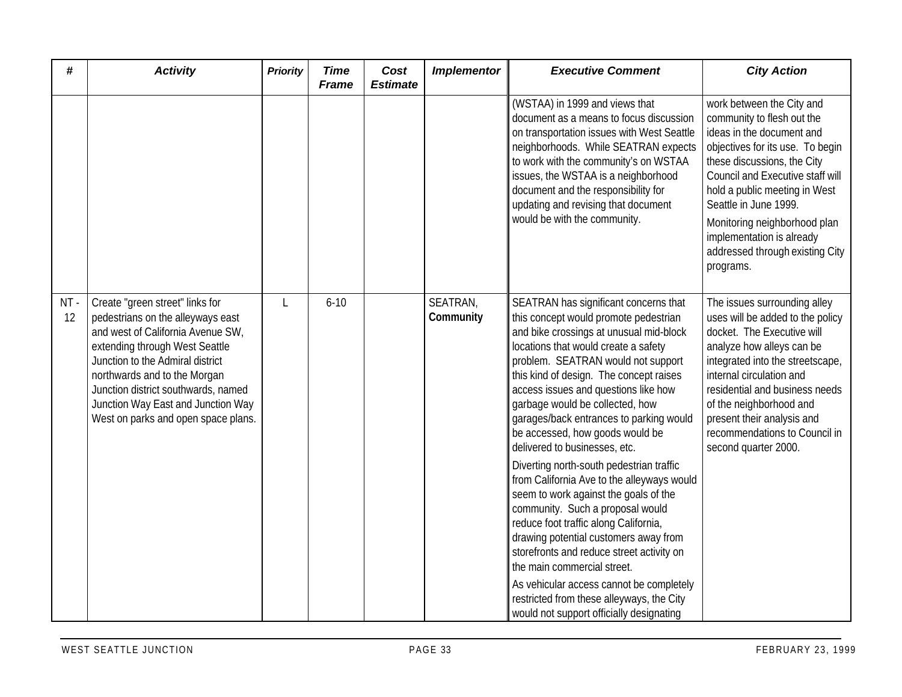| #         | <b>Activity</b>                                                                                                                                                                                                                                                                                                                     | <b>Priority</b> | <b>Time</b><br><b>Frame</b> | Cost<br><b>Estimate</b> | <b>Implementor</b>    | <b>Executive Comment</b>                                                                                                                                                                                                                                                                                                                                                                                                                                                                                                                                                                                                                                                                                                                                                                                                                                                                                               | <b>City Action</b>                                                                                                                                                                                                                                                                                                                                                 |
|-----------|-------------------------------------------------------------------------------------------------------------------------------------------------------------------------------------------------------------------------------------------------------------------------------------------------------------------------------------|-----------------|-----------------------------|-------------------------|-----------------------|------------------------------------------------------------------------------------------------------------------------------------------------------------------------------------------------------------------------------------------------------------------------------------------------------------------------------------------------------------------------------------------------------------------------------------------------------------------------------------------------------------------------------------------------------------------------------------------------------------------------------------------------------------------------------------------------------------------------------------------------------------------------------------------------------------------------------------------------------------------------------------------------------------------------|--------------------------------------------------------------------------------------------------------------------------------------------------------------------------------------------------------------------------------------------------------------------------------------------------------------------------------------------------------------------|
|           |                                                                                                                                                                                                                                                                                                                                     |                 |                             |                         |                       | (WSTAA) in 1999 and views that<br>document as a means to focus discussion<br>on transportation issues with West Seattle<br>neighborhoods. While SEATRAN expects<br>to work with the community's on WSTAA<br>issues, the WSTAA is a neighborhood<br>document and the responsibility for<br>updating and revising that document<br>would be with the community.                                                                                                                                                                                                                                                                                                                                                                                                                                                                                                                                                          | work between the City and<br>community to flesh out the<br>ideas in the document and<br>objectives for its use. To begin<br>these discussions, the City<br>Council and Executive staff will<br>hold a public meeting in West<br>Seattle in June 1999.<br>Monitoring neighborhood plan<br>implementation is already<br>addressed through existing City<br>programs. |
| NT-<br>12 | Create "green street" links for<br>pedestrians on the alleyways east<br>and west of California Avenue SW,<br>extending through West Seattle<br>Junction to the Admiral district<br>northwards and to the Morgan<br>Junction district southwards, named<br>Junction Way East and Junction Way<br>West on parks and open space plans. | L               | $6 - 10$                    |                         | SEATRAN,<br>Community | SEATRAN has significant concerns that<br>this concept would promote pedestrian<br>and bike crossings at unusual mid-block<br>locations that would create a safety<br>problem. SEATRAN would not support<br>this kind of design. The concept raises<br>access issues and questions like how<br>garbage would be collected, how<br>garages/back entrances to parking would<br>be accessed, how goods would be<br>delivered to businesses, etc.<br>Diverting north-south pedestrian traffic<br>from California Ave to the alleyways would<br>seem to work against the goals of the<br>community. Such a proposal would<br>reduce foot traffic along California,<br>drawing potential customers away from<br>storefronts and reduce street activity on<br>the main commercial street.<br>As vehicular access cannot be completely<br>restricted from these alleyways, the City<br>would not support officially designating | The issues surrounding alley<br>uses will be added to the policy<br>docket. The Executive will<br>analyze how alleys can be<br>integrated into the streetscape,<br>internal circulation and<br>residential and business needs<br>of the neighborhood and<br>present their analysis and<br>recommendations to Council in<br>second quarter 2000.                    |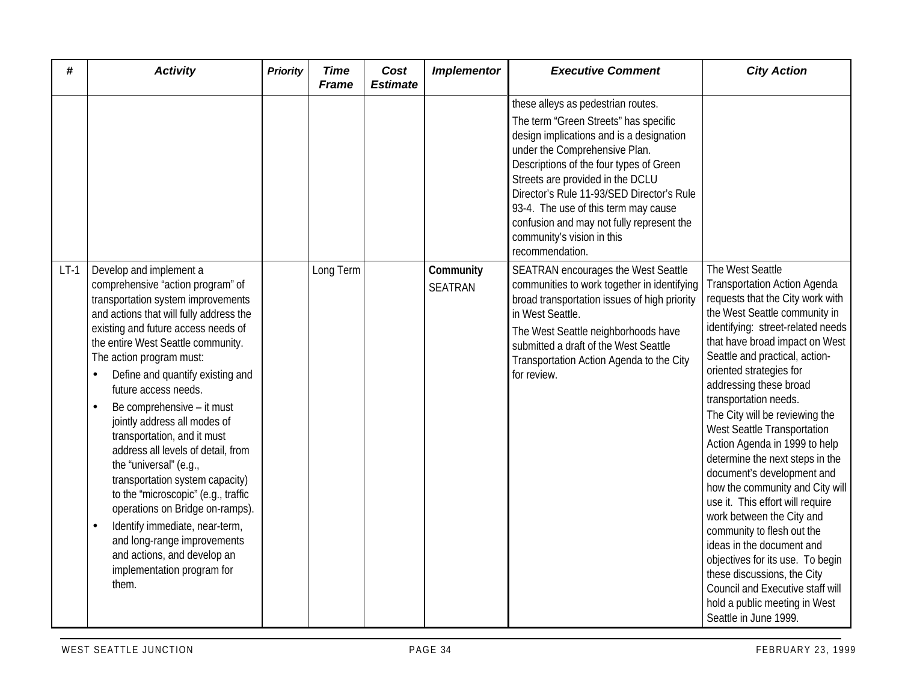| #      | <b>Activity</b>                                                                                                                                                                                                                                                                                                                                                                                                                                                                                                                                                                                                                                                                                                                     | <b>Priority</b> | <b>Time</b><br><b>Frame</b> | Cost<br><b>Estimate</b> | <b>Implementor</b>   | <b>Executive Comment</b>                                                                                                                                                                                                                                                                                                                                                             | <b>City Action</b>                                                                                                                                                                                                                                                                                                                                                                                                                                                                                                                                                                                                                                                                                                                                                                                                     |
|--------|-------------------------------------------------------------------------------------------------------------------------------------------------------------------------------------------------------------------------------------------------------------------------------------------------------------------------------------------------------------------------------------------------------------------------------------------------------------------------------------------------------------------------------------------------------------------------------------------------------------------------------------------------------------------------------------------------------------------------------------|-----------------|-----------------------------|-------------------------|----------------------|--------------------------------------------------------------------------------------------------------------------------------------------------------------------------------------------------------------------------------------------------------------------------------------------------------------------------------------------------------------------------------------|------------------------------------------------------------------------------------------------------------------------------------------------------------------------------------------------------------------------------------------------------------------------------------------------------------------------------------------------------------------------------------------------------------------------------------------------------------------------------------------------------------------------------------------------------------------------------------------------------------------------------------------------------------------------------------------------------------------------------------------------------------------------------------------------------------------------|
|        |                                                                                                                                                                                                                                                                                                                                                                                                                                                                                                                                                                                                                                                                                                                                     |                 |                             |                         |                      | these alleys as pedestrian routes.                                                                                                                                                                                                                                                                                                                                                   |                                                                                                                                                                                                                                                                                                                                                                                                                                                                                                                                                                                                                                                                                                                                                                                                                        |
|        |                                                                                                                                                                                                                                                                                                                                                                                                                                                                                                                                                                                                                                                                                                                                     |                 |                             |                         |                      | The term "Green Streets" has specific<br>design implications and is a designation<br>under the Comprehensive Plan.<br>Descriptions of the four types of Green<br>Streets are provided in the DCLU<br>Director's Rule 11-93/SED Director's Rule<br>93-4. The use of this term may cause<br>confusion and may not fully represent the<br>community's vision in this<br>recommendation. |                                                                                                                                                                                                                                                                                                                                                                                                                                                                                                                                                                                                                                                                                                                                                                                                                        |
| $LT-1$ | Develop and implement a<br>comprehensive "action program" of<br>transportation system improvements<br>and actions that will fully address the<br>existing and future access needs of<br>the entire West Seattle community.<br>The action program must:<br>Define and quantify existing and<br>future access needs.<br>Be comprehensive - it must<br>jointly address all modes of<br>transportation, and it must<br>address all levels of detail, from<br>the "universal" (e.g.,<br>transportation system capacity)<br>to the "microscopic" (e.g., traffic<br>operations on Bridge on-ramps).<br>Identify immediate, near-term,<br>and long-range improvements<br>and actions, and develop an<br>implementation program for<br>them. |                 | Long Term                   |                         | Community<br>SEATRAN | SEATRAN encourages the West Seattle<br>communities to work together in identifying<br>broad transportation issues of high priority<br>in West Seattle.<br>The West Seattle neighborhoods have<br>submitted a draft of the West Seattle<br>Transportation Action Agenda to the City<br>for review.                                                                                    | The West Seattle<br><b>Transportation Action Agenda</b><br>requests that the City work with<br>the West Seattle community in<br>identifying: street-related needs<br>that have broad impact on West<br>Seattle and practical, action-<br>oriented strategies for<br>addressing these broad<br>transportation needs.<br>The City will be reviewing the<br>West Seattle Transportation<br>Action Agenda in 1999 to help<br>determine the next steps in the<br>document's development and<br>how the community and City will<br>use it. This effort will require<br>work between the City and<br>community to flesh out the<br>ideas in the document and<br>objectives for its use. To begin<br>these discussions, the City<br>Council and Executive staff will<br>hold a public meeting in West<br>Seattle in June 1999. |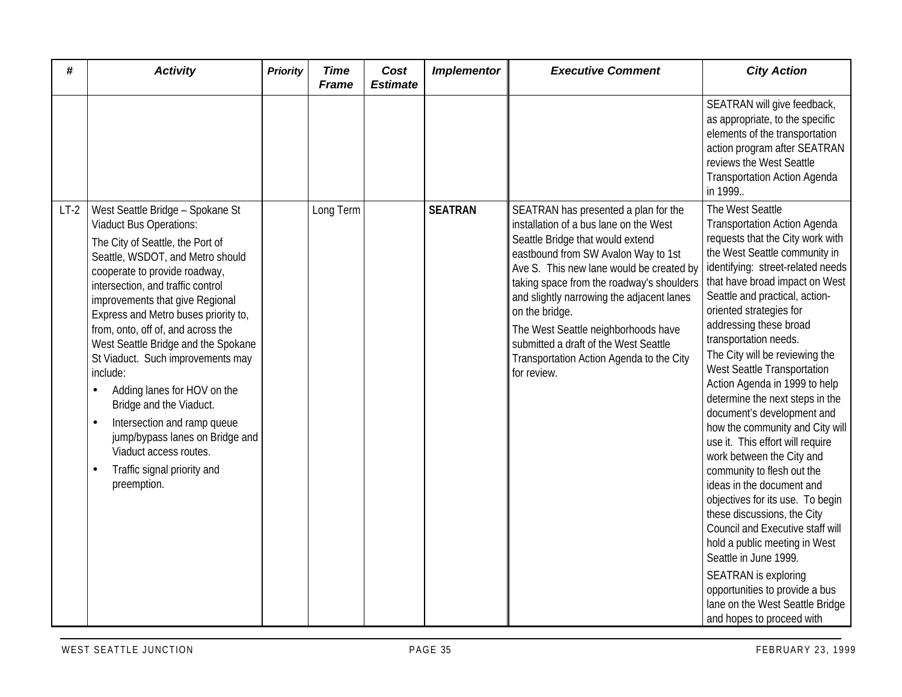| #      | <b>Activity</b>                                                                                                                                                                                                                                                                                                                                                                                                                                                                                                                                                                                                               | <b>Priority</b> | <b>Time</b><br><b>Frame</b> | Cost<br><b>Estimate</b> | <b>Implementor</b> | <b>Executive Comment</b>                                                                                                                                                                                                                                                                                                                                                                                                                                     | <b>City Action</b>                                                                                                                                                                                                                                                                                                                                                                                                                                                                                                                                                                                                                                                                                                                                                                                                                                                                                                                                      |
|--------|-------------------------------------------------------------------------------------------------------------------------------------------------------------------------------------------------------------------------------------------------------------------------------------------------------------------------------------------------------------------------------------------------------------------------------------------------------------------------------------------------------------------------------------------------------------------------------------------------------------------------------|-----------------|-----------------------------|-------------------------|--------------------|--------------------------------------------------------------------------------------------------------------------------------------------------------------------------------------------------------------------------------------------------------------------------------------------------------------------------------------------------------------------------------------------------------------------------------------------------------------|---------------------------------------------------------------------------------------------------------------------------------------------------------------------------------------------------------------------------------------------------------------------------------------------------------------------------------------------------------------------------------------------------------------------------------------------------------------------------------------------------------------------------------------------------------------------------------------------------------------------------------------------------------------------------------------------------------------------------------------------------------------------------------------------------------------------------------------------------------------------------------------------------------------------------------------------------------|
|        |                                                                                                                                                                                                                                                                                                                                                                                                                                                                                                                                                                                                                               |                 |                             |                         |                    |                                                                                                                                                                                                                                                                                                                                                                                                                                                              | SEATRAN will give feedback,<br>as appropriate, to the specific<br>elements of the transportation<br>action program after SEATRAN<br>reviews the West Seattle<br><b>Transportation Action Agenda</b><br>in 1999                                                                                                                                                                                                                                                                                                                                                                                                                                                                                                                                                                                                                                                                                                                                          |
| $LT-2$ | West Seattle Bridge - Spokane St<br><b>Viaduct Bus Operations:</b><br>The City of Seattle, the Port of<br>Seattle, WSDOT, and Metro should<br>cooperate to provide roadway,<br>intersection, and traffic control<br>improvements that give Regional<br>Express and Metro buses priority to,<br>from, onto, off of, and across the<br>West Seattle Bridge and the Spokane<br>St Viaduct. Such improvements may<br>include:<br>Adding lanes for HOV on the<br>Bridge and the Viaduct.<br>Intersection and ramp queue<br>jump/bypass lanes on Bridge and<br>Viaduct access routes.<br>Traffic signal priority and<br>preemption. |                 | Long Term                   |                         | <b>SEATRAN</b>     | SEATRAN has presented a plan for the<br>installation of a bus lane on the West<br>Seattle Bridge that would extend<br>eastbound from SW Avalon Way to 1st<br>Ave S. This new lane would be created by<br>taking space from the roadway's shoulders<br>and slightly narrowing the adjacent lanes<br>on the bridge.<br>The West Seattle neighborhoods have<br>submitted a draft of the West Seattle<br>Transportation Action Agenda to the City<br>for review. | The West Seattle<br><b>Transportation Action Agenda</b><br>requests that the City work with<br>the West Seattle community in<br>identifying: street-related needs<br>that have broad impact on West<br>Seattle and practical, action-<br>oriented strategies for<br>addressing these broad<br>transportation needs.<br>The City will be reviewing the<br>West Seattle Transportation<br>Action Agenda in 1999 to help<br>determine the next steps in the<br>document's development and<br>how the community and City will<br>use it. This effort will require<br>work between the City and<br>community to flesh out the<br>ideas in the document and<br>objectives for its use. To begin<br>these discussions, the City<br>Council and Executive staff will<br>hold a public meeting in West<br>Seattle in June 1999.<br><b>SEATRAN</b> is exploring<br>opportunities to provide a bus<br>lane on the West Seattle Bridge<br>and hopes to proceed with |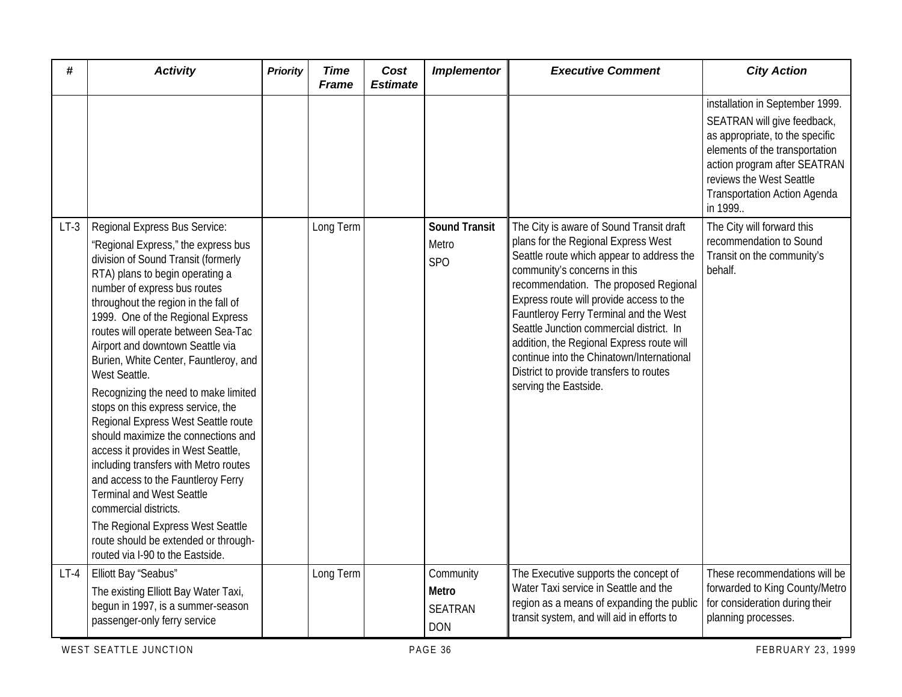| #      | <b>Activity</b>                                                                                                                                                                                                                                                                                                                                                                                                                                                                                                                                                                                                                                                                                                                                                                                                                                                  | <b>Priority</b> | <b>Time</b><br><b>Frame</b> | Cost<br><b>Estimate</b> | <b>Implementor</b>                                 | <b>Executive Comment</b>                                                                                                                                                                                                                                                                                                                                                                                                                                                                              | <b>City Action</b>                                                                                                                                                                                                                                |
|--------|------------------------------------------------------------------------------------------------------------------------------------------------------------------------------------------------------------------------------------------------------------------------------------------------------------------------------------------------------------------------------------------------------------------------------------------------------------------------------------------------------------------------------------------------------------------------------------------------------------------------------------------------------------------------------------------------------------------------------------------------------------------------------------------------------------------------------------------------------------------|-----------------|-----------------------------|-------------------------|----------------------------------------------------|-------------------------------------------------------------------------------------------------------------------------------------------------------------------------------------------------------------------------------------------------------------------------------------------------------------------------------------------------------------------------------------------------------------------------------------------------------------------------------------------------------|---------------------------------------------------------------------------------------------------------------------------------------------------------------------------------------------------------------------------------------------------|
|        |                                                                                                                                                                                                                                                                                                                                                                                                                                                                                                                                                                                                                                                                                                                                                                                                                                                                  |                 |                             |                         |                                                    |                                                                                                                                                                                                                                                                                                                                                                                                                                                                                                       | installation in September 1999.<br>SEATRAN will give feedback,<br>as appropriate, to the specific<br>elements of the transportation<br>action program after SEATRAN<br>reviews the West Seattle<br><b>Transportation Action Agenda</b><br>in 1999 |
| $LT-3$ | Regional Express Bus Service:<br>'Regional Express," the express bus<br>division of Sound Transit (formerly<br>RTA) plans to begin operating a<br>number of express bus routes<br>throughout the region in the fall of<br>1999. One of the Regional Express<br>routes will operate between Sea-Tac<br>Airport and downtown Seattle via<br>Burien, White Center, Fauntleroy, and<br>West Seattle.<br>Recognizing the need to make limited<br>stops on this express service, the<br>Regional Express West Seattle route<br>should maximize the connections and<br>access it provides in West Seattle,<br>including transfers with Metro routes<br>and access to the Fauntleroy Ferry<br><b>Terminal and West Seattle</b><br>commercial districts.<br>The Regional Express West Seattle<br>route should be extended or through-<br>routed via I-90 to the Eastside. |                 | Long Term                   |                         | <b>Sound Transit</b><br>Metro<br><b>SPO</b>        | The City is aware of Sound Transit draft<br>plans for the Regional Express West<br>Seattle route which appear to address the<br>community's concerns in this<br>recommendation. The proposed Regional<br>Express route will provide access to the<br>Fauntleroy Ferry Terminal and the West<br>Seattle Junction commercial district. In<br>addition, the Regional Express route will<br>continue into the Chinatown/International<br>District to provide transfers to routes<br>serving the Eastside. | The City will forward this<br>recommendation to Sound<br>Transit on the community's<br>behalf.                                                                                                                                                    |
| $LT-4$ | Elliott Bay "Seabus"<br>The existing Elliott Bay Water Taxi,<br>begun in 1997, is a summer-season<br>passenger-only ferry service                                                                                                                                                                                                                                                                                                                                                                                                                                                                                                                                                                                                                                                                                                                                |                 | Long Term                   |                         | Community<br>Metro<br><b>SEATRAN</b><br><b>DON</b> | The Executive supports the concept of<br>Water Taxi service in Seattle and the<br>region as a means of expanding the public<br>transit system, and will aid in efforts to                                                                                                                                                                                                                                                                                                                             | These recommendations will be<br>forwarded to King County/Metro<br>for consideration during their<br>planning processes.                                                                                                                          |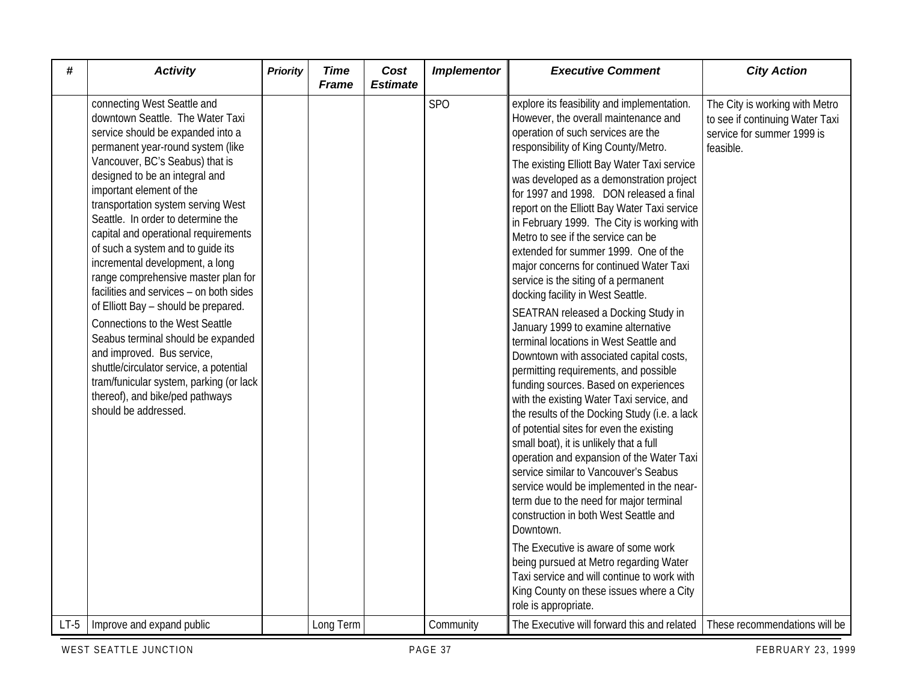| #      | <b>Activity</b>                                                                                                                                                                                                                                                                                                                                                                                                                                                                                                                                                                                                                                                                                                                                                                                                                 | <b>Priority</b> | <b>Time</b><br><b>Frame</b> | Cost<br><b>Estimate</b> | <b>Implementor</b> | <b>Executive Comment</b>                                                                                                                                                                                                                                                                                                                                                                                                                                                                                                                                                                                                                                                                                                                                                                                                                                                                                                                                                                                                                                                                                                                                                                                                                                                                                                                                                                                                                                                                      | <b>City Action</b>                                                                                           |
|--------|---------------------------------------------------------------------------------------------------------------------------------------------------------------------------------------------------------------------------------------------------------------------------------------------------------------------------------------------------------------------------------------------------------------------------------------------------------------------------------------------------------------------------------------------------------------------------------------------------------------------------------------------------------------------------------------------------------------------------------------------------------------------------------------------------------------------------------|-----------------|-----------------------------|-------------------------|--------------------|-----------------------------------------------------------------------------------------------------------------------------------------------------------------------------------------------------------------------------------------------------------------------------------------------------------------------------------------------------------------------------------------------------------------------------------------------------------------------------------------------------------------------------------------------------------------------------------------------------------------------------------------------------------------------------------------------------------------------------------------------------------------------------------------------------------------------------------------------------------------------------------------------------------------------------------------------------------------------------------------------------------------------------------------------------------------------------------------------------------------------------------------------------------------------------------------------------------------------------------------------------------------------------------------------------------------------------------------------------------------------------------------------------------------------------------------------------------------------------------------------|--------------------------------------------------------------------------------------------------------------|
|        | connecting West Seattle and<br>downtown Seattle. The Water Taxi<br>service should be expanded into a<br>permanent year-round system (like<br>Vancouver, BC's Seabus) that is<br>designed to be an integral and<br>important element of the<br>transportation system serving West<br>Seattle. In order to determine the<br>capital and operational requirements<br>of such a system and to guide its<br>incremental development, a long<br>range comprehensive master plan for<br>facilities and services - on both sides<br>of Elliott Bay - should be prepared.<br><b>Connections to the West Seattle</b><br>Seabus terminal should be expanded<br>and improved. Bus service,<br>shuttle/circulator service, a potential<br>tram/funicular system, parking (or lack<br>thereof), and bike/ped pathways<br>should be addressed. |                 |                             |                         | <b>SPO</b>         | explore its feasibility and implementation.<br>However, the overall maintenance and<br>operation of such services are the<br>responsibility of King County/Metro.<br>The existing Elliott Bay Water Taxi service<br>was developed as a demonstration project<br>for 1997 and 1998. DON released a final<br>report on the Elliott Bay Water Taxi service<br>in February 1999. The City is working with<br>Metro to see if the service can be<br>extended for summer 1999. One of the<br>major concerns for continued Water Taxi<br>service is the siting of a permanent<br>docking facility in West Seattle.<br>SEATRAN released a Docking Study in<br>January 1999 to examine alternative<br>terminal locations in West Seattle and<br>Downtown with associated capital costs,<br>permitting requirements, and possible<br>funding sources. Based on experiences<br>with the existing Water Taxi service, and<br>the results of the Docking Study (i.e. a lack<br>of potential sites for even the existing<br>small boat), it is unlikely that a full<br>operation and expansion of the Water Taxi<br>service similar to Vancouver's Seabus<br>service would be implemented in the near-<br>term due to the need for major terminal<br>construction in both West Seattle and<br>Downtown.<br>The Executive is aware of some work<br>being pursued at Metro regarding Water<br>Taxi service and will continue to work with<br>King County on these issues where a City<br>role is appropriate. | The City is working with Metro<br>to see if continuing Water Taxi<br>service for summer 1999 is<br>feasible. |
| $LT-5$ | Improve and expand public                                                                                                                                                                                                                                                                                                                                                                                                                                                                                                                                                                                                                                                                                                                                                                                                       |                 | Long Term                   |                         | Community          | The Executive will forward this and related                                                                                                                                                                                                                                                                                                                                                                                                                                                                                                                                                                                                                                                                                                                                                                                                                                                                                                                                                                                                                                                                                                                                                                                                                                                                                                                                                                                                                                                   | These recommendations will be                                                                                |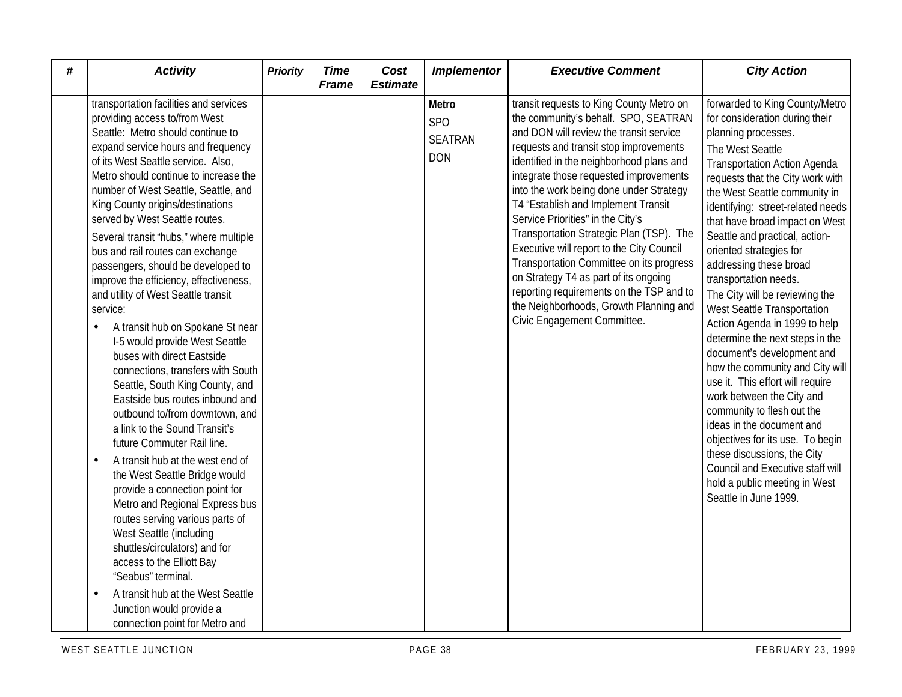| # | <b>Activity</b>                                                                                                                                                                                                                                                                                                                                                                                                                                                                                                                                                                                                                                                                                                                                                                                                                                                                                                                                                                                                                                                                                                                                                                                                                                                                                          | <b>Priority</b> | <b>Time</b><br><b>Frame</b> | Cost<br><b>Estimate</b> | <b>Implementor</b>                           | <b>Executive Comment</b>                                                                                                                                                                                                                                                                                                                                                                                                                                                                                                                                                                                                                                                              | <b>City Action</b>                                                                                                                                                                                                                                                                                                                                                                                                                                                                                                                                                                                                                                                                                                                                                                                                                                                                                                |
|---|----------------------------------------------------------------------------------------------------------------------------------------------------------------------------------------------------------------------------------------------------------------------------------------------------------------------------------------------------------------------------------------------------------------------------------------------------------------------------------------------------------------------------------------------------------------------------------------------------------------------------------------------------------------------------------------------------------------------------------------------------------------------------------------------------------------------------------------------------------------------------------------------------------------------------------------------------------------------------------------------------------------------------------------------------------------------------------------------------------------------------------------------------------------------------------------------------------------------------------------------------------------------------------------------------------|-----------------|-----------------------------|-------------------------|----------------------------------------------|---------------------------------------------------------------------------------------------------------------------------------------------------------------------------------------------------------------------------------------------------------------------------------------------------------------------------------------------------------------------------------------------------------------------------------------------------------------------------------------------------------------------------------------------------------------------------------------------------------------------------------------------------------------------------------------|-------------------------------------------------------------------------------------------------------------------------------------------------------------------------------------------------------------------------------------------------------------------------------------------------------------------------------------------------------------------------------------------------------------------------------------------------------------------------------------------------------------------------------------------------------------------------------------------------------------------------------------------------------------------------------------------------------------------------------------------------------------------------------------------------------------------------------------------------------------------------------------------------------------------|
|   | transportation facilities and services<br>providing access to/from West<br>Seattle: Metro should continue to<br>expand service hours and frequency<br>of its West Seattle service. Also,<br>Metro should continue to increase the<br>number of West Seattle, Seattle, and<br>King County origins/destinations<br>served by West Seattle routes.<br>Several transit 'hubs," where multiple<br>bus and rail routes can exchange<br>passengers, should be developed to<br>improve the efficiency, effectiveness,<br>and utility of West Seattle transit<br>service:<br>A transit hub on Spokane St near<br>$\bullet$<br>I-5 would provide West Seattle<br>buses with direct Eastside<br>connections, transfers with South<br>Seattle, South King County, and<br>Eastside bus routes inbound and<br>outbound to/from downtown, and<br>a link to the Sound Transit's<br>future Commuter Rail line.<br>A transit hub at the west end of<br>$\bullet$<br>the West Seattle Bridge would<br>provide a connection point for<br>Metro and Regional Express bus<br>routes serving various parts of<br>West Seattle (including<br>shuttles/circulators) and for<br>access to the Elliott Bay<br>"Seabus" terminal.<br>A transit hub at the West Seattle<br>Junction would provide a<br>connection point for Metro and |                 |                             |                         | Metro<br>SPO<br><b>SEATRAN</b><br><b>DON</b> | transit requests to King County Metro on<br>the community's behalf. SPO, SEATRAN<br>and DON will review the transit service<br>requests and transit stop improvements<br>identified in the neighborhood plans and<br>integrate those requested improvements<br>into the work being done under Strategy<br>T4 "Establish and Implement Transit<br>Service Priorities" in the City's<br>Transportation Strategic Plan (TSP). The<br>Executive will report to the City Council<br>Transportation Committee on its progress<br>on Strategy T4 as part of its ongoing<br>reporting requirements on the TSP and to<br>the Neighborhoods, Growth Planning and<br>Civic Engagement Committee. | forwarded to King County/Metro<br>for consideration during their<br>planning processes.<br>The West Seattle<br><b>Transportation Action Agenda</b><br>requests that the City work with<br>the West Seattle community in<br>identifying: street-related needs<br>that have broad impact on West<br>Seattle and practical, action-<br>oriented strategies for<br>addressing these broad<br>transportation needs.<br>The City will be reviewing the<br>West Seattle Transportation<br>Action Agenda in 1999 to help<br>determine the next steps in the<br>document's development and<br>how the community and City will<br>use it. This effort will require<br>work between the City and<br>community to flesh out the<br>ideas in the document and<br>objectives for its use. To begin<br>these discussions, the City<br>Council and Executive staff will<br>hold a public meeting in West<br>Seattle in June 1999. |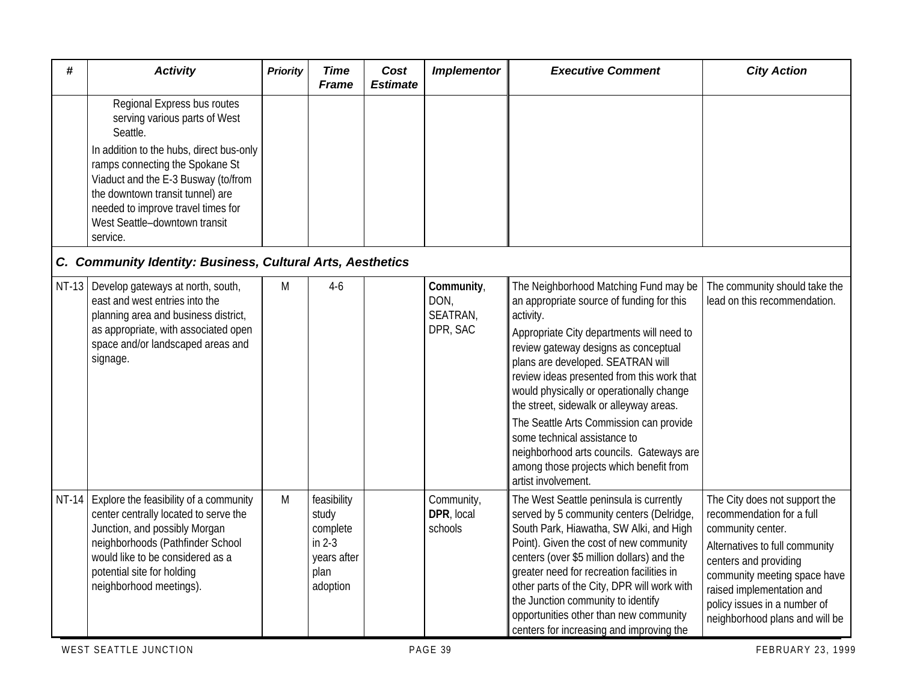| #       | <b>Activity</b>                                                                                                                                                                                                                                                                                                       | <b>Priority</b> | <b>Time</b><br>Frame                                                            | Cost<br><b>Estimate</b> | <b>Implementor</b>                         | <b>Executive Comment</b>                                                                                                                                                                                                                                                                                                                                                                                                                                                                                                                                | <b>City Action</b>                                                                                                                                                                                                                                                        |
|---------|-----------------------------------------------------------------------------------------------------------------------------------------------------------------------------------------------------------------------------------------------------------------------------------------------------------------------|-----------------|---------------------------------------------------------------------------------|-------------------------|--------------------------------------------|---------------------------------------------------------------------------------------------------------------------------------------------------------------------------------------------------------------------------------------------------------------------------------------------------------------------------------------------------------------------------------------------------------------------------------------------------------------------------------------------------------------------------------------------------------|---------------------------------------------------------------------------------------------------------------------------------------------------------------------------------------------------------------------------------------------------------------------------|
|         | Regional Express bus routes<br>serving various parts of West<br>Seattle.<br>In addition to the hubs, direct bus-only<br>ramps connecting the Spokane St<br>Viaduct and the E-3 Busway (to/from<br>the downtown transit tunnel) are<br>needed to improve travel times for<br>West Seattle-downtown transit<br>service. |                 |                                                                                 |                         |                                            |                                                                                                                                                                                                                                                                                                                                                                                                                                                                                                                                                         |                                                                                                                                                                                                                                                                           |
|         | C. Community Identity: Business, Cultural Arts, Aesthetics                                                                                                                                                                                                                                                            |                 |                                                                                 |                         |                                            |                                                                                                                                                                                                                                                                                                                                                                                                                                                                                                                                                         |                                                                                                                                                                                                                                                                           |
| $NT-13$ | Develop gateways at north, south,<br>east and west entries into the<br>planning area and business district,<br>as appropriate, with associated open<br>space and/or landscaped areas and<br>signage.                                                                                                                  | M               | $4-6$                                                                           |                         | Community,<br>DON,<br>SEATRAN,<br>DPR, SAC | The Neighborhood Matching Fund may be<br>an appropriate source of funding for this<br>activity.<br>Appropriate City departments will need to<br>review gateway designs as conceptual<br>plans are developed. SEATRAN will<br>review ideas presented from this work that<br>would physically or operationally change<br>the street, sidewalk or alleyway areas.<br>The Seattle Arts Commission can provide<br>some technical assistance to<br>neighborhood arts councils. Gateways are<br>among those projects which benefit from<br>artist involvement. | The community should take the<br>lead on this recommendation.                                                                                                                                                                                                             |
|         | NT-14 Explore the feasibility of a community<br>center centrally located to serve the<br>Junction, and possibly Morgan<br>neighborhoods (Pathfinder School<br>would like to be considered as a<br>potential site for holding<br>neighborhood meetings).                                                               | M               | feasibility<br>study<br>complete<br>in $2-3$<br>years after<br>plan<br>adoption |                         | Community,<br>DPR, local<br>schools        | The West Seattle peninsula is currently<br>served by 5 community centers (Delridge,<br>South Park, Hiawatha, SW Alki, and High<br>Point). Given the cost of new community<br>centers (over \$5 million dollars) and the<br>greater need for recreation facilities in<br>other parts of the City, DPR will work with<br>the Junction community to identify<br>opportunities other than new community<br>centers for increasing and improving the                                                                                                         | The City does not support the<br>recommendation for a full<br>community center.<br>Alternatives to full community<br>centers and providing<br>community meeting space have<br>raised implementation and<br>policy issues in a number of<br>neighborhood plans and will be |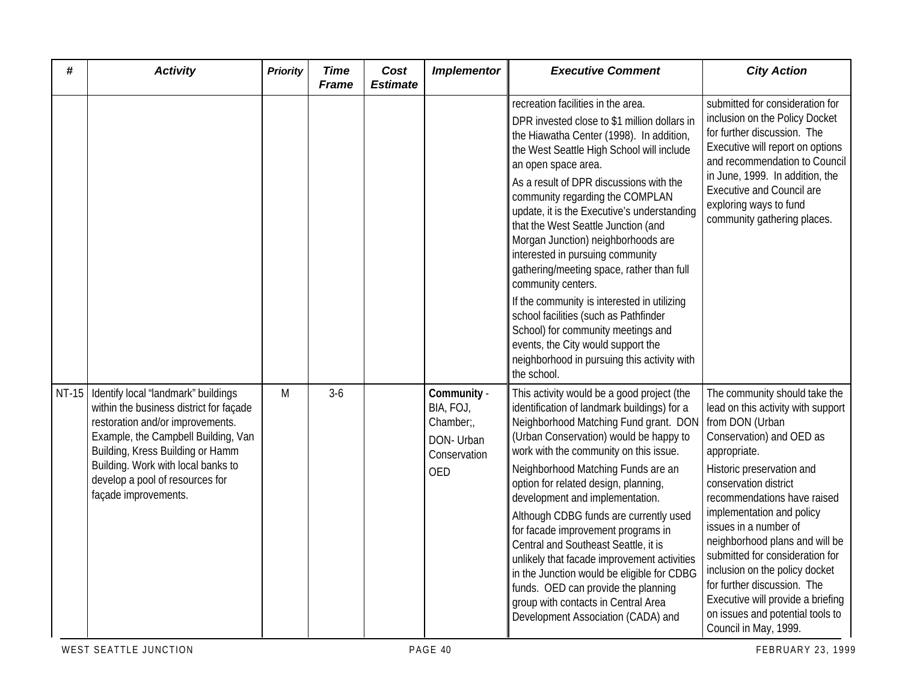| #     | <b>Activity</b>                                                                                                                                                                                                                                                                                | <b>Priority</b> | <b>Time</b><br><b>Frame</b> | Cost<br><b>Estimate</b> | <b>Implementor</b>                                                        | <b>Executive Comment</b>                                                                                                                                                                                                                                                                                                                                                                                                                                                                                                                                                                                                                                                                                                                              | <b>City Action</b>                                                                                                                                                                                                                                                                                                                                                                                                                                                                                                    |
|-------|------------------------------------------------------------------------------------------------------------------------------------------------------------------------------------------------------------------------------------------------------------------------------------------------|-----------------|-----------------------------|-------------------------|---------------------------------------------------------------------------|-------------------------------------------------------------------------------------------------------------------------------------------------------------------------------------------------------------------------------------------------------------------------------------------------------------------------------------------------------------------------------------------------------------------------------------------------------------------------------------------------------------------------------------------------------------------------------------------------------------------------------------------------------------------------------------------------------------------------------------------------------|-----------------------------------------------------------------------------------------------------------------------------------------------------------------------------------------------------------------------------------------------------------------------------------------------------------------------------------------------------------------------------------------------------------------------------------------------------------------------------------------------------------------------|
|       |                                                                                                                                                                                                                                                                                                |                 |                             |                         |                                                                           | recreation facilities in the area.<br>DPR invested close to \$1 million dollars in<br>the Hiawatha Center (1998). In addition,<br>the West Seattle High School will include<br>an open space area.<br>As a result of DPR discussions with the<br>community regarding the COMPLAN<br>update, it is the Executive's understanding<br>that the West Seattle Junction (and<br>Morgan Junction) neighborhoods are<br>interested in pursuing community<br>gathering/meeting space, rather than full<br>community centers.<br>If the community is interested in utilizing<br>school facilities (such as Pathfinder<br>School) for community meetings and<br>events, the City would support the<br>neighborhood in pursuing this activity with<br>the school. | submitted for consideration for<br>inclusion on the Policy Docket<br>for further discussion. The<br>Executive will report on options<br>and recommendation to Council<br>in June, 1999. In addition, the<br><b>Executive and Council are</b><br>exploring ways to fund<br>community gathering places.                                                                                                                                                                                                                 |
| NT-15 | Identify local 'landmark" buildings<br>within the business district for façade<br>restoration and/or improvements.<br>Example, the Campbell Building, Van<br>Building, Kress Building or Hamm<br>Building. Work with local banks to<br>develop a pool of resources for<br>façade improvements. | M               | $3-6$                       |                         | Community -<br>BIA, FOJ,<br>Chamber;<br>DON- Urban<br>Conservation<br>OED | This activity would be a good project (the<br>identification of landmark buildings) for a<br>Neighborhood Matching Fund grant. DON<br>(Urban Conservation) would be happy to<br>work with the community on this issue.<br>Neighborhood Matching Funds are an<br>option for related design, planning,<br>development and implementation.<br>Although CDBG funds are currently used<br>for facade improvement programs in<br>Central and Southeast Seattle, it is<br>unlikely that facade improvement activities<br>in the Junction would be eligible for CDBG<br>funds. OED can provide the planning<br>group with contacts in Central Area<br>Development Association (CADA) and                                                                      | The community should take the<br>lead on this activity with support<br>from DON (Urban<br>Conservation) and OED as<br>appropriate.<br>Historic preservation and<br>conservation district<br>recommendations have raised<br>implementation and policy<br>issues in a number of<br>neighborhood plans and will be<br>submitted for consideration for<br>inclusion on the policy docket<br>for further discussion. The<br>Executive will provide a briefing<br>on issues and potential tools to<br>Council in May, 1999. |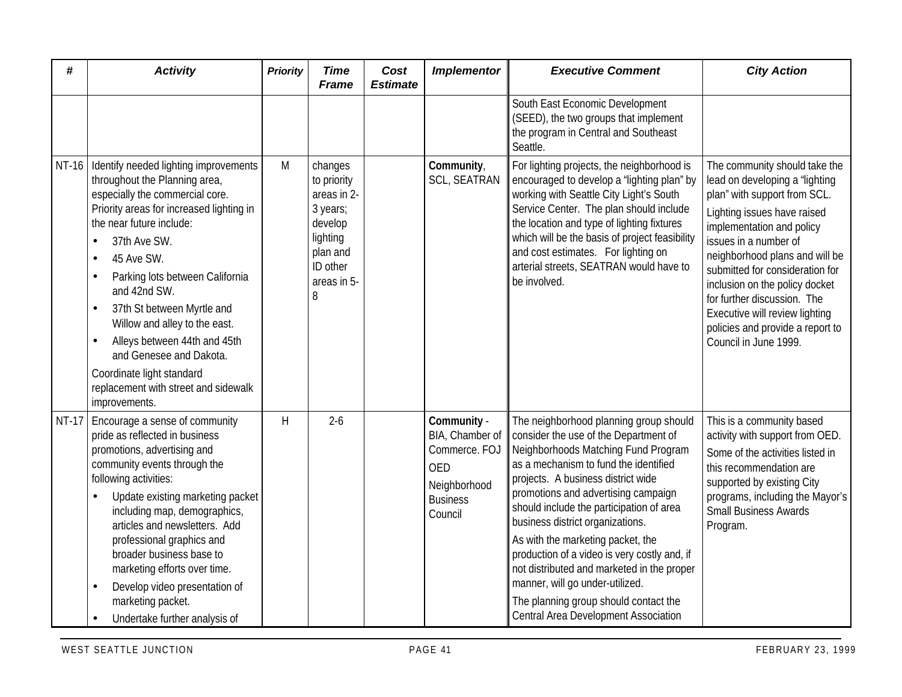| #            | <b>Activity</b>                                                                                                                                                                                                                                                                                                                                                                                                                                                                                                                                             | <b>Priority</b> | <b>Time</b><br><b>Frame</b>                                                                                          | Cost<br><b>Estimate</b> | <b>Implementor</b>                                                                                          | <b>Executive Comment</b>                                                                                                                                                                                                                                                                                                                                                                                                                                                                                                                                                            | <b>City Action</b>                                                                                                                                                                                                                                                                                                                                                                                                        |
|--------------|-------------------------------------------------------------------------------------------------------------------------------------------------------------------------------------------------------------------------------------------------------------------------------------------------------------------------------------------------------------------------------------------------------------------------------------------------------------------------------------------------------------------------------------------------------------|-----------------|----------------------------------------------------------------------------------------------------------------------|-------------------------|-------------------------------------------------------------------------------------------------------------|-------------------------------------------------------------------------------------------------------------------------------------------------------------------------------------------------------------------------------------------------------------------------------------------------------------------------------------------------------------------------------------------------------------------------------------------------------------------------------------------------------------------------------------------------------------------------------------|---------------------------------------------------------------------------------------------------------------------------------------------------------------------------------------------------------------------------------------------------------------------------------------------------------------------------------------------------------------------------------------------------------------------------|
|              |                                                                                                                                                                                                                                                                                                                                                                                                                                                                                                                                                             |                 |                                                                                                                      |                         |                                                                                                             | South East Economic Development<br>(SEED), the two groups that implement<br>the program in Central and Southeast<br>Seattle.                                                                                                                                                                                                                                                                                                                                                                                                                                                        |                                                                                                                                                                                                                                                                                                                                                                                                                           |
|              | NT-16   Identify needed lighting improvements<br>throughout the Planning area,<br>especially the commercial core.<br>Priority areas for increased lighting in<br>the near future include:<br>37th Ave SW.<br>$\bullet$<br>45 Ave SW.<br>$\bullet$<br>Parking lots between California<br>$\bullet$<br>and 42nd SW.<br>37th St between Myrtle and<br>$\bullet$<br>Willow and alley to the east.<br>Alleys between 44th and 45th<br>$\bullet$<br>and Genesee and Dakota.<br>Coordinate light standard<br>replacement with street and sidewalk<br>improvements. | M               | changes<br>to priority<br>areas in 2-<br>3 years;<br>develop<br>lighting<br>plan and<br>ID other<br>areas in 5-<br>8 |                         | Community,<br><b>SCL, SEATRAN</b>                                                                           | For lighting projects, the neighborhood is<br>encouraged to develop a 'lighting plan" by<br>working with Seattle City Light's South<br>Service Center. The plan should include<br>the location and type of lighting fixtures<br>which will be the basis of project feasibility<br>and cost estimates. For lighting on<br>arterial streets, SEATRAN would have to<br>be involved.                                                                                                                                                                                                    | The community should take the<br>lead on developing a 'lighting<br>plan" with support from SCL.<br>Lighting issues have raised<br>implementation and policy<br>issues in a number of<br>neighborhood plans and will be<br>submitted for consideration for<br>inclusion on the policy docket<br>for further discussion. The<br>Executive will review lighting<br>policies and provide a report to<br>Council in June 1999. |
| <b>NT-17</b> | Encourage a sense of community<br>pride as reflected in business<br>promotions, advertising and<br>community events through the<br>following activities:<br>Update existing marketing packet<br>$\bullet$<br>including map, demographics,<br>articles and newsletters. Add<br>professional graphics and<br>broader business base to<br>marketing efforts over time.<br>Develop video presentation of<br>marketing packet.<br>Undertake further analysis of<br>$\bullet$                                                                                     | H               | $2 - 6$                                                                                                              |                         | Community -<br>BIA, Chamber of<br>Commerce. FOJ<br><b>OED</b><br>Neighborhood<br><b>Business</b><br>Council | The neighborhood planning group should<br>consider the use of the Department of<br>Neighborhoods Matching Fund Program<br>as a mechanism to fund the identified<br>projects. A business district wide<br>promotions and advertising campaign<br>should include the participation of area<br>business district organizations.<br>As with the marketing packet, the<br>production of a video is very costly and, if<br>not distributed and marketed in the proper<br>manner, will go under-utilized.<br>The planning group should contact the<br>Central Area Development Association | This is a community based<br>activity with support from OED.<br>Some of the activities listed in<br>this recommendation are<br>supported by existing City<br>programs, including the Mayor's<br><b>Small Business Awards</b><br>Program.                                                                                                                                                                                  |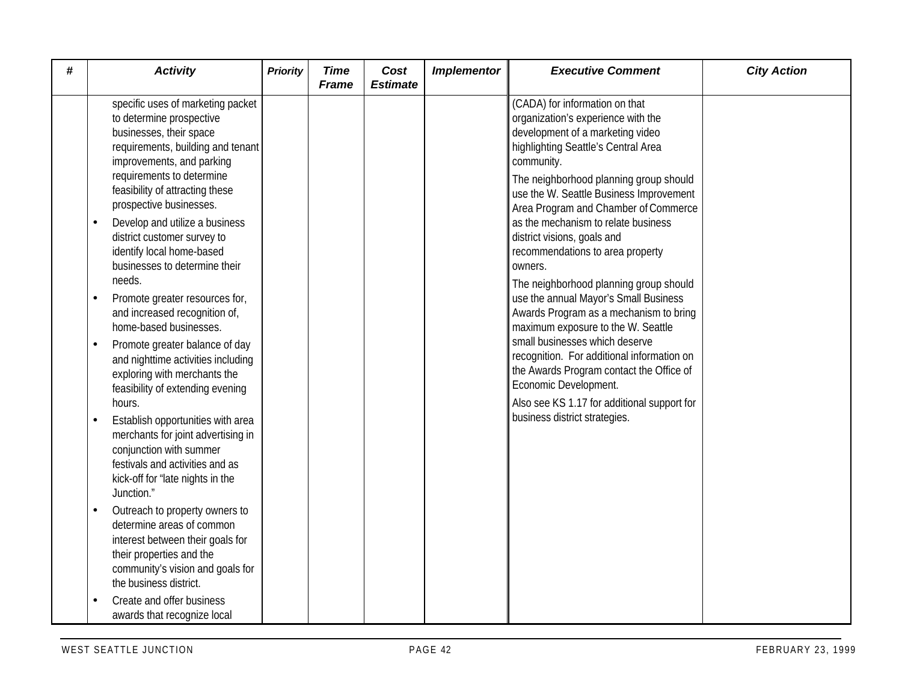| # | <b>Activity</b>                                                                                                                                                                                                                                                                                                                               | <b>Priority</b> | <b>Time</b><br><b>Frame</b> | Cost<br><b>Estimate</b> | <b>Implementor</b> | <b>Executive Comment</b>                                                                                                                                                                                                                                                                   | <b>City Action</b> |
|---|-----------------------------------------------------------------------------------------------------------------------------------------------------------------------------------------------------------------------------------------------------------------------------------------------------------------------------------------------|-----------------|-----------------------------|-------------------------|--------------------|--------------------------------------------------------------------------------------------------------------------------------------------------------------------------------------------------------------------------------------------------------------------------------------------|--------------------|
|   | specific uses of marketing packet<br>to determine prospective<br>businesses, their space<br>requirements, building and tenant<br>improvements, and parking<br>requirements to determine<br>feasibility of attracting these<br>prospective businesses.                                                                                         |                 |                             |                         |                    | (CADA) for information on that<br>organization's experience with the<br>development of a marketing video<br>highlighting Seattle's Central Area<br>community.<br>The neighborhood planning group should<br>use the W. Seattle Business Improvement<br>Area Program and Chamber of Commerce |                    |
|   | Develop and utilize a business<br>district customer survey to<br>identify local home-based<br>businesses to determine their<br>needs.                                                                                                                                                                                                         |                 |                             |                         |                    | as the mechanism to relate business<br>district visions, goals and<br>recommendations to area property<br>owners.<br>The neighborhood planning group should                                                                                                                                |                    |
|   | Promote greater resources for,<br>and increased recognition of,<br>home-based businesses.                                                                                                                                                                                                                                                     |                 |                             |                         |                    | use the annual Mayor's Small Business<br>Awards Program as a mechanism to bring<br>maximum exposure to the W. Seattle                                                                                                                                                                      |                    |
|   | Promote greater balance of day<br>and nighttime activities including<br>exploring with merchants the<br>feasibility of extending evening<br>hours.<br>Establish opportunities with area<br>merchants for joint advertising in<br>conjunction with summer<br>festivals and activities and as<br>kick-off for 'late nights in the<br>Junction." |                 |                             |                         |                    | small businesses which deserve<br>recognition. For additional information on<br>the Awards Program contact the Office of<br>Economic Development.<br>Also see KS 1.17 for additional support for<br>business district strategies.                                                          |                    |
|   | Outreach to property owners to<br>determine areas of common<br>interest between their goals for<br>their properties and the<br>community's vision and goals for<br>the business district.                                                                                                                                                     |                 |                             |                         |                    |                                                                                                                                                                                                                                                                                            |                    |
|   | Create and offer business<br>awards that recognize local                                                                                                                                                                                                                                                                                      |                 |                             |                         |                    |                                                                                                                                                                                                                                                                                            |                    |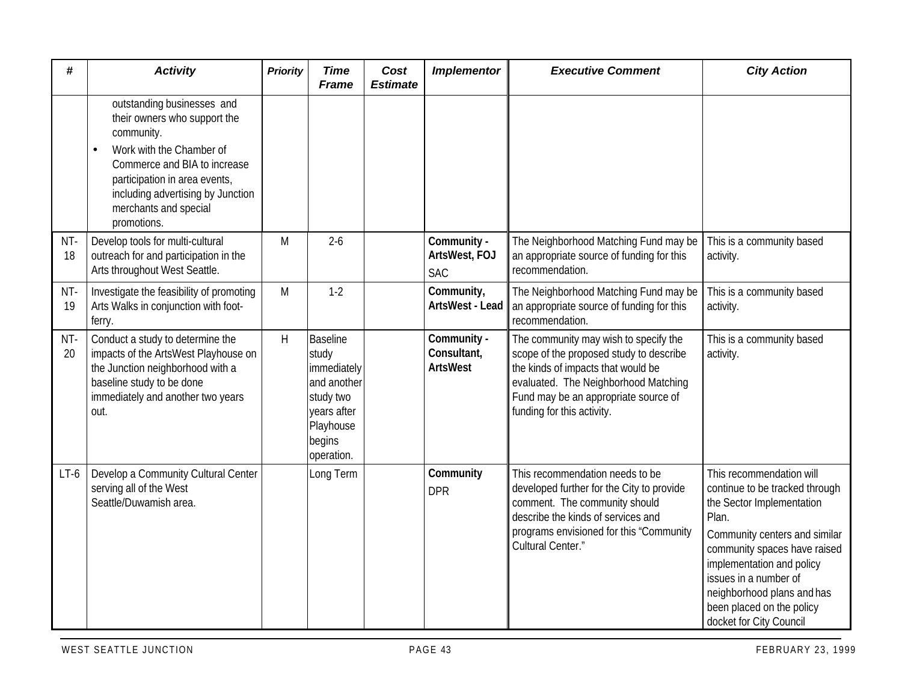| #         | <b>Activity</b>                                                                                                                                                                                                                                    | <b>Priority</b> | <b>Time</b><br><b>Frame</b>                                                                                             | Cost<br><b>Estimate</b> | <b>Implementor</b>                            | <b>Executive Comment</b>                                                                                                                                                                                                             | <b>City Action</b>                                                                                                                                                                                                                                                                                            |
|-----------|----------------------------------------------------------------------------------------------------------------------------------------------------------------------------------------------------------------------------------------------------|-----------------|-------------------------------------------------------------------------------------------------------------------------|-------------------------|-----------------------------------------------|--------------------------------------------------------------------------------------------------------------------------------------------------------------------------------------------------------------------------------------|---------------------------------------------------------------------------------------------------------------------------------------------------------------------------------------------------------------------------------------------------------------------------------------------------------------|
|           | outstanding businesses and<br>their owners who support the<br>community.<br>Work with the Chamber of<br>Commerce and BIA to increase<br>participation in area events,<br>including advertising by Junction<br>merchants and special<br>promotions. |                 |                                                                                                                         |                         |                                               |                                                                                                                                                                                                                                      |                                                                                                                                                                                                                                                                                                               |
| NT-<br>18 | Develop tools for multi-cultural<br>outreach for and participation in the<br>Arts throughout West Seattle.                                                                                                                                         | M               | $2 - 6$                                                                                                                 |                         | Community -<br>ArtsWest, FOJ<br><b>SAC</b>    | The Neighborhood Matching Fund may be<br>an appropriate source of funding for this<br>recommendation.                                                                                                                                | This is a community based<br>activity.                                                                                                                                                                                                                                                                        |
| NT-<br>19 | Investigate the feasibility of promoting<br>Arts Walks in conjunction with foot-<br>ferry.                                                                                                                                                         | M               | $1-2$                                                                                                                   |                         | Community,<br>ArtsWest - Lead                 | The Neighborhood Matching Fund may be<br>an appropriate source of funding for this<br>recommendation.                                                                                                                                | This is a community based<br>activity.                                                                                                                                                                                                                                                                        |
| NT-<br>20 | Conduct a study to determine the<br>impacts of the ArtsWest Playhouse on<br>the Junction neighborhood with a<br>baseline study to be done<br>immediately and another two years<br>out.                                                             | $\sf H$         | <b>Baseline</b><br>study<br>immediately<br>and another<br>study two<br>years after<br>Playhouse<br>begins<br>operation. |                         | Community -<br>Consultant,<br><b>ArtsWest</b> | The community may wish to specify the<br>scope of the proposed study to describe<br>the kinds of impacts that would be<br>evaluated. The Neighborhood Matching<br>Fund may be an appropriate source of<br>funding for this activity. | This is a community based<br>activity.                                                                                                                                                                                                                                                                        |
| $LT-6$    | Develop a Community Cultural Center<br>serving all of the West<br>Seattle/Duwamish area.                                                                                                                                                           |                 | Long Term                                                                                                               |                         | Community<br><b>DPR</b>                       | This recommendation needs to be<br>developed further for the City to provide<br>comment. The community should<br>describe the kinds of services and<br>programs envisioned for this "Community<br>Cultural Center."                  | This recommendation will<br>continue to be tracked through<br>the Sector Implementation<br>Plan.<br>Community centers and similar<br>community spaces have raised<br>implementation and policy<br>issues in a number of<br>neighborhood plans and has<br>been placed on the policy<br>docket for City Council |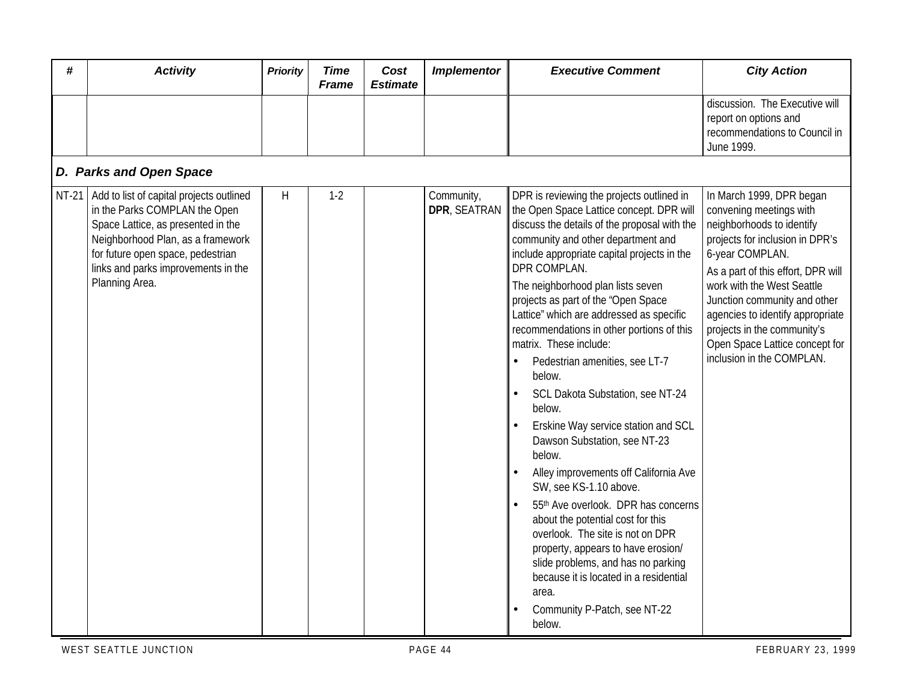| # | <b>Activity</b>                                                                                                                                                                                                                                            | <b>Priority</b> | <b>Time</b><br><b>Frame</b> | Cost<br><b>Estimate</b> | <b>Implementor</b>         | <b>Executive Comment</b>                                                                                                                                                                                                                                                                                                                                                                                                                                                                                                                                                                                                                                                                                                                                                                                                                                                                                                                                                                                   | <b>City Action</b>                                                                                                                                                                                                                                                                                                                                                           |  |  |  |  |
|---|------------------------------------------------------------------------------------------------------------------------------------------------------------------------------------------------------------------------------------------------------------|-----------------|-----------------------------|-------------------------|----------------------------|------------------------------------------------------------------------------------------------------------------------------------------------------------------------------------------------------------------------------------------------------------------------------------------------------------------------------------------------------------------------------------------------------------------------------------------------------------------------------------------------------------------------------------------------------------------------------------------------------------------------------------------------------------------------------------------------------------------------------------------------------------------------------------------------------------------------------------------------------------------------------------------------------------------------------------------------------------------------------------------------------------|------------------------------------------------------------------------------------------------------------------------------------------------------------------------------------------------------------------------------------------------------------------------------------------------------------------------------------------------------------------------------|--|--|--|--|
|   |                                                                                                                                                                                                                                                            |                 |                             |                         |                            |                                                                                                                                                                                                                                                                                                                                                                                                                                                                                                                                                                                                                                                                                                                                                                                                                                                                                                                                                                                                            | discussion. The Executive will<br>report on options and<br>recommendations to Council in<br>June 1999.                                                                                                                                                                                                                                                                       |  |  |  |  |
|   | D. Parks and Open Space                                                                                                                                                                                                                                    |                 |                             |                         |                            |                                                                                                                                                                                                                                                                                                                                                                                                                                                                                                                                                                                                                                                                                                                                                                                                                                                                                                                                                                                                            |                                                                                                                                                                                                                                                                                                                                                                              |  |  |  |  |
|   | NT-21   Add to list of capital projects outlined<br>in the Parks COMPLAN the Open<br>Space Lattice, as presented in the<br>Neighborhood Plan, as a framework<br>for future open space, pedestrian<br>links and parks improvements in the<br>Planning Area. | H               | $1 - 2$                     |                         | Community,<br>DPR, SEATRAN | DPR is reviewing the projects outlined in<br>the Open Space Lattice concept. DPR will<br>discuss the details of the proposal with the<br>community and other department and<br>include appropriate capital projects in the<br>DPR COMPLAN.<br>The neighborhood plan lists seven<br>projects as part of the "Open Space<br>Lattice" which are addressed as specific<br>recommendations in other portions of this<br>matrix. These include:<br>Pedestrian amenities, see LT-7<br>$\bullet$<br>below.<br>SCL Dakota Substation, see NT-24<br>$\bullet$<br>below.<br>Erskine Way service station and SCL<br>Dawson Substation, see NT-23<br>below.<br>Alley improvements off California Ave<br>SW, see KS-1.10 above.<br>55th Ave overlook. DPR has concerns<br>about the potential cost for this<br>overlook. The site is not on DPR<br>property, appears to have erosion/<br>slide problems, and has no parking<br>because it is located in a residential<br>area.<br>Community P-Patch, see NT-22<br>below. | In March 1999, DPR began<br>convening meetings with<br>neighborhoods to identify<br>projects for inclusion in DPR's<br>6-year COMPLAN.<br>As a part of this effort, DPR will<br>work with the West Seattle<br>Junction community and other<br>agencies to identify appropriate<br>projects in the community's<br>Open Space Lattice concept for<br>inclusion in the COMPLAN. |  |  |  |  |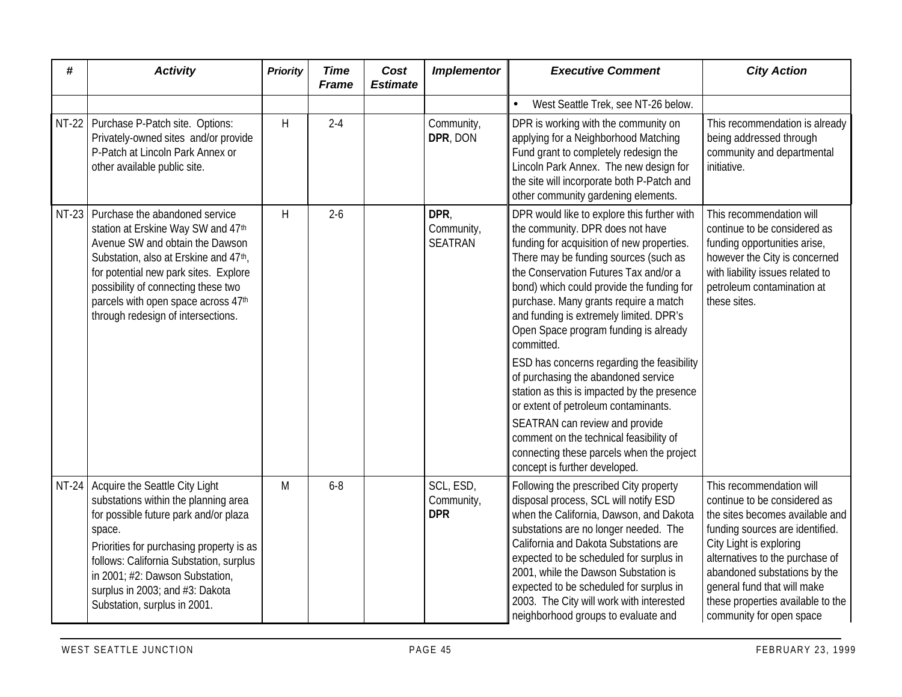| #       | <b>Activity</b>                                                                                                                                                                                                                                                                                                              | <b>Priority</b> | <b>Time</b><br><b>Frame</b> | Cost<br><b>Estimate</b> | <b>Implementor</b>                    | <b>Executive Comment</b>                                                                                                                                                                                                                                                                                                                                                                                                                                                                                                                                                                                                                                                                                                                       | <b>City Action</b>                                                                                                                                                                                                                                                                                                           |
|---------|------------------------------------------------------------------------------------------------------------------------------------------------------------------------------------------------------------------------------------------------------------------------------------------------------------------------------|-----------------|-----------------------------|-------------------------|---------------------------------------|------------------------------------------------------------------------------------------------------------------------------------------------------------------------------------------------------------------------------------------------------------------------------------------------------------------------------------------------------------------------------------------------------------------------------------------------------------------------------------------------------------------------------------------------------------------------------------------------------------------------------------------------------------------------------------------------------------------------------------------------|------------------------------------------------------------------------------------------------------------------------------------------------------------------------------------------------------------------------------------------------------------------------------------------------------------------------------|
|         |                                                                                                                                                                                                                                                                                                                              |                 |                             |                         |                                       | West Seattle Trek, see NT-26 below.                                                                                                                                                                                                                                                                                                                                                                                                                                                                                                                                                                                                                                                                                                            |                                                                                                                                                                                                                                                                                                                              |
|         | NT-22 Purchase P-Patch site. Options:<br>Privately-owned sites and/or provide<br>P-Patch at Lincoln Park Annex or<br>other available public site.                                                                                                                                                                            | H               | $2 - 4$                     |                         | Community,<br>DPR, DON                | DPR is working with the community on<br>applying for a Neighborhood Matching<br>Fund grant to completely redesign the<br>Lincoln Park Annex. The new design for<br>the site will incorporate both P-Patch and<br>other community gardening elements.                                                                                                                                                                                                                                                                                                                                                                                                                                                                                           | This recommendation is already<br>being addressed through<br>community and departmental<br>initiative.                                                                                                                                                                                                                       |
| $NT-23$ | Purchase the abandoned service<br>station at Erskine Way SW and 47th<br>Avenue SW and obtain the Dawson<br>Substation, also at Erskine and 47 <sup>th</sup> ,<br>for potential new park sites. Explore<br>possibility of connecting these two<br>parcels with open space across 47th<br>through redesign of intersections.   | H.              | $2 - 6$                     |                         | DPR,<br>Community,<br><b>SEATRAN</b>  | DPR would like to explore this further with<br>the community. DPR does not have<br>funding for acquisition of new properties.<br>There may be funding sources (such as<br>the Conservation Futures Tax and/or a<br>bond) which could provide the funding for<br>purchase. Many grants require a match<br>and funding is extremely limited. DPR's<br>Open Space program funding is already<br>committed.<br>ESD has concerns regarding the feasibility<br>of purchasing the abandoned service<br>station as this is impacted by the presence<br>or extent of petroleum contaminants.<br>SEATRAN can review and provide<br>comment on the technical feasibility of<br>connecting these parcels when the project<br>concept is further developed. | This recommendation will<br>continue to be considered as<br>funding opportunities arise,<br>however the City is concerned<br>with liability issues related to<br>petroleum contamination at<br>these sites.                                                                                                                  |
|         | NT-24 Acquire the Seattle City Light<br>substations within the planning area<br>for possible future park and/or plaza<br>space.<br>Priorities for purchasing property is as<br>follows: California Substation, surplus<br>in 2001; #2: Dawson Substation,<br>surplus in 2003; and #3: Dakota<br>Substation, surplus in 2001. | M               | $6 - 8$                     |                         | SCL, ESD,<br>Community,<br><b>DPR</b> | Following the prescribed City property<br>disposal process, SCL will notify ESD<br>when the California, Dawson, and Dakota<br>substations are no longer needed. The<br>California and Dakota Substations are<br>expected to be scheduled for surplus in<br>2001, while the Dawson Substation is<br>expected to be scheduled for surplus in<br>2003. The City will work with interested<br>neighborhood groups to evaluate and                                                                                                                                                                                                                                                                                                                  | This recommendation will<br>continue to be considered as<br>the sites becomes available and<br>funding sources are identified.<br>City Light is exploring<br>alternatives to the purchase of<br>abandoned substations by the<br>general fund that will make<br>these properties available to the<br>community for open space |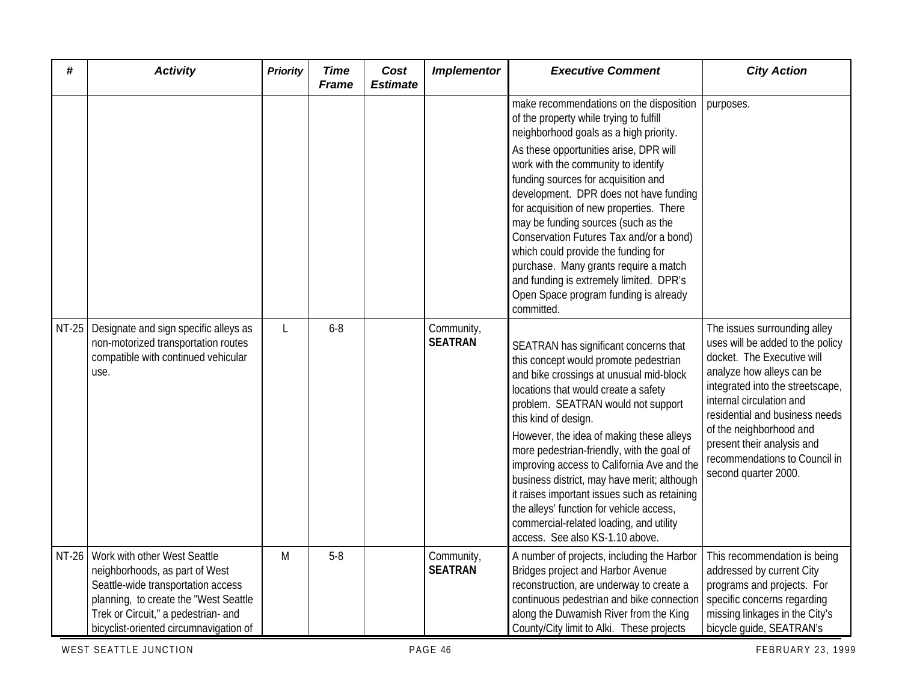| #     | <b>Activity</b>                                                                                                                                                                                                                | <b>Priority</b> | <b>Time</b><br><b>Frame</b> | Cost<br><b>Estimate</b> | <b>Implementor</b>           | <b>Executive Comment</b>                                                                                                                                                                                                                                                                                                                                                                                                                                                                                                                                                                                       | <b>City Action</b>                                                                                                                                                                                                                                                                                                                              |
|-------|--------------------------------------------------------------------------------------------------------------------------------------------------------------------------------------------------------------------------------|-----------------|-----------------------------|-------------------------|------------------------------|----------------------------------------------------------------------------------------------------------------------------------------------------------------------------------------------------------------------------------------------------------------------------------------------------------------------------------------------------------------------------------------------------------------------------------------------------------------------------------------------------------------------------------------------------------------------------------------------------------------|-------------------------------------------------------------------------------------------------------------------------------------------------------------------------------------------------------------------------------------------------------------------------------------------------------------------------------------------------|
|       |                                                                                                                                                                                                                                |                 |                             |                         |                              | make recommendations on the disposition<br>of the property while trying to fulfill<br>neighborhood goals as a high priority.<br>As these opportunities arise, DPR will<br>work with the community to identify<br>funding sources for acquisition and<br>development. DPR does not have funding<br>for acquisition of new properties. There<br>may be funding sources (such as the<br>Conservation Futures Tax and/or a bond)<br>which could provide the funding for<br>purchase. Many grants require a match<br>and funding is extremely limited. DPR's<br>Open Space program funding is already<br>committed. | purposes.                                                                                                                                                                                                                                                                                                                                       |
|       | NT-25   Designate and sign specific alleys as<br>non-motorized transportation routes<br>compatible with continued vehicular<br>use.                                                                                            |                 | $6 - 8$                     |                         | Community,<br><b>SEATRAN</b> | SEATRAN has significant concerns that<br>this concept would promote pedestrian<br>and bike crossings at unusual mid-block<br>locations that would create a safety<br>problem. SEATRAN would not support<br>this kind of design.<br>However, the idea of making these alleys<br>more pedestrian-friendly, with the goal of<br>improving access to California Ave and the<br>business district, may have merit; although<br>it raises important issues such as retaining<br>the alleys' function for vehicle access,<br>commercial-related loading, and utility<br>access. See also KS-1.10 above.               | The issues surrounding alley<br>uses will be added to the policy<br>docket. The Executive will<br>analyze how alleys can be<br>integrated into the streetscape,<br>internal circulation and<br>residential and business needs<br>of the neighborhood and<br>present their analysis and<br>recommendations to Council in<br>second quarter 2000. |
| NT-26 | Work with other West Seattle<br>neighborhoods, as part of West<br>Seattle-wide transportation access<br>planning, to create the "West Seattle<br>Trek or Circuit," a pedestrian- and<br>bicyclist-oriented circumnavigation of | M               | $5 - 8$                     |                         | Community,<br><b>SEATRAN</b> | A number of projects, including the Harbor<br>Bridges project and Harbor Avenue<br>reconstruction, are underway to create a<br>continuous pedestrian and bike connection<br>along the Duwamish River from the King<br>County/City limit to Alki. These projects                                                                                                                                                                                                                                                                                                                                                | This recommendation is being<br>addressed by current City<br>programs and projects. For<br>specific concerns regarding<br>missing linkages in the City's<br>bicycle guide, SEATRAN's                                                                                                                                                            |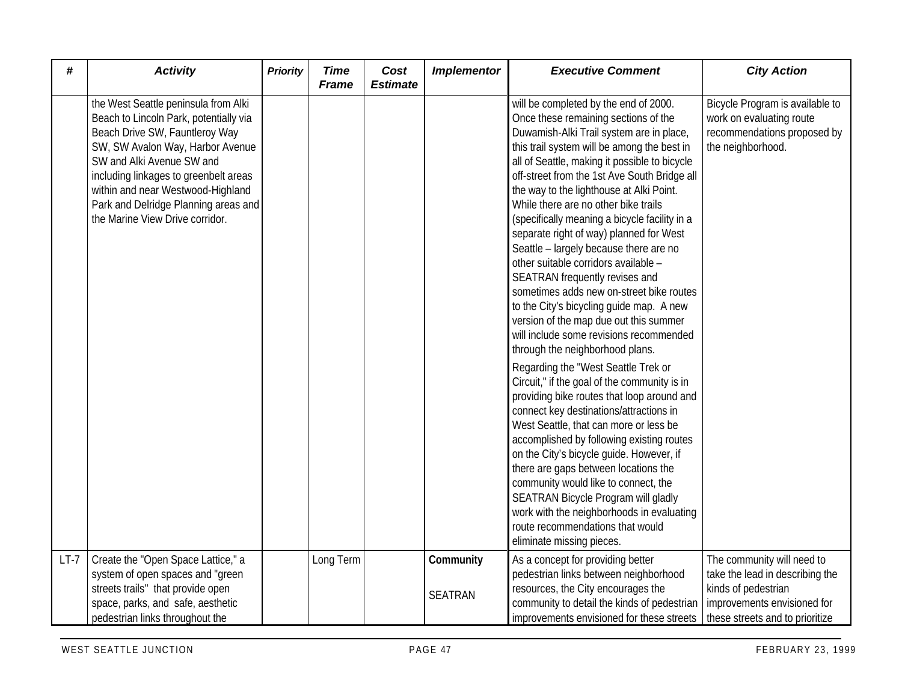| #      | <b>Activity</b>                                                                                                                                                                                                                                                                                                                            | <b>Priority</b> | <b>Time</b><br><b>Frame</b> | Cost<br><b>Estimate</b> | <b>Implementor</b>          | <b>Executive Comment</b>                                                                                                                                                                                                                                                                                                                                                                                                                                                                                                                                                                                                                                                                                                                                                                                                                                                                                                                                                                                                                                                                                                                                                                                                                                                                                                                              | <b>City Action</b>                                                                                                                                     |
|--------|--------------------------------------------------------------------------------------------------------------------------------------------------------------------------------------------------------------------------------------------------------------------------------------------------------------------------------------------|-----------------|-----------------------------|-------------------------|-----------------------------|-------------------------------------------------------------------------------------------------------------------------------------------------------------------------------------------------------------------------------------------------------------------------------------------------------------------------------------------------------------------------------------------------------------------------------------------------------------------------------------------------------------------------------------------------------------------------------------------------------------------------------------------------------------------------------------------------------------------------------------------------------------------------------------------------------------------------------------------------------------------------------------------------------------------------------------------------------------------------------------------------------------------------------------------------------------------------------------------------------------------------------------------------------------------------------------------------------------------------------------------------------------------------------------------------------------------------------------------------------|--------------------------------------------------------------------------------------------------------------------------------------------------------|
|        | the West Seattle peninsula from Alki<br>Beach to Lincoln Park, potentially via<br>Beach Drive SW, Fauntleroy Way<br>SW, SW Avalon Way, Harbor Avenue<br>SW and Alki Avenue SW and<br>including linkages to greenbelt areas<br>within and near Westwood-Highland<br>Park and Delridge Planning areas and<br>the Marine View Drive corridor. |                 |                             |                         |                             | will be completed by the end of 2000.<br>Once these remaining sections of the<br>Duwamish-Alki Trail system are in place,<br>this trail system will be among the best in<br>all of Seattle, making it possible to bicycle<br>off-street from the 1st Ave South Bridge all<br>the way to the lighthouse at Alki Point.<br>While there are no other bike trails<br>(specifically meaning a bicycle facility in a<br>separate right of way) planned for West<br>Seattle - largely because there are no<br>other suitable corridors available -<br>SEATRAN frequently revises and<br>sometimes adds new on-street bike routes<br>to the City's bicycling guide map. A new<br>version of the map due out this summer<br>will include some revisions recommended<br>through the neighborhood plans.<br>Regarding the "West Seattle Trek or<br>Circuit," if the goal of the community is in<br>providing bike routes that loop around and<br>connect key destinations/attractions in<br>West Seattle, that can more or less be<br>accomplished by following existing routes<br>on the City's bicycle guide. However, if<br>there are gaps between locations the<br>community would like to connect, the<br>SEATRAN Bicycle Program will gladly<br>work with the neighborhoods in evaluating<br>route recommendations that would<br>eliminate missing pieces. | Bicycle Program is available to<br>work on evaluating route<br>recommendations proposed by<br>the neighborhood.                                        |
| $LT-7$ | Create the "Open Space Lattice," a<br>system of open spaces and "green<br>streets trails" that provide open<br>space, parks, and safe, aesthetic<br>pedestrian links throughout the                                                                                                                                                        |                 | Long Term                   |                         | Community<br><b>SEATRAN</b> | As a concept for providing better<br>pedestrian links between neighborhood<br>resources, the City encourages the<br>community to detail the kinds of pedestrian<br>improvements envisioned for these streets                                                                                                                                                                                                                                                                                                                                                                                                                                                                                                                                                                                                                                                                                                                                                                                                                                                                                                                                                                                                                                                                                                                                          | The community will need to<br>take the lead in describing the<br>kinds of pedestrian<br>improvements envisioned for<br>these streets and to prioritize |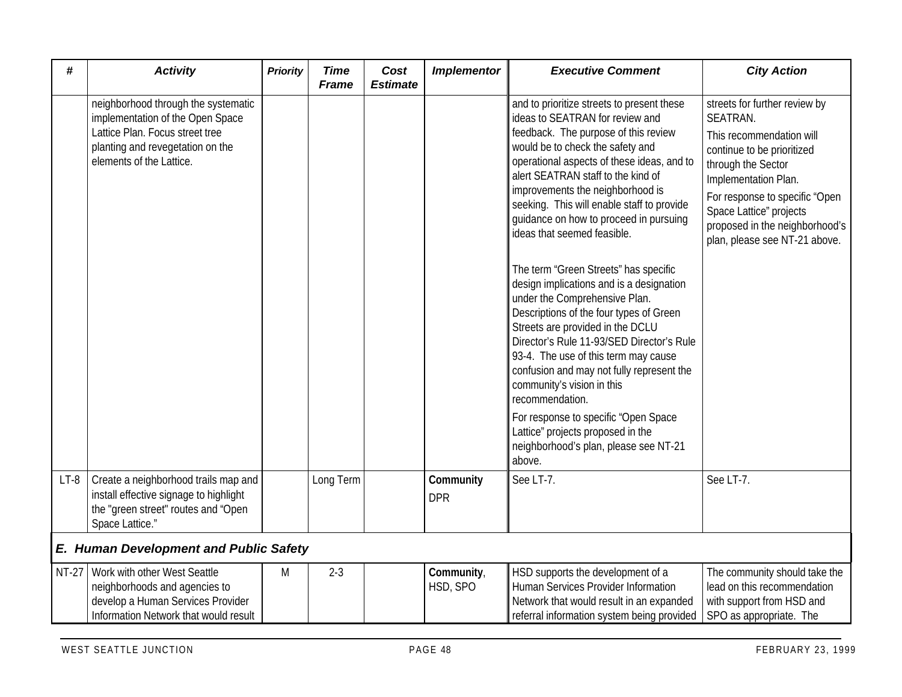| #      | <b>Activity</b>                                                                                                                                                            | <b>Priority</b> | <b>Time</b><br><b>Frame</b> | Cost<br><b>Estimate</b> | <b>Implementor</b>      | <b>Executive Comment</b>                                                                                                                                                                                                                                                                                                                                                                                                                                                                                                                                                                                                                                                                                                                                                                                                                                                                                                         | <b>City Action</b>                                                                                                                                                                                                                                                                |
|--------|----------------------------------------------------------------------------------------------------------------------------------------------------------------------------|-----------------|-----------------------------|-------------------------|-------------------------|----------------------------------------------------------------------------------------------------------------------------------------------------------------------------------------------------------------------------------------------------------------------------------------------------------------------------------------------------------------------------------------------------------------------------------------------------------------------------------------------------------------------------------------------------------------------------------------------------------------------------------------------------------------------------------------------------------------------------------------------------------------------------------------------------------------------------------------------------------------------------------------------------------------------------------|-----------------------------------------------------------------------------------------------------------------------------------------------------------------------------------------------------------------------------------------------------------------------------------|
|        | neighborhood through the systematic<br>implementation of the Open Space<br>Lattice Plan. Focus street tree<br>planting and revegetation on the<br>elements of the Lattice. |                 |                             |                         |                         | and to prioritize streets to present these<br>ideas to SEATRAN for review and<br>feedback. The purpose of this review<br>would be to check the safety and<br>operational aspects of these ideas, and to<br>alert SEATRAN staff to the kind of<br>improvements the neighborhood is<br>seeking. This will enable staff to provide<br>quidance on how to proceed in pursuing<br>ideas that seemed feasible.<br>The term "Green Streets" has specific<br>design implications and is a designation<br>under the Comprehensive Plan.<br>Descriptions of the four types of Green<br>Streets are provided in the DCLU<br>Director's Rule 11-93/SED Director's Rule<br>93-4. The use of this term may cause<br>confusion and may not fully represent the<br>community's vision in this<br>recommendation.<br>For response to specific "Open Space<br>Lattice" projects proposed in the<br>neighborhood's plan, please see NT-21<br>above. | streets for further review by<br>SEATRAN.<br>This recommendation will<br>continue to be prioritized<br>through the Sector<br>Implementation Plan.<br>For response to specific "Open<br>Space Lattice" projects<br>proposed in the neighborhood's<br>plan, please see NT-21 above. |
| $LT-8$ | Create a neighborhood trails map and<br>install effective signage to highlight<br>the "green street" routes and "Open<br>Space Lattice."                                   |                 | Long Term                   |                         | Community<br><b>DPR</b> | See LT-7.                                                                                                                                                                                                                                                                                                                                                                                                                                                                                                                                                                                                                                                                                                                                                                                                                                                                                                                        | See LT-7.                                                                                                                                                                                                                                                                         |
|        | <b>E. Human Development and Public Safety</b>                                                                                                                              |                 |                             |                         |                         |                                                                                                                                                                                                                                                                                                                                                                                                                                                                                                                                                                                                                                                                                                                                                                                                                                                                                                                                  |                                                                                                                                                                                                                                                                                   |
| NT-27  | Work with other West Seattle<br>neighborhoods and agencies to<br>develop a Human Services Provider<br>Information Network that would result                                | M               | $2 - 3$                     |                         | Community,<br>HSD, SPO  | HSD supports the development of a<br>Human Services Provider Information<br>Network that would result in an expanded<br>referral information system being provided                                                                                                                                                                                                                                                                                                                                                                                                                                                                                                                                                                                                                                                                                                                                                               | The community should take the<br>lead on this recommendation<br>with support from HSD and<br>SPO as appropriate. The                                                                                                                                                              |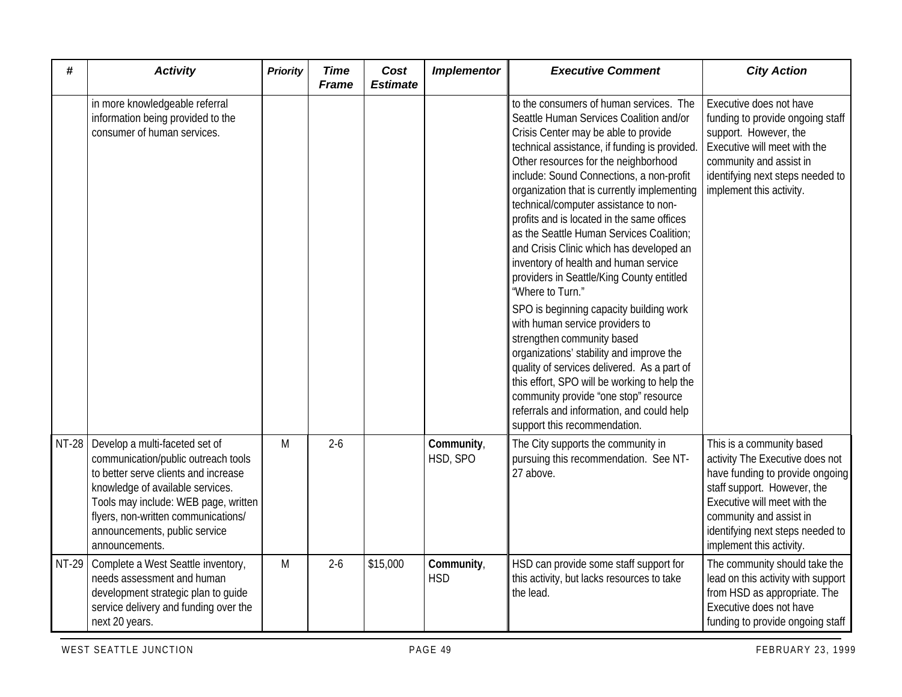| #            | <b>Activity</b>                                                                                                                                                                                                                                                                     | <b>Priority</b> | <b>Time</b><br><b>Frame</b> | Cost<br><b>Estimate</b> | <b>Implementor</b>       | <b>Executive Comment</b>                                                                                                                                                                                                                                                                                                                                                                                                                                                                                                                                                                                                                                                                                                                                                                                                                                                                                                                                                            | <b>City Action</b>                                                                                                                                                                                                                                        |
|--------------|-------------------------------------------------------------------------------------------------------------------------------------------------------------------------------------------------------------------------------------------------------------------------------------|-----------------|-----------------------------|-------------------------|--------------------------|-------------------------------------------------------------------------------------------------------------------------------------------------------------------------------------------------------------------------------------------------------------------------------------------------------------------------------------------------------------------------------------------------------------------------------------------------------------------------------------------------------------------------------------------------------------------------------------------------------------------------------------------------------------------------------------------------------------------------------------------------------------------------------------------------------------------------------------------------------------------------------------------------------------------------------------------------------------------------------------|-----------------------------------------------------------------------------------------------------------------------------------------------------------------------------------------------------------------------------------------------------------|
|              | in more knowledgeable referral<br>information being provided to the<br>consumer of human services.                                                                                                                                                                                  |                 |                             |                         |                          | to the consumers of human services. The<br>Seattle Human Services Coalition and/or<br>Crisis Center may be able to provide<br>technical assistance, if funding is provided<br>Other resources for the neighborhood<br>include: Sound Connections, a non-profit<br>organization that is currently implementing<br>technical/computer assistance to non-<br>profits and is located in the same offices<br>as the Seattle Human Services Coalition;<br>and Crisis Clinic which has developed an<br>inventory of health and human service<br>providers in Seattle/King County entitled<br>"Where to Turn."<br>SPO is beginning capacity building work<br>with human service providers to<br>strengthen community based<br>organizations' stability and improve the<br>quality of services delivered. As a part of<br>this effort, SPO will be working to help the<br>community provide "one stop" resource<br>referrals and information, and could help<br>support this recommendation. | Executive does not have<br>funding to provide ongoing staff<br>support. However, the<br>Executive will meet with the<br>community and assist in<br>identifying next steps needed to<br>implement this activity.                                           |
| <b>NT-28</b> | Develop a multi-faceted set of<br>communication/public outreach tools<br>to better serve clients and increase<br>knowledge of available services.<br>Tools may include: WEB page, written<br>flyers, non-written communications/<br>announcements, public service<br>announcements. | M               | $2 - 6$                     |                         | Community,<br>HSD, SPO   | The City supports the community in<br>pursuing this recommendation. See NT-<br>27 above.                                                                                                                                                                                                                                                                                                                                                                                                                                                                                                                                                                                                                                                                                                                                                                                                                                                                                            | This is a community based<br>activity The Executive does not<br>have funding to provide ongoing<br>staff support. However, the<br>Executive will meet with the<br>community and assist in<br>identifying next steps needed to<br>implement this activity. |
| NT-29        | Complete a West Seattle inventory,<br>needs assessment and human<br>development strategic plan to guide<br>service delivery and funding over the<br>next 20 years.                                                                                                                  | M               | $2 - 6$                     | \$15,000                | Community,<br><b>HSD</b> | HSD can provide some staff support for<br>this activity, but lacks resources to take<br>the lead.                                                                                                                                                                                                                                                                                                                                                                                                                                                                                                                                                                                                                                                                                                                                                                                                                                                                                   | The community should take the<br>lead on this activity with support<br>from HSD as appropriate. The<br>Executive does not have<br>funding to provide ongoing staff                                                                                        |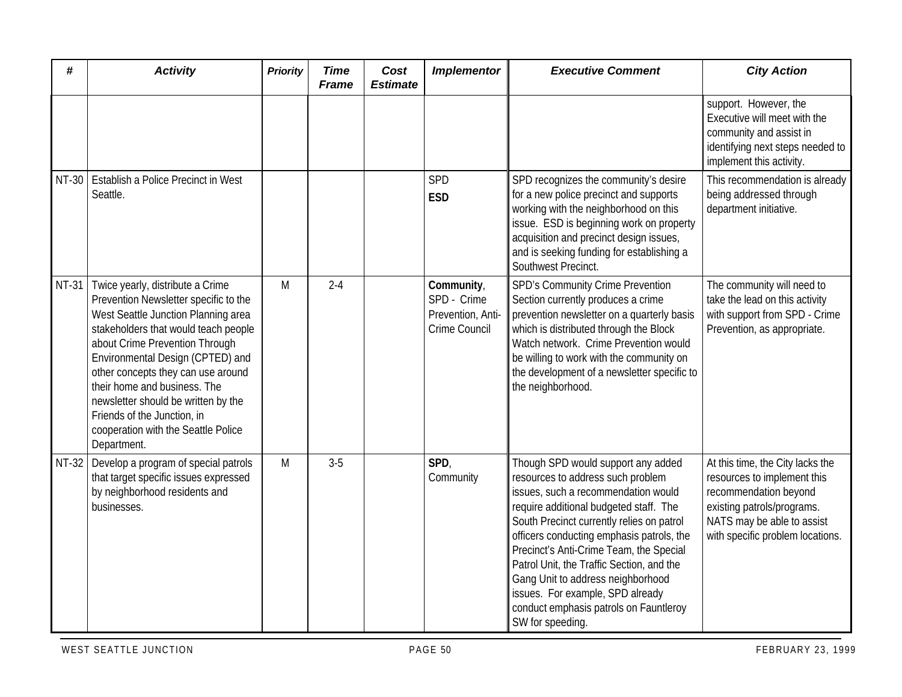| #            | <b>Activity</b>                                                                                                                                                                                                                                                                                                                                                                                                                  | <b>Priority</b> | <b>Time</b><br><b>Frame</b> | Cost<br><b>Estimate</b> | <b>Implementor</b>                                              | <b>Executive Comment</b>                                                                                                                                                                                                                                                                                                                                                                                                                                                          | <b>City Action</b>                                                                                                                                                                       |
|--------------|----------------------------------------------------------------------------------------------------------------------------------------------------------------------------------------------------------------------------------------------------------------------------------------------------------------------------------------------------------------------------------------------------------------------------------|-----------------|-----------------------------|-------------------------|-----------------------------------------------------------------|-----------------------------------------------------------------------------------------------------------------------------------------------------------------------------------------------------------------------------------------------------------------------------------------------------------------------------------------------------------------------------------------------------------------------------------------------------------------------------------|------------------------------------------------------------------------------------------------------------------------------------------------------------------------------------------|
|              |                                                                                                                                                                                                                                                                                                                                                                                                                                  |                 |                             |                         |                                                                 |                                                                                                                                                                                                                                                                                                                                                                                                                                                                                   | support. However, the<br>Executive will meet with the<br>community and assist in<br>identifying next steps needed to<br>implement this activity.                                         |
|              | NT-30   Establish a Police Precinct in West<br>Seattle.                                                                                                                                                                                                                                                                                                                                                                          |                 |                             |                         | SPD<br><b>ESD</b>                                               | SPD recognizes the community's desire<br>for a new police precinct and supports<br>working with the neighborhood on this<br>issue. ESD is beginning work on property<br>acquisition and precinct design issues,<br>and is seeking funding for establishing a<br>Southwest Precinct.                                                                                                                                                                                               | This recommendation is already<br>being addressed through<br>department initiative.                                                                                                      |
| <b>NT-31</b> | Twice yearly, distribute a Crime<br>Prevention Newsletter specific to the<br>West Seattle Junction Planning area<br>stakeholders that would teach people<br>about Crime Prevention Through<br>Environmental Design (CPTED) and<br>other concepts they can use around<br>their home and business. The<br>newsletter should be written by the<br>Friends of the Junction, in<br>cooperation with the Seattle Police<br>Department. | M               | $2 - 4$                     |                         | Community,<br>SPD - Crime<br>Prevention, Anti-<br>Crime Council | SPD's Community Crime Prevention<br>Section currently produces a crime<br>prevention newsletter on a quarterly basis<br>which is distributed through the Block<br>Watch network. Crime Prevention would<br>be willing to work with the community on<br>the development of a newsletter specific to<br>the neighborhood.                                                                                                                                                           | The community will need to<br>take the lead on this activity<br>with support from SPD - Crime<br>Prevention, as appropriate.                                                             |
| NT-32        | Develop a program of special patrols<br>that target specific issues expressed<br>by neighborhood residents and<br>businesses.                                                                                                                                                                                                                                                                                                    | M               | $3 - 5$                     |                         | SPD,<br>Community                                               | Though SPD would support any added<br>resources to address such problem<br>issues, such a recommendation would<br>require additional budgeted staff. The<br>South Precinct currently relies on patrol<br>officers conducting emphasis patrols, the<br>Precinct's Anti-Crime Team, the Special<br>Patrol Unit, the Traffic Section, and the<br>Gang Unit to address neighborhood<br>issues. For example, SPD already<br>conduct emphasis patrols on Fauntleroy<br>SW for speeding. | At this time, the City lacks the<br>resources to implement this<br>recommendation beyond<br>existing patrols/programs.<br>NATS may be able to assist<br>with specific problem locations. |